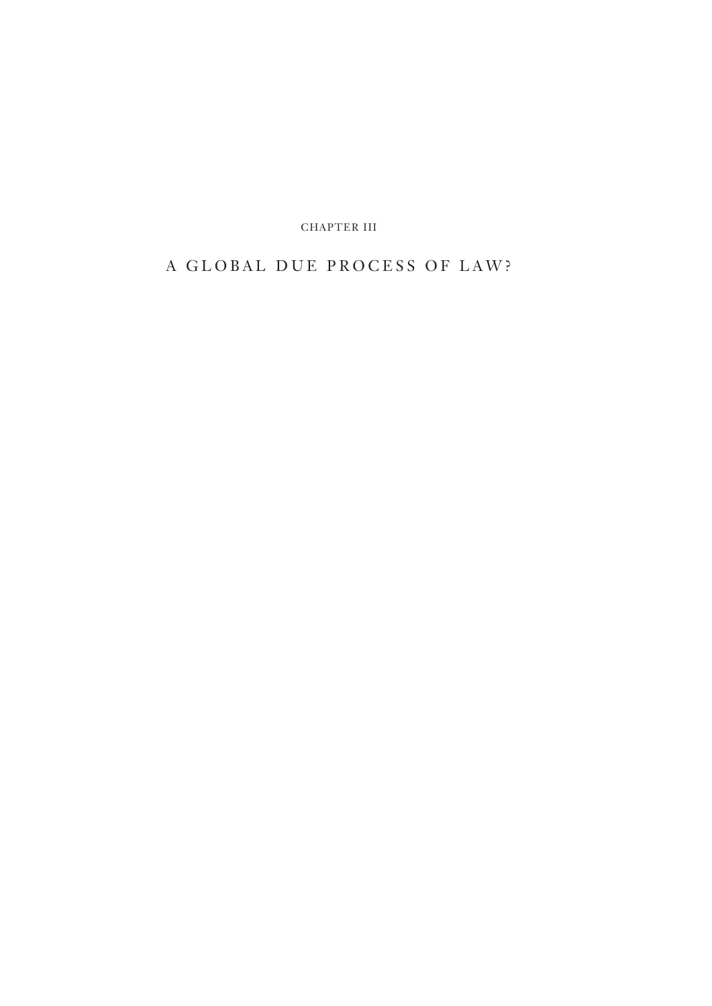CHAPTER III

# A GLOBAL DUE PROCESS OF LAW?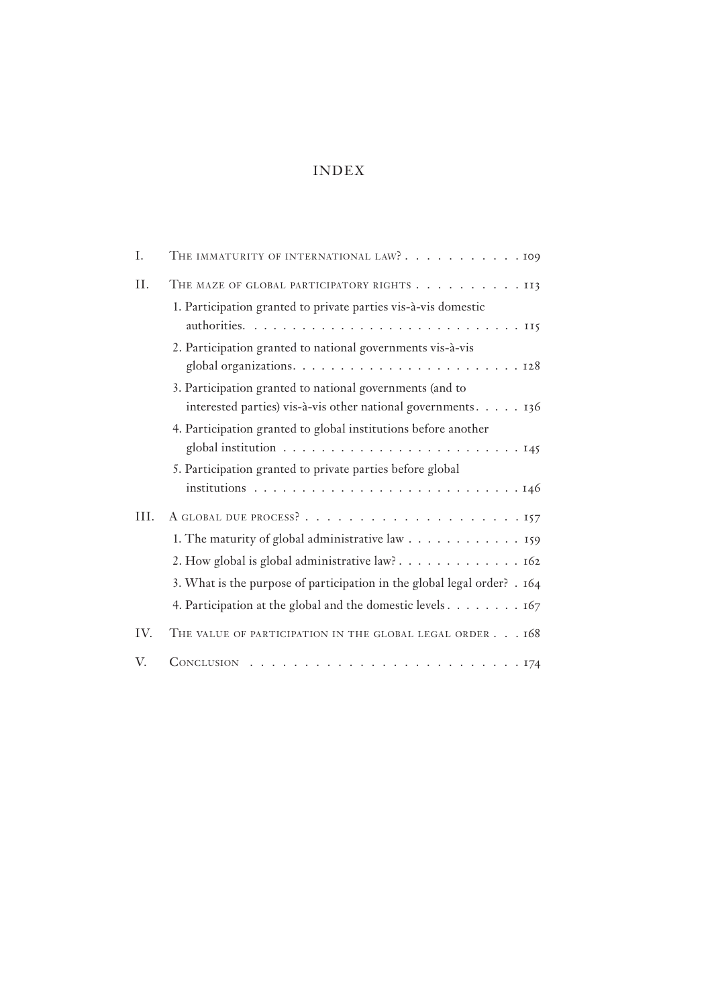## INDEX

| I.  | THE IMMATURITY OF INTERNATIONAL LAW? 109                                                        |
|-----|-------------------------------------------------------------------------------------------------|
| Π.  | THE MAZE OF GLOBAL PARTICIPATORY RIGHTS II3                                                     |
|     | 1. Participation granted to private parties vis-à-vis domestic                                  |
|     | 2. Participation granted to national governments vis-à-vis                                      |
|     | 3. Participation granted to national governments (and to                                        |
|     | interested parties) vis-à-vis other national governments. 136                                   |
|     | 4. Participation granted to global institutions before another                                  |
|     | 5. Participation granted to private parties before global                                       |
|     | institutions $\ldots \ldots \ldots \ldots \ldots \ldots \ldots \ldots \ldots \ldots \ldots 146$ |
| HI. |                                                                                                 |
|     | 1. The maturity of global administrative law 159                                                |
|     | 2. How global is global administrative law? 162                                                 |
|     | 3. What is the purpose of participation in the global legal order? . 164                        |
|     | 4. Participation at the global and the domestic levels. $\dots \dots \dots$                     |
| IV. | THE VALUE OF PARTICIPATION IN THE GLOBAL LEGAL ORDER 168                                        |
| V.  | $CONCLUSION \ldots \ldots \ldots \ldots \ldots \ldots \ldots \ldots \ldots \ldots 174$          |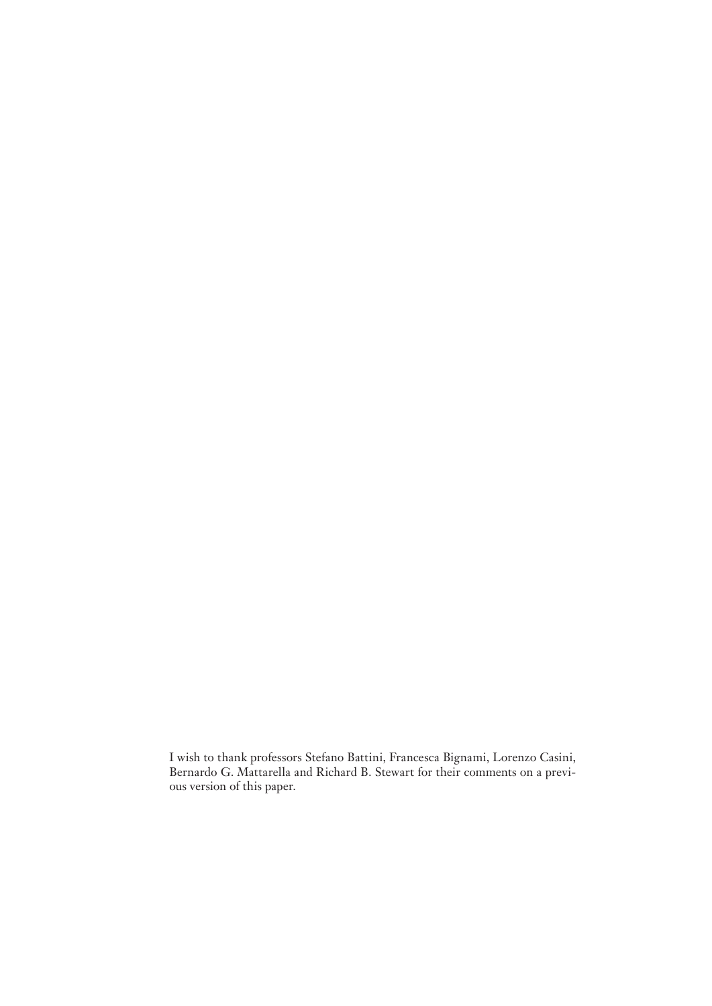I wish to thank professors Stefano Battini, Francesca Bignami, Lorenzo Casini, Bernardo G. Mattarella and Richard B. Stewart for their comments on a previous version of this paper.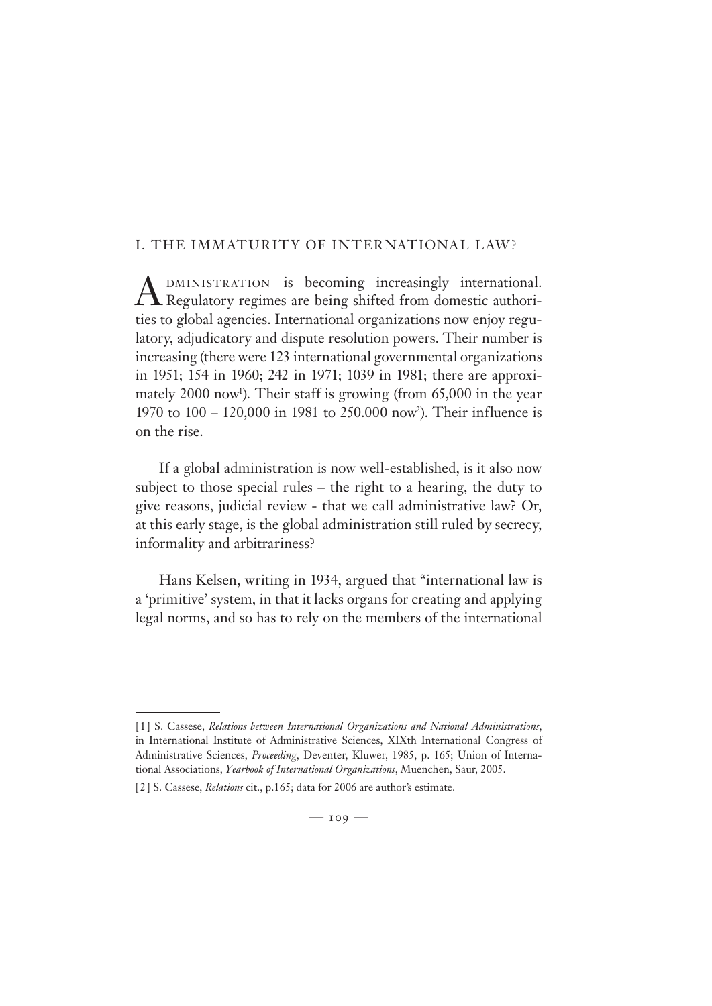#### I. THE IMMATURITY OF INTERNATIONAL LAW?

A DMINISTRATION is becoming increasingly international.<br>Regulatory regimes are being shifted from domestic authorities to global agencies. International organizations now enjoy regulatory, adjudicatory and dispute resolution powers. Their number is increasing (there were 123 international governmental organizations in 1951; 154 in 1960; 242 in 1971; 1039 in 1981; there are approximately 2000 now<sup>1</sup>). Their staff is growing (from 65,000 in the year 1970 to 100 – 120,000 in 1981 to 250.000 now2 ). Their influence is on the rise.

If a global administration is now well-established, is it also now subject to those special rules – the right to a hearing, the duty to give reasons, judicial review - that we call administrative law? Or, at this early stage, is the global administration still ruled by secrecy, informality and arbitrariness?

Hans Kelsen, writing in 1934, argued that "international law is a 'primitive' system, in that it lacks organs for creating and applying legal norms, and so has to rely on the members of the international

<sup>[ 1 ]</sup> S. Cassese, *Relations between International Organizations and National Administrations*, in International Institute of Administrative Sciences, XIXth International Congress of Administrative Sciences, *Proceeding*, Deventer, Kluwer, 1985, p. 165; Union of International Associations, *Yearbook of International Organizations*, Muenchen, Saur, 2005.

<sup>[ 2 ]</sup> S. Cassese, *Relations* cit., p.165; data for 2006 are author's estimate.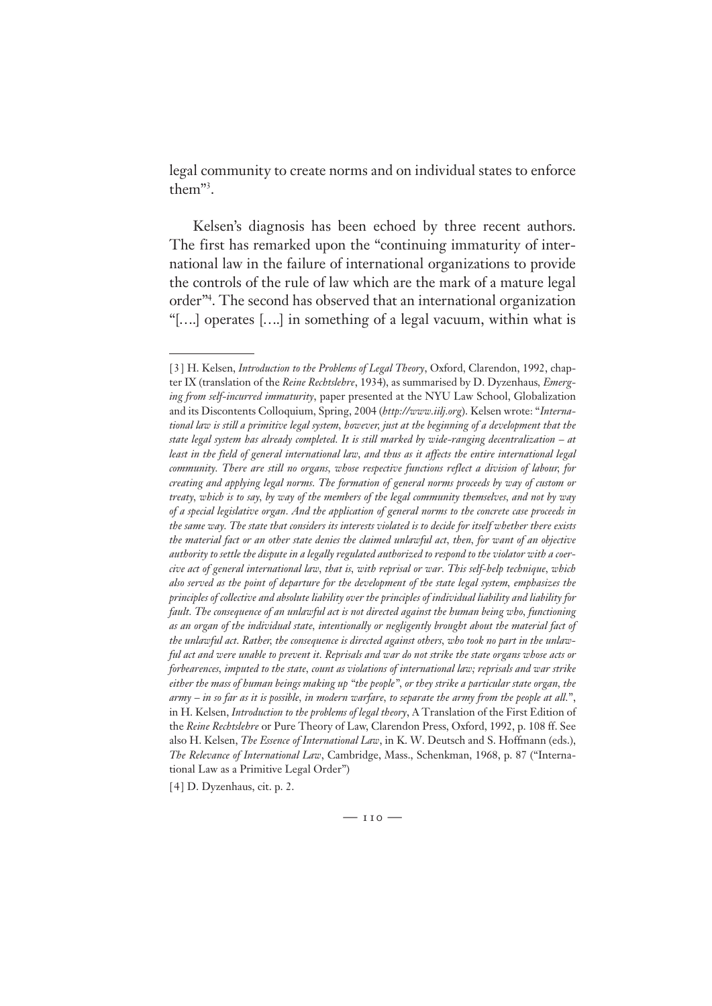legal community to create norms and on individual states to enforce them"3 .

Kelsen's diagnosis has been echoed by three recent authors. The first has remarked upon the "continuing immaturity of international law in the failure of international organizations to provide the controls of the rule of law which are the mark of a mature legal order"4 . The second has observed that an international organization "[….] operates [….] in something of a legal vacuum, within what is

[4] D. Dyzenhaus, cit. p. 2.

<sup>[ 3 ]</sup> H. Kelsen, *Introduction to the Problems of Legal Theory*, Oxford, Clarendon, 1992, chapter IX (translation of the *Reine Rechtslehre*, 1934), as summarised by D. Dyzenhaus*, Emerging from self-incurred immaturity*, paper presented at the NYU Law School, Globalization and its Discontents Colloquium, Spring, 2004 (*http://www.iilj.org*). Kelsen wrote: "*International law is still a primitive legal system, however, just at the beginning of a development that the state legal system has already completed. It is still marked by wide-ranging decentralization – at least in the field of general international law, and thus as it affects the entire international legal community. There are still no organs, whose respective functions reflect a division of labour, for creating and applying legal norms. The formation of general norms proceeds by way of custom or treaty, which is to say, by way of the members of the legal community themselves, and not by way of a special legislative organ. And the application of general norms to the concrete case proceeds in the same way. The state that considers its interests violated is to decide for itself whether there exists the material fact or an other state denies the claimed unlawful act, then, for want of an objective authority to settle the dispute in a legally regulated authorized to respond to the violator with a coercive act of general international law, that is, with reprisal or war. This self-help technique, which also served as the point of departure for the development of the state legal system, emphasizes the principles of collective and absolute liability over the principles of individual liability and liability for fault. The consequence of an unlawful act is not directed against the human being who, functioning as an organ of the individual state, intentionally or negligently brought about the material fact of the unlawful act. Rather, the consequence is directed against others, who took no part in the unlawful act and were unable to prevent it. Reprisals and war do not strike the state organs whose acts or forbearences, imputed to the state, count as violations of international law; reprisals and war strike either the mass of human beings making up "the people", or they strike a particular state organ, the army – in so far as it is possible, in modern warfare, to separate the army from the people at all.*", in H. Kelsen, *Introduction to the problems of legal theory*, A Translation of the First Edition of the *Reine Rechtslehre* or Pure Theory of Law, Clarendon Press, Oxford, 1992, p. 108 ff. See also H. Kelsen, *The Essence of International Law*, in K. W. Deutsch and S. Hoffmann (eds.), *The Relevance of International Law*, Cambridge, Mass., Schenkman, 1968, p. 87 ("International Law as a Primitive Legal Order")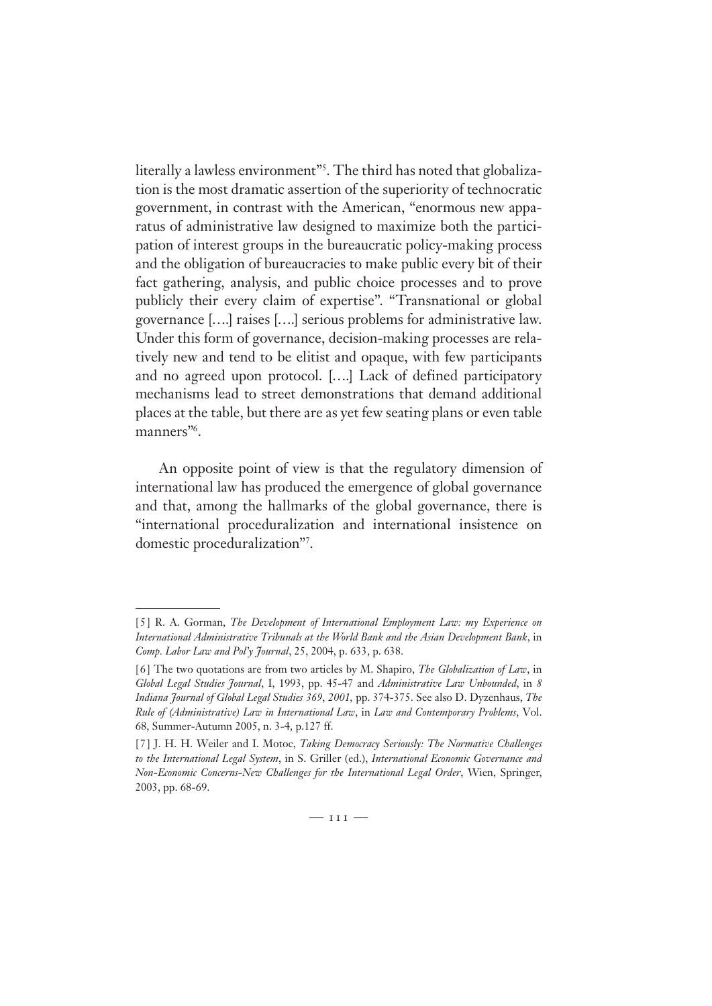literally a lawless environment"5 . The third has noted that globalization is the most dramatic assertion of the superiority of technocratic government, in contrast with the American, "enormous new apparatus of administrative law designed to maximize both the participation of interest groups in the bureaucratic policy-making process and the obligation of bureaucracies to make public every bit of their fact gathering, analysis, and public choice processes and to prove publicly their every claim of expertise". "Transnational or global governance [….] raises [….] serious problems for administrative law. Under this form of governance, decision-making processes are relatively new and tend to be elitist and opaque, with few participants and no agreed upon protocol. [….] Lack of defined participatory mechanisms lead to street demonstrations that demand additional places at the table, but there are as yet few seating plans or even table manners"<sup>6</sup>.

An opposite point of view is that the regulatory dimension of international law has produced the emergence of global governance and that, among the hallmarks of the global governance, there is "international proceduralization and international insistence on domestic proceduralization"7 .

<sup>[ 5 ]</sup> R. A. Gorman, *The Development of International Employment Law: my Experience on International Administrative Tribunals at the World Bank and the Asian Development Bank*, in *Comp. Labor Law and Pol'y Journal*, 25, 2004, p. 633, p. 638.

<sup>[ 6 ]</sup> The two quotations are from two articles by M. Shapiro, *The Globalization of Law*, in *Global Legal Studies Journal*, I, 1993, pp. 45-47 and *Administrative Law Unbounded*, in *8 Indiana Journal of Global Legal Studies 369*, *2001,* pp. 374-375. See also D. Dyzenhaus, *The Rule of (Administrative) Law in International Law*, in *Law and Contemporary Problems*, Vol. 68, Summer-Autumn 2005, n. 3-4, p.127 ff.

<sup>[ 7 ]</sup> J. H. H. Weiler and I. Motoc, *Taking Democracy Seriously: The Normative Challenges to the International Legal System*, in S. Griller (ed.), *International Economic Governance and Non-Economic Concerns-New Challenges for the International Legal Order*, Wien, Springer, 2003, pp. 68-69.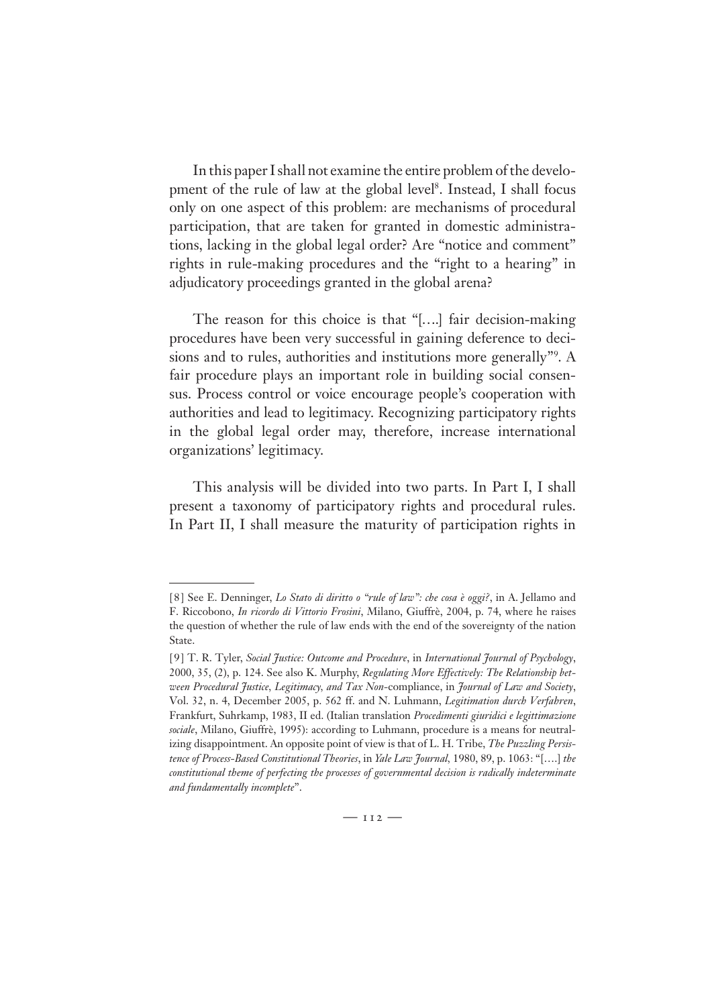In this paper I shall not examine the entire problem of the development of the rule of law at the global level<sup>8</sup>. Instead, I shall focus only on one aspect of this problem: are mechanisms of procedural participation, that are taken for granted in domestic administrations, lacking in the global legal order? Are "notice and comment" rights in rule-making procedures and the "right to a hearing" in adjudicatory proceedings granted in the global arena?

The reason for this choice is that "[….] fair decision-making procedures have been very successful in gaining deference to decisions and to rules, authorities and institutions more generally"9 . A fair procedure plays an important role in building social consensus. Process control or voice encourage people's cooperation with authorities and lead to legitimacy. Recognizing participatory rights in the global legal order may, therefore, increase international organizations' legitimacy.

This analysis will be divided into two parts. In Part I, I shall present a taxonomy of participatory rights and procedural rules. In Part II, I shall measure the maturity of participation rights in

<sup>[ 8 ]</sup> See E. Denninger, *Lo Stato di diritto o "rule of law": che cosa è oggi?*, in A. Jellamo and F. Riccobono, *In ricordo di Vittorio Frosini*, Milano, Giuffrè, 2004, p. 74, where he raises the question of whether the rule of law ends with the end of the sovereignty of the nation State.

<sup>[ 9 ]</sup> T. R. Tyler, *Social Justice: Outcome and Procedure*, in *International Journal of Psychology*, 2000, 35, (2), p. 124. See also K. Murphy, *Regulating More Effectively: The Relationship between Procedural Justice, Legitimacy, and Tax Non-*compliance, in *Journal of Law and Society*, Vol. 32, n. 4, December 2005, p. 562 ff. and N. Luhmann, *Legitimation durch Verfahren*, Frankfurt, Suhrkamp, 1983, II ed. (Italian translation *Procedimenti giuridici e legittimazione sociale*, Milano, Giuffrè, 1995): according to Luhmann, procedure is a means for neutralizing disappointment. An opposite point of view is that of L. H. Tribe, *The Puzzling Persistence of Process-Based Constitutional Theories*, in *Yale Law Journal,* 1980, 89, p. 1063: "[….] *the constitutional theme of perfecting the processes of governmental decision is radically indeterminate and fundamentally incomplete*".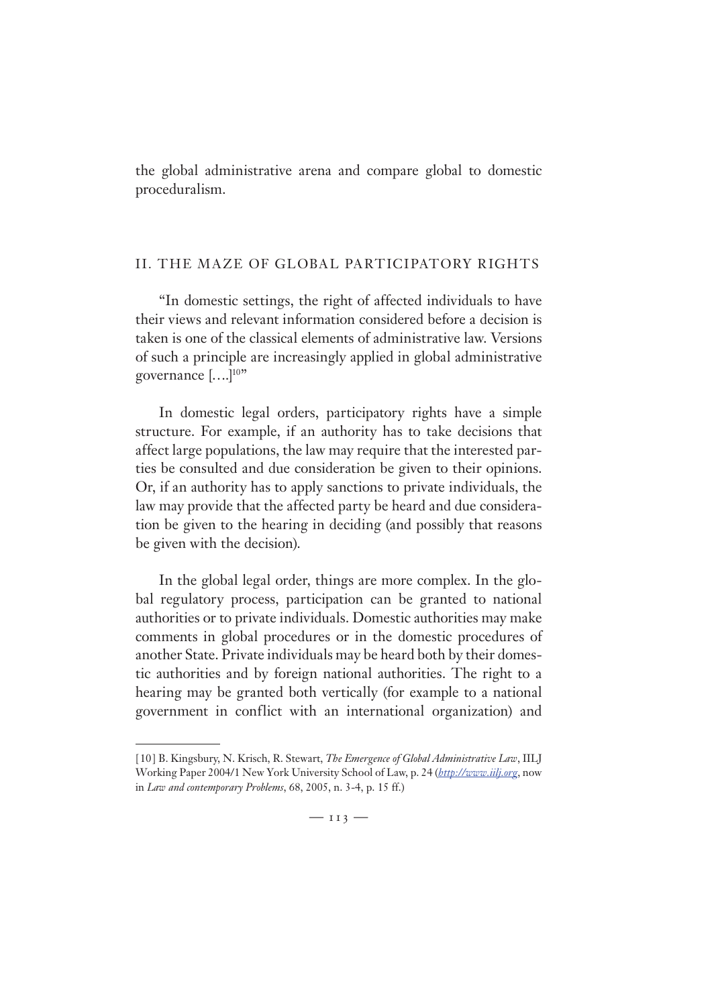the global administrative arena and compare global to domestic proceduralism.

#### II. THE MAZE OF GLOBAL PARTICIPATORY RIGHTS

"In domestic settings, the right of affected individuals to have their views and relevant information considered before a decision is taken is one of the classical elements of administrative law. Versions of such a principle are increasingly applied in global administrative governance [...]<sup>10"</sup>

In domestic legal orders, participatory rights have a simple structure. For example, if an authority has to take decisions that affect large populations, the law may require that the interested parties be consulted and due consideration be given to their opinions. Or, if an authority has to apply sanctions to private individuals, the law may provide that the affected party be heard and due consideration be given to the hearing in deciding (and possibly that reasons be given with the decision).

In the global legal order, things are more complex. In the global regulatory process, participation can be granted to national authorities or to private individuals. Domestic authorities may make comments in global procedures or in the domestic procedures of another State. Private individuals may be heard both by their domestic authorities and by foreign national authorities. The right to a hearing may be granted both vertically (for example to a national government in conflict with an international organization) and

<sup>[ 10 ]</sup> B. Kingsbury, N. Krisch, R. Stewart, *The Emergence of Global Administrative Law*, IILJ Working Paper 2004/1 New York University School of Law, p. 24 (*http://www.iilj.org*, now in *Law and contemporary Problems*, 68, 2005, n. 3-4, p. 15 ff.)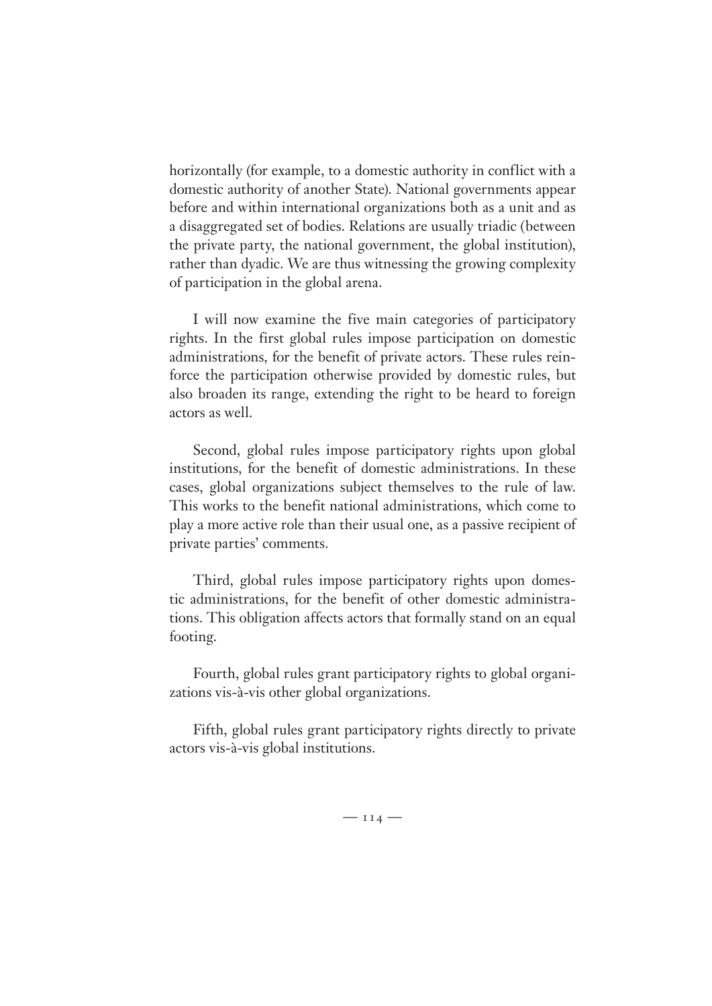horizontally (for example, to a domestic authority in conflict with a domestic authority of another State). National governments appear before and within international organizations both as a unit and as a disaggregated set of bodies. Relations are usually triadic (between the private party, the national government, the global institution), rather than dyadic. We are thus witnessing the growing complexity of participation in the global arena.

I will now examine the five main categories of participatory rights. In the first global rules impose participation on domestic administrations, for the benefit of private actors. These rules reinforce the participation otherwise provided by domestic rules, but also broaden its range, extending the right to be heard to foreign actors as well.

Second, global rules impose participatory rights upon global institutions, for the benefit of domestic administrations. In these cases, global organizations subject themselves to the rule of law. This works to the benefit national administrations, which come to play a more active role than their usual one, as a passive recipient of private parties' comments.

Third, global rules impose participatory rights upon domestic administrations, for the benefit of other domestic administrations. This obligation affects actors that formally stand on an equal footing.

Fourth, global rules grant participatory rights to global organizations vis-à-vis other global organizations.

Fifth, global rules grant participatory rights directly to private actors vis-à-vis global institutions.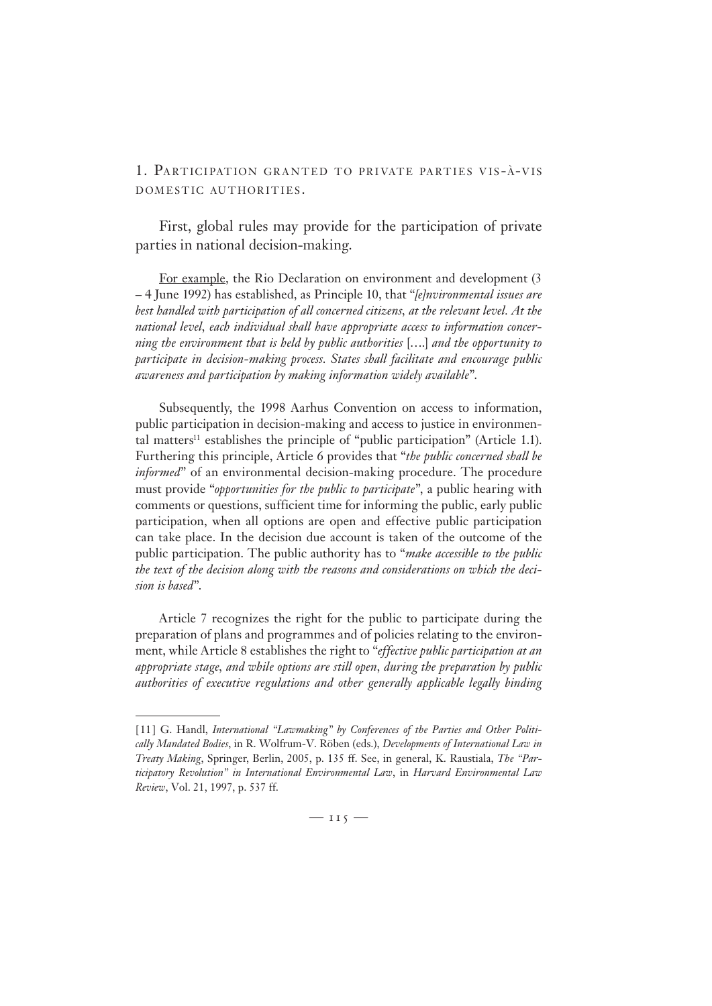#### 1. PARTICIPATION GRANTED TO PRIVATE PARTIES VIS-À-VIS DOMESTIC AUTHORITIES.

First, global rules may provide for the participation of private parties in national decision-making.

For example, the Rio Declaration on environment and development (3 – 4 June 1992) has established, as Principle 10, that "*[e]nvironmental issues are best handled with participation of all concerned citizens, at the relevant level. At the national level, each individual shall have appropriate access to information concerning the environment that is held by public authorities* [….] *and the opportunity to participate in decision-making process. States shall facilitate and encourage public awareness and participation by making information widely available*".

Subsequently, the 1998 Aarhus Convention on access to information, public participation in decision-making and access to justice in environmental matters<sup>11</sup> establishes the principle of "public participation" (Article 1.1). Furthering this principle, Article 6 provides that "*the public concerned shall be informed*" of an environmental decision-making procedure. The procedure must provide "*opportunities for the public to participate*", a public hearing with comments or questions, sufficient time for informing the public, early public participation, when all options are open and effective public participation can take place. In the decision due account is taken of the outcome of the public participation. The public authority has to "*make accessible to the public the text of the decision along with the reasons and considerations on which the decision is based*".

Article 7 recognizes the right for the public to participate during the preparation of plans and programmes and of policies relating to the environment, while Article 8 establishes the right to "*effective public participation at an appropriate stage, and while options are still open, during the preparation by public authorities of executive regulations and other generally applicable legally binding* 

<sup>[11]</sup> G. Handl, *International "Lawmaking" by Conferences of the Parties and Other Politically Mandated Bodies*, in R. Wolfrum-V. Röben (eds.), *Developments of International Law in Treaty Making*, Springer, Berlin, 2005, p. 135 ff. See, in general, K. Raustiala, *The "Participatory Revolution" in International Environmental Law*, in *Harvard Environmental Law Review*, Vol. 21, 1997, p. 537 ff.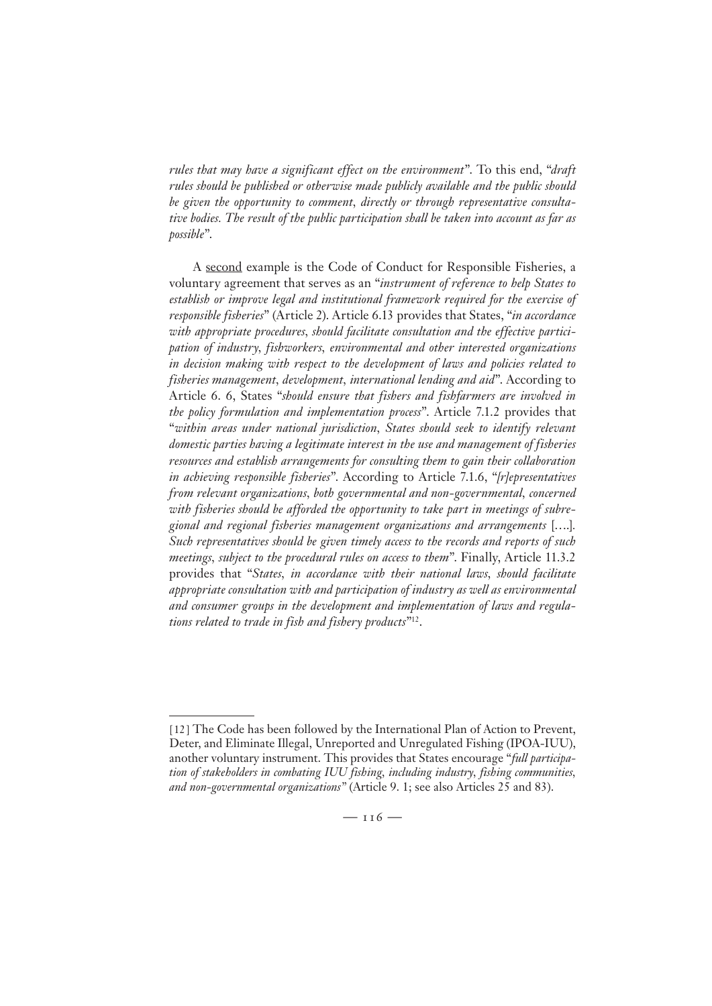*rules that may have a significant effect on the environment*". To this end, "*draft rules should be published or otherwise made publicly available and the public should be given the opportunity to comment, directly or through representative consultative bodies. The result of the public participation shall be taken into account as far as possible*".

A second example is the Code of Conduct for Responsible Fisheries, a voluntary agreement that serves as an "*instrument of reference to help States to establish or improve legal and institutional framework required for the exercise of responsible fisheries*" (Article 2). Article 6.13 provides that States, "*in accordance with appropriate procedures, should facilitate consultation and the effective participation of industry, fishworkers, environmental and other interested organizations in decision making with respect to the development of laws and policies related to fisheries management, development, international lending and aid*". According to Article 6. 6, States "*should ensure that fishers and fishfarmers are involved in the policy formulation and implementation process*". Article 7.1.2 provides that "*within areas under national jurisdiction, States should seek to identify relevant domestic parties having a legitimate interest in the use and management of fisheries resources and establish arrangements for consulting them to gain their collaboration in achieving responsible fisheries*". According to Article 7.1.6, "*[r]epresentatives from relevant organizations, both governmental and non-governmental, concerned with fisheries should be afforded the opportunity to take part in meetings of subregional and regional fisheries management organizations and arrangements* [….]*. Such representatives should be given timely access to the records and reports of such meetings, subject to the procedural rules on access to them*". Finally, Article 11.3.2 provides that "*States, in accordance with their national laws, should facilitate appropriate consultation with and participation of industry as well as environmental and consumer groups in the development and implementation of laws and regulations related to trade in fish and fishery products*"12.

<sup>[12]</sup> The Code has been followed by the International Plan of Action to Prevent, Deter, and Eliminate Illegal, Unreported and Unregulated Fishing (IPOA-IUU), another voluntary instrument. This provides that States encourage "*full participation of stakeholders in combating IUU fishing, including industry, fishing communities, and non-governmental organizations"* (Article 9. 1; see also Articles 25 and 83).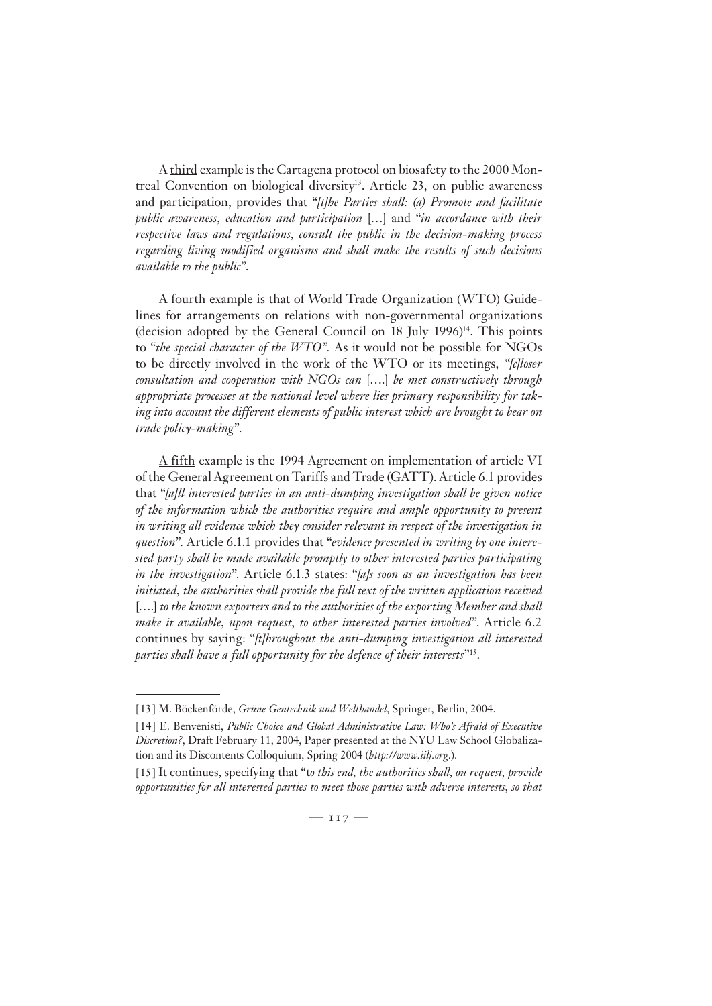A third example is the Cartagena protocol on biosafety to the 2000 Montreal Convention on biological diversity<sup>13</sup>. Article 23, on public awareness and participation, provides that "*[t]he Parties shall: (a) Promote and facilitate public awareness, education and participation* […] and "*in accordance with their respective laws and regulations, consult the public in the decision-making process regarding living modified organisms and shall make the results of such decisions available to the public*".

A fourth example is that of World Trade Organization (WTO) Guidelines for arrangements on relations with non-governmental organizations (decision adopted by the General Council on  $18$  July  $1996$ <sup> $\mu$ </sup>. This points to "*the special character of the WTO".* As it would not be possible for NGOs to be directly involved in the work of the WTO or its meetings, *"[c]loser consultation and cooperation with NGOs can* [….] *be met constructively through*  appropriate processes at the national level where lies primary responsibility for tak*ing into account the different elements of public interest which are brought to bear on trade policy-making*".

A fifth example is the 1994 Agreement on implementation of article VI of the General Agreement on Tariffs and Trade (GATT). Article 6.1 provides that "*[a]ll interested parties in an anti-dumping investigation shall be given notice of the information which the authorities require and ample opportunity to present in writing all evidence which they consider relevant in respect of the investigation in question*"*.* Article 6.1.1 provides that "*evidence presented in writing by one interested party shall be made available promptly to other interested parties participating in the investigation*"*.* Article 6.1.3 states: "*[a]s soon as an investigation has been initiated, the authorities shall provide the full text of the written application received*  [....] to the known exporters and to the authorities of the exporting Member and shall *make it available, upon request, to other interested parties involved*". Article 6.2 continues by saying: "*[t]hroughout the anti-dumping investigation all interested parties shall have a full opportunity for the defence of their interests*"15*.* 

<sup>[ 13 ]</sup> M. Böckenförde, *Grüne Gentechnik und Welthandel*, Springer, Berlin, 2004.

<sup>[ 14 ]</sup> E. Benvenisti, *Public Choice and Global Administrative Law: Who's Afraid of Executive Discretion?*, Draft February 11, 2004, Paper presented at the NYU Law School Globalization and its Discontents Colloquium, Spring 2004 (*http://www.iilj.org*.).

<sup>[15]</sup> It continues, specifying that "to this end, the authorities shall, on request, provide *opportunities for all interested parties to meet those parties with adverse interests, so that*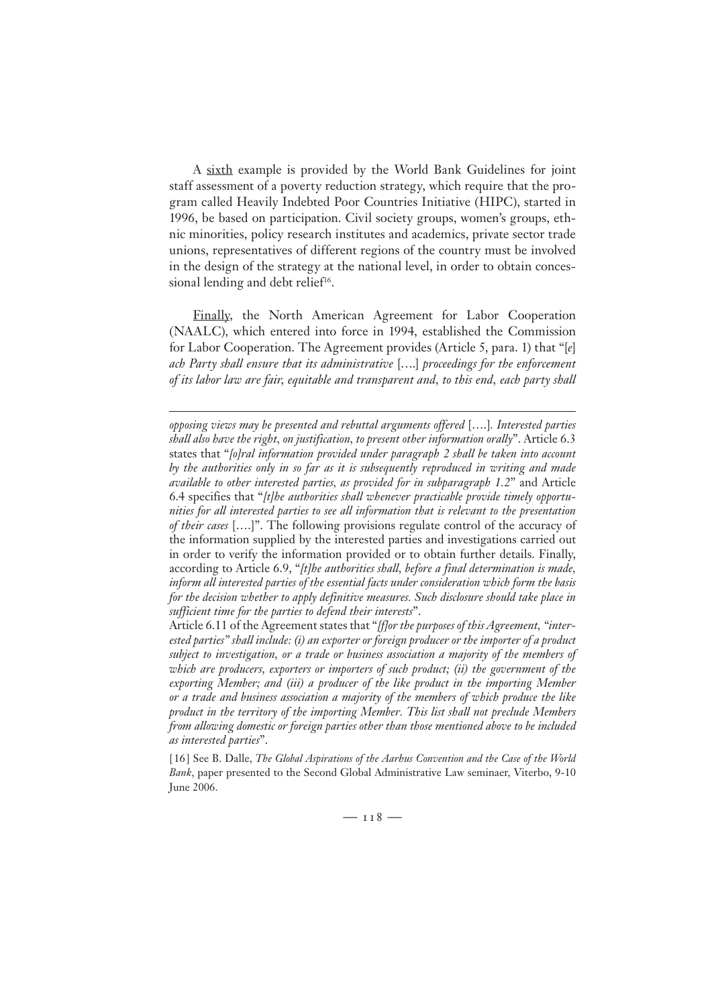A sixth example is provided by the World Bank Guidelines for joint staff assessment of a poverty reduction strategy, which require that the program called Heavily Indebted Poor Countries Initiative (HIPC), started in 1996, be based on participation. Civil society groups, women's groups, ethnic minorities, policy research institutes and academics, private sector trade unions, representatives of different regions of the country must be involved in the design of the strategy at the national level, in order to obtain concessional lending and debt relief<sup>16</sup>.

Finally, the North American Agreement for Labor Cooperation (NAALC), which entered into force in 1994, established the Commission for Labor Cooperation. The Agreement provides (Article 5, para. 1) that "[*e*] *ach Party shall ensure that its administrative* [….] *proceedings for the enforcement of its labor law are fair, equitable and transparent and, to this end, each party shall* 

*opposing views may be presented and rebuttal arguments offered* [….]*. Interested parties shall also have the right, on justification, to present other information orally*". Article 6.3 states that "*[o]ral information provided under paragraph 2 shall be taken into account by the authorities only in so far as it is subsequently reproduced in writing and made available to other interested parties, as provided for in subparagraph 1.2*" and Article 6.4 specifies that "*[t]he authorities shall whenever practicable provide timely opportunities for all interested parties to see all information that is relevant to the presentation of their cases* [….]". The following provisions regulate control of the accuracy of the information supplied by the interested parties and investigations carried out in order to verify the information provided or to obtain further details. Finally, according to Article 6.9, "*[t]he authorities shall, before a final determination is made, inform all interested parties of the essential facts under consideration which form the basis for the decision whether to apply definitive measures. Such disclosure should take place in sufficient time for the parties to defend their interests*".

Article 6.11 of the Agreement states that "*[f]or the purposes of this Agreement, "interested parties" shall include: (i) an exporter or foreign producer or the importer of a product subject to investigation, or a trade or business association a majority of the members of which are producers, exporters or importers of such product; (ii) the government of the exporting Member; and (iii) a producer of the like product in the importing Member or a trade and business association a majority of the members of which produce the like product in the territory of the importing Member. This list shall not preclude Members from allowing domestic or foreign parties other than those mentioned above to be included as interested parties*".

[16] See B. Dalle, *The Global Aspirations of the Aarhus Convention and the Case of the World Bank*, paper presented to the Second Global Administrative Law seminaer, Viterbo, 9-10 June 2006.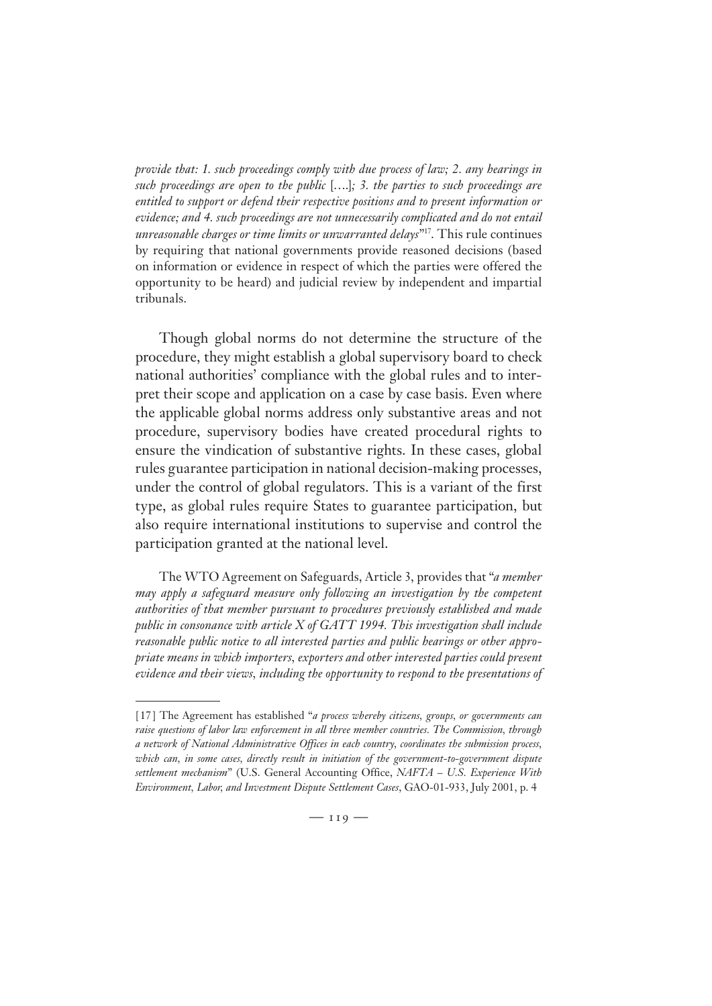*provide that: 1. such proceedings comply with due process of law; 2. any hearings in such proceedings are open to the public* [….]*; 3. the parties to such proceedings are entitled to support or defend their respective positions and to present information or evidence; and 4. such proceedings are not unnecessarily complicated and do not entail unreasonable charges or time limits or unwarranted delays*"17. This rule continues by requiring that national governments provide reasoned decisions (based on information or evidence in respect of which the parties were offered the opportunity to be heard) and judicial review by independent and impartial tribunals.

Though global norms do not determine the structure of the procedure, they might establish a global supervisory board to check national authorities' compliance with the global rules and to interpret their scope and application on a case by case basis. Even where the applicable global norms address only substantive areas and not procedure, supervisory bodies have created procedural rights to ensure the vindication of substantive rights. In these cases, global rules guarantee participation in national decision-making processes, under the control of global regulators. This is a variant of the first type, as global rules require States to guarantee participation, but also require international institutions to supervise and control the participation granted at the national level.

The WTO Agreement on Safeguards, Article 3, provides that "*a member may apply a safeguard measure only following an investigation by the competent authorities of that member pursuant to procedures previously established and made public in consonance with article X of GATT 1994. This investigation shall include reasonable public notice to all interested parties and public hearings or other appropriate means in which importers, exporters and other interested parties could present evidence and their views, including the opportunity to respond to the presentations of* 

<sup>[ 17 ]</sup> The Agreement has established "*a process whereby citizens, groups, or governments can raise questions of labor law enforcement in all three member countries. The Commission, through a network of National Administrative Offices in each country, coordinates the submission process, which can, in some cases, directly result in initiation of the government-to-government dispute settlement mechanism*" (U.S. General Accounting Office, *NAFTA – U.S. Experience With Environment, Labor, and Investment Dispute Settlement Cases*, GAO-01-933, July 2001, p. 4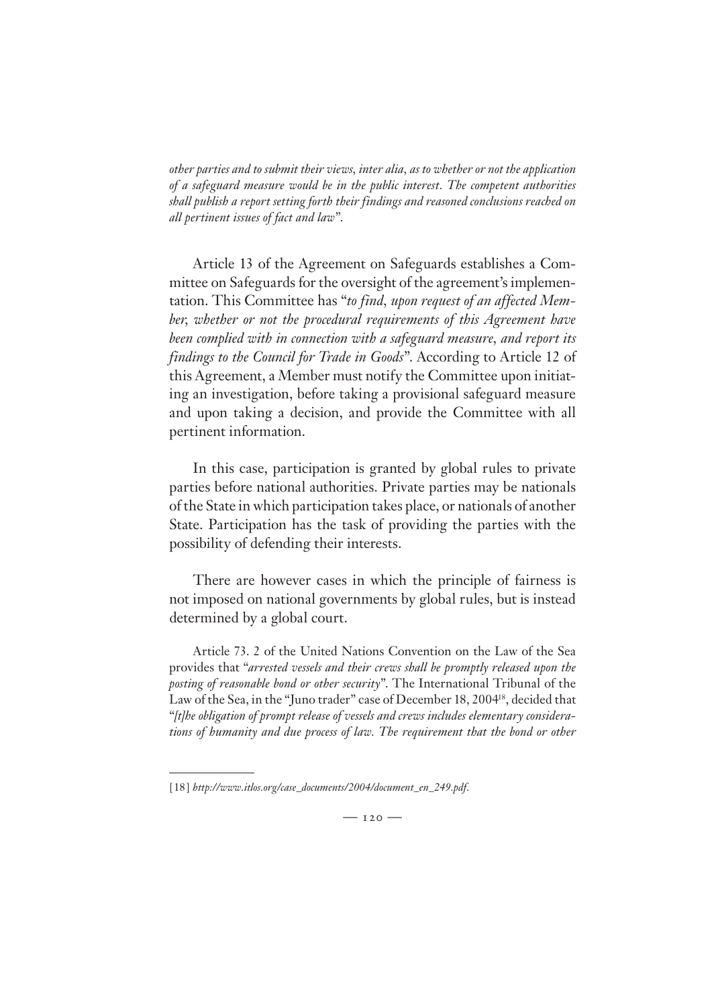*other parties and to submit their views, inter alia, as to whether or not the application of a safeguard measure would be in the public interest. The competent authorities shall publish a report setting forth their findings and reasoned conclusions reached on all pertinent issues of fact and law*".

Article 13 of the Agreement on Safeguards establishes a Committee on Safeguards for the oversight of the agreement's implementation. This Committee has "*to find, upon request of an affected Member, whether or not the procedural requirements of this Agreement have been complied with in connection with a safeguard measure, and report its findings to the Council for Trade in Goods*". According to Article 12 of this Agreement, a Member must notify the Committee upon initiating an investigation, before taking a provisional safeguard measure and upon taking a decision, and provide the Committee with all pertinent information.

In this case, participation is granted by global rules to private parties before national authorities. Private parties may be nationals of the State in which participation takes place, or nationals of another State. Participation has the task of providing the parties with the possibility of defending their interests.

There are however cases in which the principle of fairness is not imposed on national governments by global rules, but is instead determined by a global court.

Article 73. 2 of the United Nations Convention on the Law of the Sea provides that "*arrested vessels and their crews shall be promptly released upon the posting of reasonable bond or other security*". The International Tribunal of the Law of the Sea, in the "Juno trader" case of December 18, 200418, decided that "*[t]he obligation of prompt release of vessels and crews includes elementary considerations of humanity and due process of law. The requirement that the bond or other* 

 $-120 -$ 

<sup>[ 18 ]</sup> *http://www.itlos.org/case\_documents/2004/document\_en\_249.pdf*.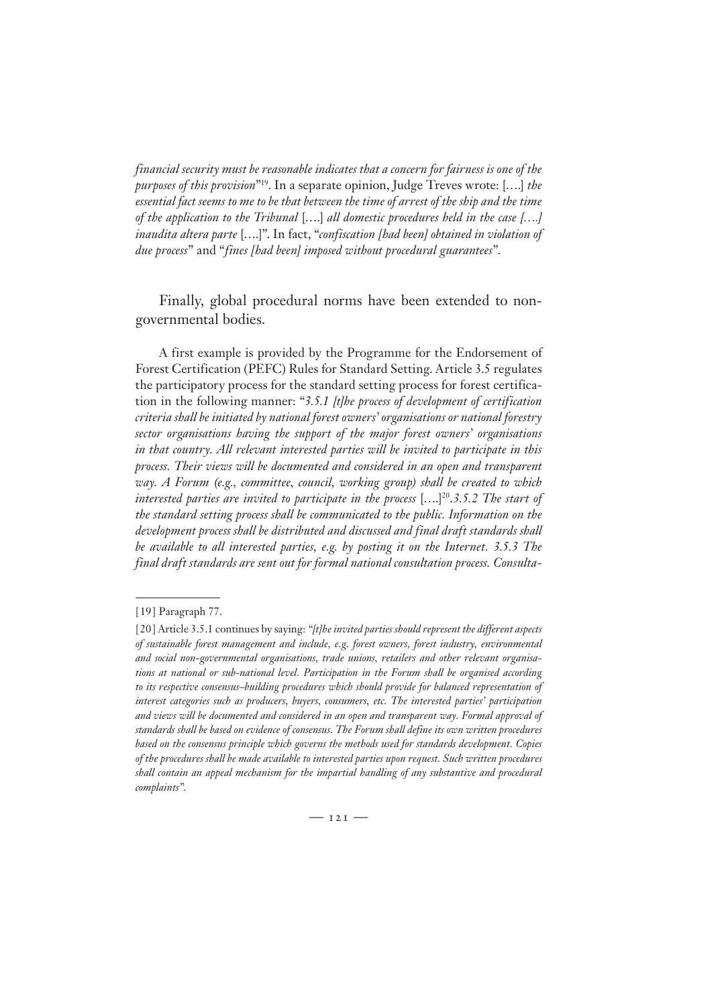*financial security must be reasonable indicates that a concern for fairness is one of the purposes of this provision*"19. In a separate opinion, Judge Treves wrote: [….] *the essential fact seems to me to be that between the time of arrest of the ship and the time of the application to the Tribunal* [….] *all domestic procedures held in the case [….] inaudita altera parte* [….]". In fact, "*confiscation [had been] obtained in violation of due process*" and "*fines [had been] imposed without procedural guarantees*".

Finally, global procedural norms have been extended to nongovernmental bodies.

A first example is provided by the Programme for the Endorsement of Forest Certification (PEFC) Rules for Standard Setting. Article 3.5 regulates the participatory process for the standard setting process for forest certification in the following manner: "*3.5.1 [t]he process of development of certification criteria shall be initiated by national forest owners' organisations or national forestry sector organisations having the support of the major forest owners' organisations in that country. All relevant interested parties will be invited to participate in this process. Their views will be documented and considered in an open and transparent way. A Forum (e.g., committee, council, working group) shall be created to which interested parties are invited to participate in the process* [....]<sup>20</sup>.3.5.2 The start of *the standard setting process shall be communicated to the public. Information on the development process shall be distributed and discussed and final draft standards shall be available to all interested parties, e.g. by posting it on the Internet. 3.5.3 The final draft standards are sent out for formal national consultation process. Consulta-*

<sup>[ 19]</sup> Paragraph 77.

<sup>[ 20 ]</sup> Article 3.5.1 continues by saying: *"[t]he invited parties should represent the different aspects of sustainable forest management and include, e.g. forest owners, forest industry, environmental and social non-governmental organisations, trade unions, retailers and other relevant organisations at national or sub-national level. Participation in the Forum shall be organised according*  to its respective consensus–building procedures which should provide for balanced representation of *interest categories such as producers, buyers, consumers, etc. The interested parties' participation and views will be documented and considered in an open and transparent way. Formal approval of standards shall be based on evidence of consensus. The Forum shall define its own written procedures based on the consensus principle which governs the methods used for standards development. Copies of the procedures shall be made available to interested parties upon request. Such written procedures shall contain an appeal mechanism for the impartial handling of any substantive and procedural complaints".*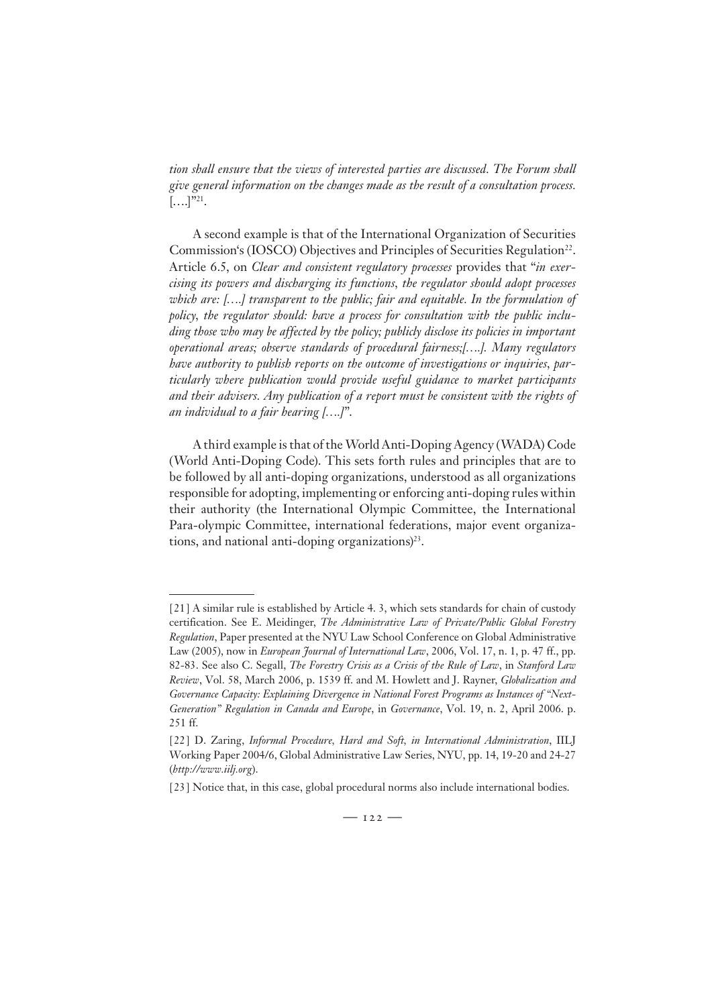*tion shall ensure that the views of interested parties are discussed. The Forum shall give general information on the changes made as the result of a consultation process.*  $[...]^{m_{21}}$ .

A second example is that of the International Organization of Securities Commission's (IOSCO) Objectives and Principles of Securities Regulation<sup>22</sup>. Article 6.5, on *Clear and consistent regulatory processes* provides that "*in exercising its powers and discharging its functions, the regulator should adopt processes which are: [….] transparent to the public; fair and equitable. In the formulation of policy, the regulator should: have a process for consultation with the public including those who may be affected by the policy; publicly disclose its policies in important operational areas; observe standards of procedural fairness;[….]. Many regulators have authority to publish reports on the outcome of investigations or inquiries, particularly where publication would provide useful guidance to market participants and their advisers. Any publication of a report must be consistent with the rights of an individual to a fair hearing [….]*".

A third example is that of the World Anti-Doping Agency (WADA) Code (World Anti-Doping Code). This sets forth rules and principles that are to be followed by all anti-doping organizations, understood as all organizations responsible for adopting, implementing or enforcing anti-doping rules within their authority (the International Olympic Committee, the International Para-olympic Committee, international federations, major event organizations, and national anti-doping organizations) $23$ .

<sup>[ 21 ]</sup> A similar rule is established by Article 4. 3, which sets standards for chain of custody certification. See E. Meidinger, *The Administrative Law of Private/Public Global Forestry Regulation*, Paper presented at the NYU Law School Conference on Global Administrative Law (2005), now in *European Journal of International Law*, 2006, Vol. 17, n. 1, p. 47 ff., pp. 82-83. See also C. Segall, *The Forestry Crisis as a Crisis of the Rule of Law*, in *Stanford Law Review*, Vol. 58, March 2006, p. 1539 ff. and M. Howlett and J. Rayner, *Globalization and Governance Capacity: Explaining Divergence in National Forest Programs as Instances of "Next-Generation" Regulation in Canada and Europe*, in *Governance*, Vol. 19, n. 2, April 2006. p. 251 ff.

<sup>[ 22 ]</sup> D. Zaring, *Informal Procedure, Hard and Soft, in International Administration*, IILJ Working Paper 2004/6, Global Administrative Law Series, NYU, pp. 14, 19-20 and 24-27 (*http://www.iilj.org*).

<sup>[ 23 ]</sup> Notice that, in this case, global procedural norms also include international bodies.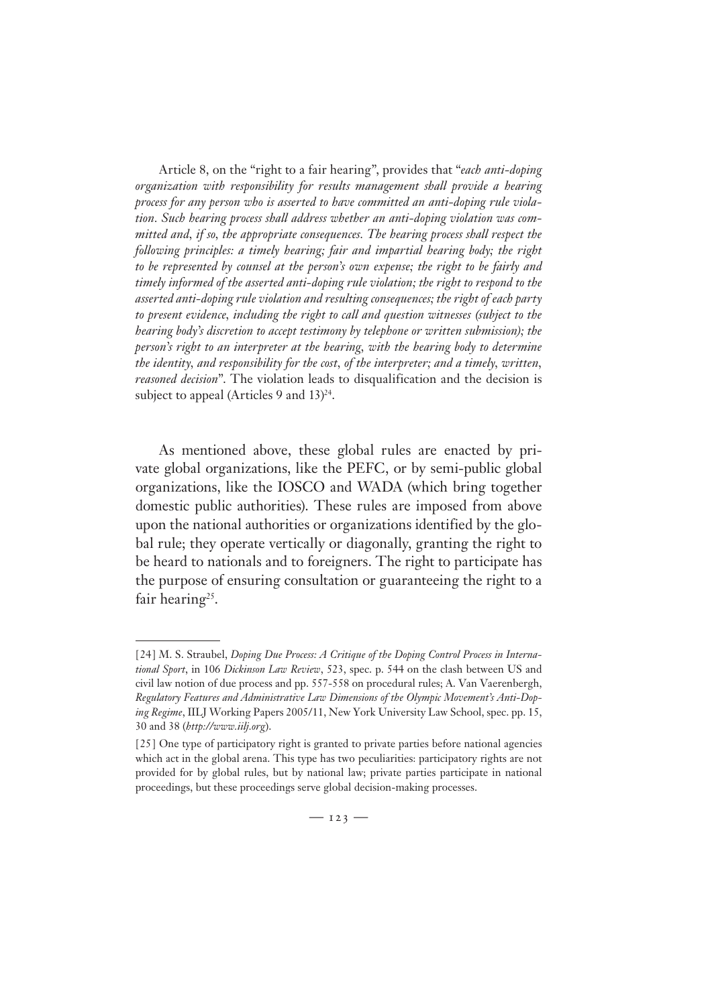Article 8, on the "right to a fair hearing", provides that "*each anti-doping organization with responsibility for results management shall provide a hearing process for any person who is asserted to have committed an anti-doping rule violation. Such hearing process shall address whether an anti-doping violation was committed and, if so, the appropriate consequences. The hearing process shall respect the following principles: a timely hearing; fair and impartial hearing body; the right to be represented by counsel at the person's own expense; the right to be fairly and timely informed of the asserted anti-doping rule violation; the right to respond to the asserted anti-doping rule violation and resulting consequences; the right of each party to present evidence, including the right to call and question witnesses (subject to the hearing body's discretion to accept testimony by telephone or written submission); the person's right to an interpreter at the hearing, with the hearing body to determine the identity, and responsibility for the cost, of the interpreter; and a timely, written, reasoned decision*". The violation leads to disqualification and the decision is subject to appeal (Articles 9 and  $13$ )<sup>24</sup>.

As mentioned above, these global rules are enacted by private global organizations, like the PEFC, or by semi-public global organizations, like the IOSCO and WADA (which bring together domestic public authorities). These rules are imposed from above upon the national authorities or organizations identified by the global rule; they operate vertically or diagonally, granting the right to be heard to nationals and to foreigners. The right to participate has the purpose of ensuring consultation or guaranteeing the right to a fair hearing<sup>25</sup>.

<sup>[ 24 ]</sup> M. S. Straubel, *Doping Due Process: A Critique of the Doping Control Process in International Sport*, in 106 *Dickinson Law Review*, 523, spec. p. 544 on the clash between US and civil law notion of due process and pp. 557-558 on procedural rules; A. Van Vaerenbergh, *Regulatory Features and Administrative Law Dimensions of the Olympic Movement's Anti-Doping Regime*, IILJ Working Papers 2005/11, New York University Law School, spec. pp. 15, 30 and 38 (*http://www.iilj.org*).

<sup>[25]</sup> One type of participatory right is granted to private parties before national agencies which act in the global arena. This type has two peculiarities: participatory rights are not provided for by global rules, but by national law; private parties participate in national proceedings, but these proceedings serve global decision-making processes.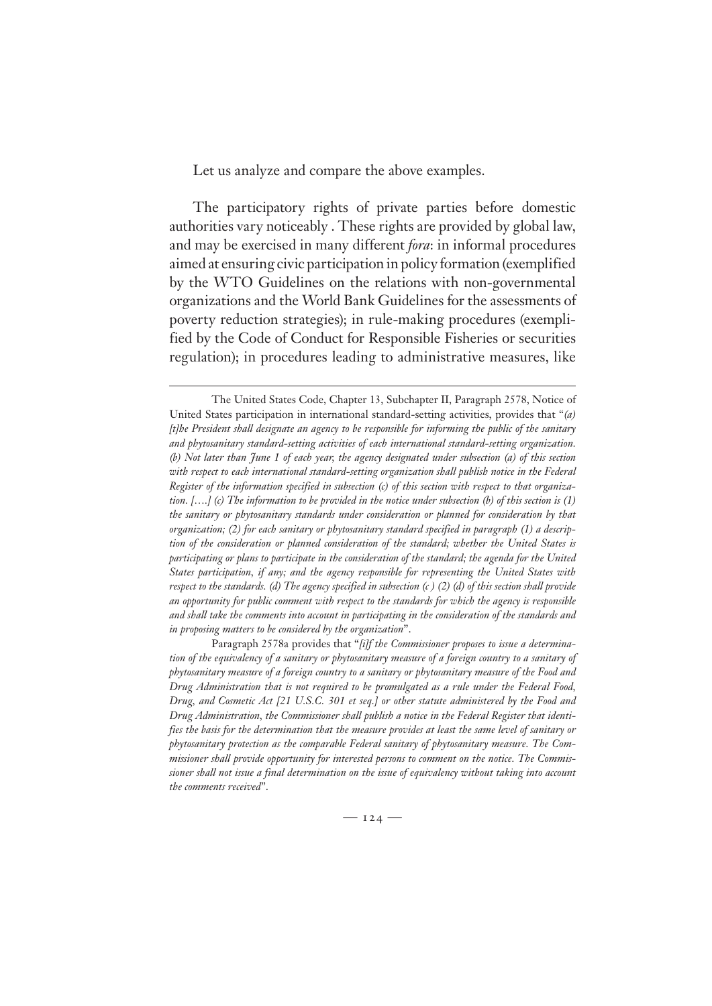Let us analyze and compare the above examples.

The participatory rights of private parties before domestic authorities vary noticeably . These rights are provided by global law, and may be exercised in many different *fora*: in informal procedures aimed at ensuring civic participation in policy formation (exemplified by the WTO Guidelines on the relations with non-governmental organizations and the World Bank Guidelines for the assessments of poverty reduction strategies); in rule-making procedures (exemplified by the Code of Conduct for Responsible Fisheries or securities regulation); in procedures leading to administrative measures, like

The United States Code, Chapter 13, Subchapter II, Paragraph 2578, Notice of United States participation in international standard-setting activities, provides that "*(a) [t]he President shall designate an agency to be responsible for informing the public of the sanitary and phytosanitary standard-setting activities of each international standard-setting organization. (b) Not later than June 1 of each year, the agency designated under subsection (a) of this section with respect to each international standard-setting organization shall publish notice in the Federal Register of the information specified in subsection (c) of this section with respect to that organization. [….] (c) The information to be provided in the notice under subsection (b) of this section is (1) the sanitary or phytosanitary standards under consideration or planned for consideration by that organization; (2) for each sanitary or phytosanitary standard specified in paragraph (1) a descrip*tion of the consideration or planned consideration of the standard; whether the United States is *participating or plans to participate in the consideration of the standard; the agenda for the United States participation, if any; and the agency responsible for representing the United States with respect to the standards. (d) The agency specified in subsection (c ) (2) (d) of this section shall provide an opportunity for public comment with respect to the standards for which the agency is responsible and shall take the comments into account in participating in the consideration of the standards and in proposing matters to be considered by the organization*".

Paragraph 2578a provides that "*[i]f the Commissioner proposes to issue a determination of the equivalency of a sanitary or phytosanitary measure of a foreign country to a sanitary of phytosanitary measure of a foreign country to a sanitary or phytosanitary measure of the Food and Drug Administration that is not required to be promulgated as a rule under the Federal Food, Drug, and Cosmetic Act [21 U.S.C. 301 et seq.] or other statute administered by the Food and Drug Administration, the Commissioner shall publish a notice in the Federal Register that identifies the basis for the determination that the measure provides at least the same level of sanitary or phytosanitary protection as the comparable Federal sanitary of phytosanitary measure. The Commissioner shall provide opportunity for interested persons to comment on the notice. The Commissioner shall not issue a final determination on the issue of equivalency without taking into account the comments received*".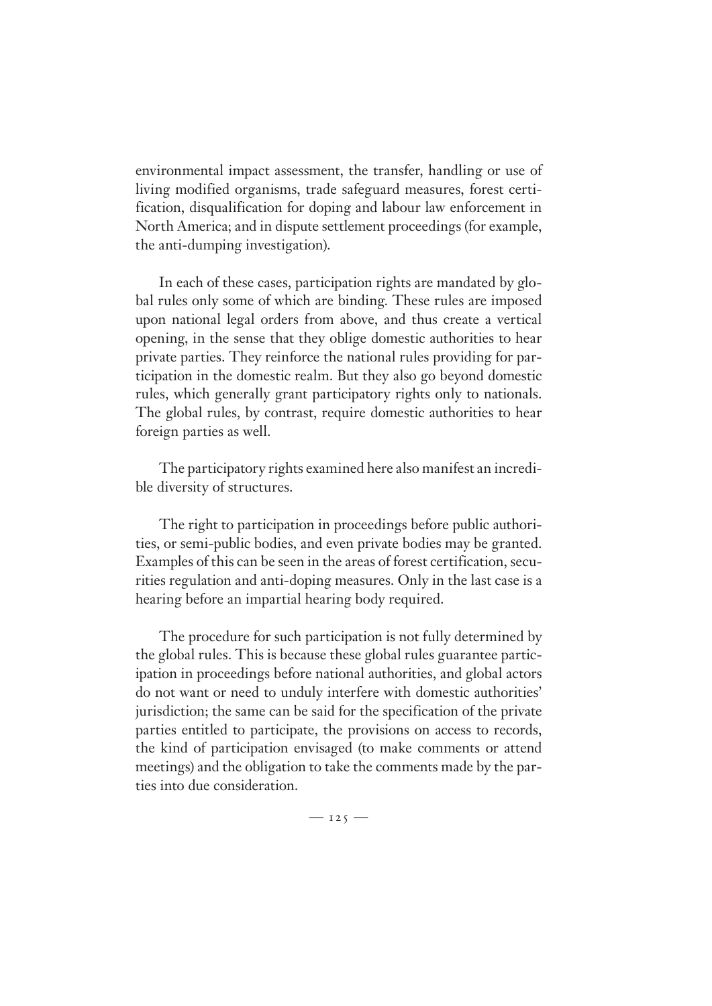environmental impact assessment, the transfer, handling or use of living modified organisms, trade safeguard measures, forest certification, disqualification for doping and labour law enforcement in North America; and in dispute settlement proceedings (for example, the anti-dumping investigation).

In each of these cases, participation rights are mandated by global rules only some of which are binding. These rules are imposed upon national legal orders from above, and thus create a vertical opening, in the sense that they oblige domestic authorities to hear private parties. They reinforce the national rules providing for participation in the domestic realm. But they also go beyond domestic rules, which generally grant participatory rights only to nationals. The global rules, by contrast, require domestic authorities to hear foreign parties as well.

The participatory rights examined here also manifest an incredible diversity of structures.

The right to participation in proceedings before public authorities, or semi-public bodies, and even private bodies may be granted. Examples of this can be seen in the areas of forest certification, securities regulation and anti-doping measures. Only in the last case is a hearing before an impartial hearing body required.

The procedure for such participation is not fully determined by the global rules. This is because these global rules guarantee participation in proceedings before national authorities, and global actors do not want or need to unduly interfere with domestic authorities' jurisdiction; the same can be said for the specification of the private parties entitled to participate, the provisions on access to records, the kind of participation envisaged (to make comments or attend meetings) and the obligation to take the comments made by the parties into due consideration.

 $-125 -$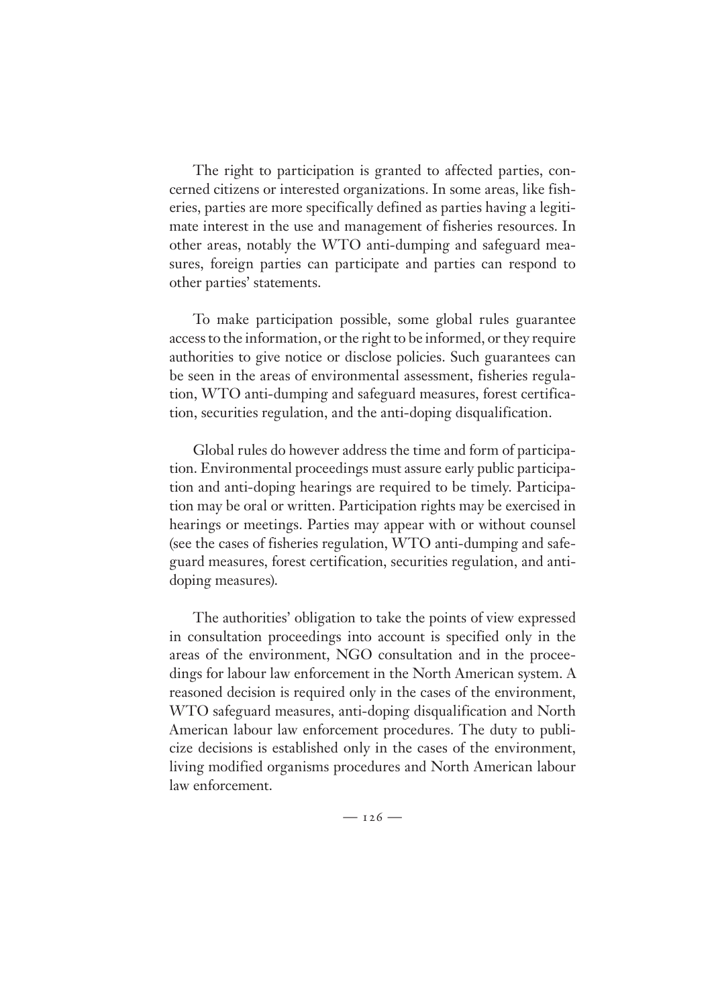The right to participation is granted to affected parties, concerned citizens or interested organizations. In some areas, like fisheries, parties are more specifically defined as parties having a legitimate interest in the use and management of fisheries resources. In other areas, notably the WTO anti-dumping and safeguard measures, foreign parties can participate and parties can respond to other parties' statements.

To make participation possible, some global rules guarantee access to the information, or the right to be informed, or they require authorities to give notice or disclose policies. Such guarantees can be seen in the areas of environmental assessment, fisheries regulation, WTO anti-dumping and safeguard measures, forest certification, securities regulation, and the anti-doping disqualification.

Global rules do however address the time and form of participation. Environmental proceedings must assure early public participation and anti-doping hearings are required to be timely. Participation may be oral or written. Participation rights may be exercised in hearings or meetings. Parties may appear with or without counsel (see the cases of fisheries regulation, WTO anti-dumping and safeguard measures, forest certification, securities regulation, and antidoping measures).

The authorities' obligation to take the points of view expressed in consultation proceedings into account is specified only in the areas of the environment, NGO consultation and in the proceedings for labour law enforcement in the North American system. A reasoned decision is required only in the cases of the environment, WTO safeguard measures, anti-doping disqualification and North American labour law enforcement procedures. The duty to publicize decisions is established only in the cases of the environment, living modified organisms procedures and North American labour law enforcement.

 $-126-$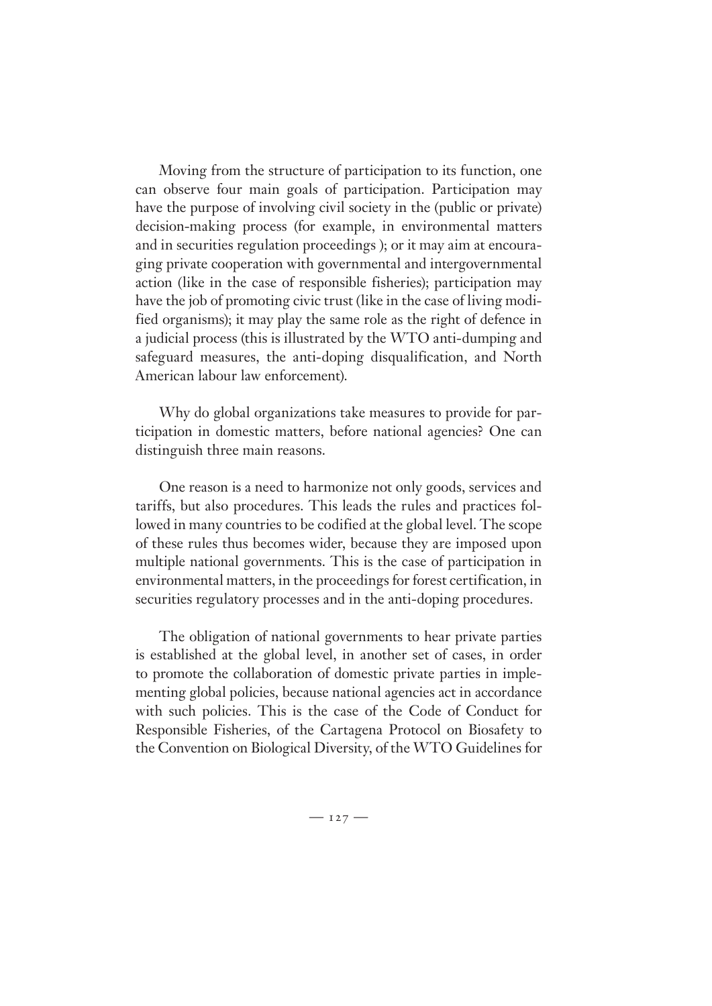Moving from the structure of participation to its function, one can observe four main goals of participation. Participation may have the purpose of involving civil society in the (public or private) decision-making process (for example, in environmental matters and in securities regulation proceedings ); or it may aim at encouraging private cooperation with governmental and intergovernmental action (like in the case of responsible fisheries); participation may have the job of promoting civic trust (like in the case of living modified organisms); it may play the same role as the right of defence in a judicial process (this is illustrated by the WTO anti-dumping and safeguard measures, the anti-doping disqualification, and North American labour law enforcement).

Why do global organizations take measures to provide for participation in domestic matters, before national agencies? One can distinguish three main reasons.

One reason is a need to harmonize not only goods, services and tariffs, but also procedures. This leads the rules and practices followed in many countries to be codified at the global level. The scope of these rules thus becomes wider, because they are imposed upon multiple national governments. This is the case of participation in environmental matters, in the proceedings for forest certification, in securities regulatory processes and in the anti-doping procedures.

The obligation of national governments to hear private parties is established at the global level, in another set of cases, in order to promote the collaboration of domestic private parties in implementing global policies, because national agencies act in accordance with such policies. This is the case of the Code of Conduct for Responsible Fisheries, of the Cartagena Protocol on Biosafety to the Convention on Biological Diversity, of the WTO Guidelines for

 $-127-$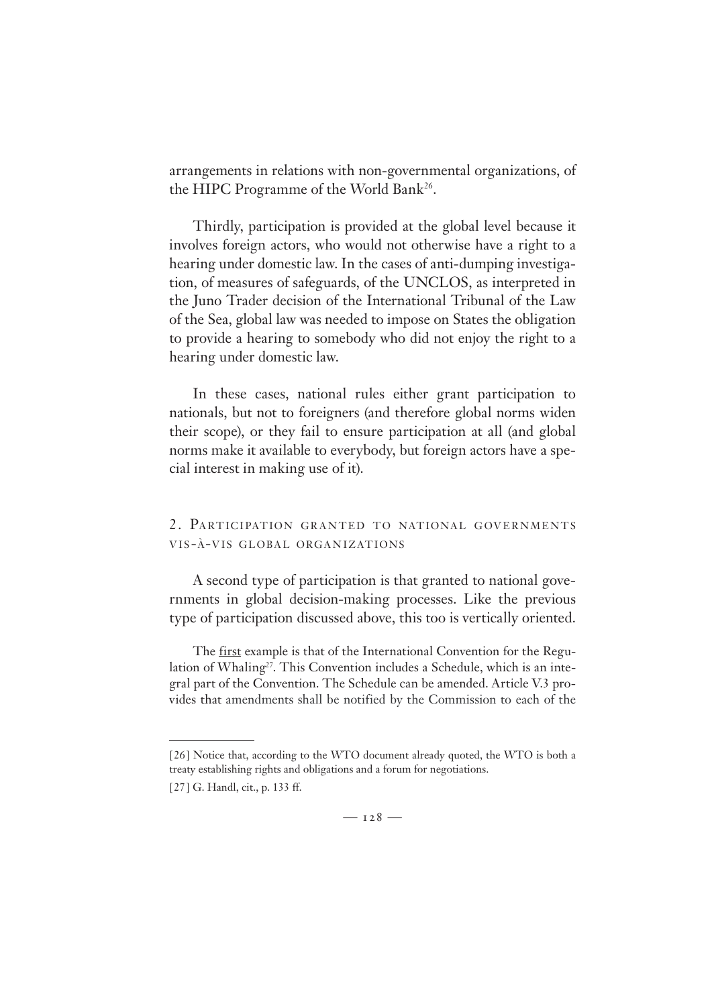arrangements in relations with non-governmental organizations, of the HIPC Programme of the World Bank<sup>26</sup>.

Thirdly, participation is provided at the global level because it involves foreign actors, who would not otherwise have a right to a hearing under domestic law. In the cases of anti-dumping investigation, of measures of safeguards, of the UNCLOS, as interpreted in the Juno Trader decision of the International Tribunal of the Law of the Sea, global law was needed to impose on States the obligation to provide a hearing to somebody who did not enjoy the right to a hearing under domestic law.

In these cases, national rules either grant participation to nationals, but not to foreigners (and therefore global norms widen their scope), or they fail to ensure participation at all (and global norms make it available to everybody, but foreign actors have a special interest in making use of it).

## 2. PARTICIPATION GRANTED TO NATIONAL GOVERNMENTS VIS -À-VIS GLOBAL ORGANIZATIONS

A second type of participation is that granted to national governments in global decision-making processes. Like the previous type of participation discussed above, this too is vertically oriented.

The first example is that of the International Convention for the Regulation of Whaling<sup>27</sup>. This Convention includes a Schedule, which is an integral part of the Convention. The Schedule can be amended. Article V.3 provides that amendments shall be notified by the Commission to each of the

<sup>[26]</sup> Notice that, according to the WTO document already quoted, the WTO is both a treaty establishing rights and obligations and a forum for negotiations.

<sup>[ 27 ]</sup> G. Handl, cit., p. 133 ff.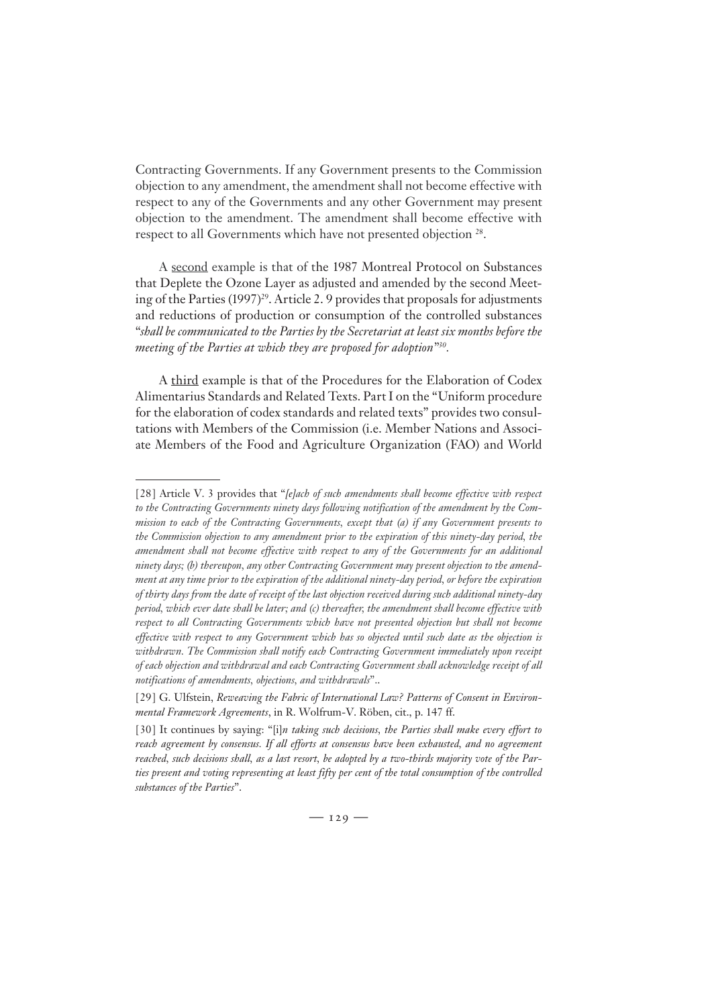Contracting Governments. If any Government presents to the Commission objection to any amendment, the amendment shall not become effective with respect to any of the Governments and any other Government may present objection to the amendment. The amendment shall become effective with respect to all Governments which have not presented objection 28.

A second example is that of the 1987 Montreal Protocol on Substances that Deplete the Ozone Layer as adjusted and amended by the second Meeting of the Parties (1997)<sup>29</sup>. Article 2. 9 provides that proposals for adjustments and reductions of production or consumption of the controlled substances "*shall be communicated to the Parties by the Secretariat at least six months before the meeting of the Parties at which they are proposed for adoption"30.*

A third example is that of the Procedures for the Elaboration of Codex Alimentarius Standards and Related Texts. Part I on the "Uniform procedure for the elaboration of codex standards and related texts" provides two consultations with Members of the Commission (i.e. Member Nations and Associate Members of the Food and Agriculture Organization (FAO) and World

<sup>[28]</sup> Article V. 3 provides that "*[e]ach of such amendments shall become effective with respect to the Contracting Governments ninety days following notification of the amendment by the Commission to each of the Contracting Governments, except that (a) if any Government presents to the Commission objection to any amendment prior to the expiration of this ninety-day period, the amendment shall not become effective with respect to any of the Governments for an additional ninety days; (b) thereupon, any other Contracting Government may present objection to the amendment at any time prior to the expiration of the additional ninety-day period, or before the expiration of thirty days from the date of receipt of the last objection received during such additional ninety-day period, which ever date shall be later; and (c) thereafter, the amendment shall become effective with respect to all Contracting Governments which have not presented objection but shall not become effective with respect to any Government which has so objected until such date as the objection is withdrawn. The Commission shall notify each Contracting Government immediately upon receipt of each objection and withdrawal and each Contracting Government shall acknowledge receipt of all notifications of amendments, objections, and withdrawals*"..

<sup>[29]</sup> G. Ulfstein, *Reweaving the Fabric of International Law? Patterns of Consent in Environmental Framework Agreements*, in R. Wolfrum-V. Röben, cit., p. 147 ff.

<sup>[ 30 ]</sup> It continues by saying: "[i]*n taking such decisions, the Parties shall make every effort to*  reach agreement by consensus. If all efforts at consensus have been exhausted, and no agreement *reached, such decisions shall, as a last resort, be adopted by a two-thirds majority vote of the Parties present and voting representing at least fifty per cent of the total consumption of the controlled substances of the Parties*".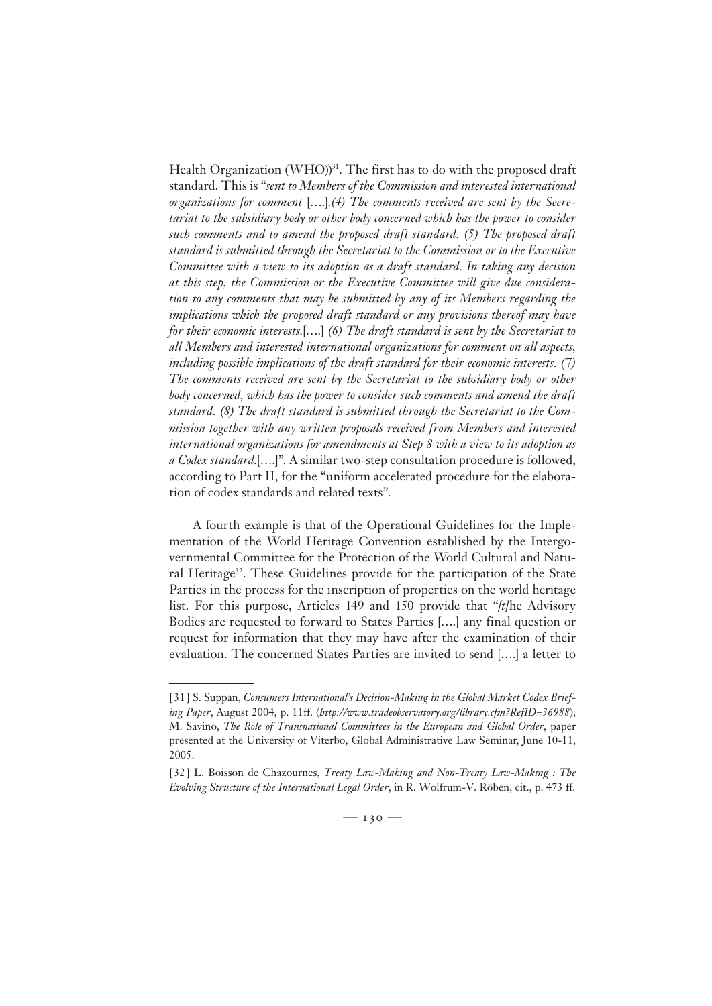Health Organization (WHO))<sup>31</sup>. The first has to do with the proposed draft standard. This is "*sent to Members of the Commission and interested international organizations for comment* [….]*.(4) The comments received are sent by the Secretariat to the subsidiary body or other body concerned which has the power to consider such comments and to amend the proposed draft standard. (5) The proposed draft standard is submitted through the Secretariat to the Commission or to the Executive Committee with a view to its adoption as a draft standard. In taking any decision at this step, the Commission or the Executive Committee will give due consideration to any comments that may be submitted by any of its Members regarding the implications which the proposed draft standard or any provisions thereof may have for their economic interests.*[….] *(6) The draft standard is sent by the Secretariat to all Members and interested international organizations for comment on all aspects, including possible implications of the draft standard for their economic interests. (7) The comments received are sent by the Secretariat to the subsidiary body or other body concerned, which has the power to consider such comments and amend the draft standard. (8) The draft standard is submitted through the Secretariat to the Commission together with any written proposals received from Members and interested international organizations for amendments at Step 8 with a view to its adoption as a Codex standard.*[….]"*.* A similar two-step consultation procedure is followed, according to Part II, for the "uniform accelerated procedure for the elaboration of codex standards and related texts".

A fourth example is that of the Operational Guidelines for the Implementation of the World Heritage Convention established by the Intergovernmental Committee for the Protection of the World Cultural and Natural Heritage<sup>32</sup>. These Guidelines provide for the participation of the State Parties in the process for the inscription of properties on the world heritage list. For this purpose, Articles 149 and 150 provide that "*[t]*he Advisory Bodies are requested to forward to States Parties [….] any final question or request for information that they may have after the examination of their evaluation. The concerned States Parties are invited to send [….] a letter to

<sup>[ 31 ]</sup> S. Suppan, *Consumers International's Decision-Making in the Global Market Codex Briefing Paper*, August 2004, p. 11ff. (*http://www.tradeobservatory.org/library.cfm?RefID=36988*); M. Savino, *The Role of Transnational Committees in the European and Global Order*, paper presented at the University of Viterbo, Global Administrative Law Seminar, June 10-11, 2005.

<sup>[ 32 ]</sup> L. Boisson de Chazournes, *Treaty Law-Making and Non-Treaty Law-Making : The Evolving Structure of the International Legal Order*, in R. Wolfrum-V. Röben, cit., p. 473 ff.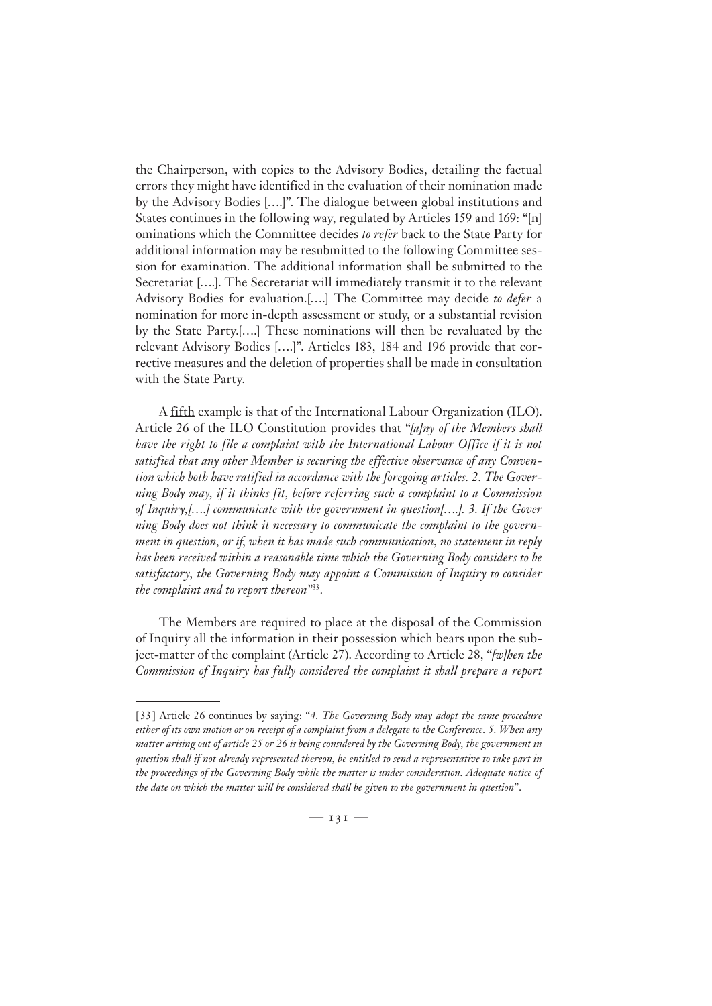the Chairperson, with copies to the Advisory Bodies, detailing the factual errors they might have identified in the evaluation of their nomination made by the Advisory Bodies [….]". The dialogue between global institutions and States continues in the following way, regulated by Articles 159 and 169: "[n] ominations which the Committee decides *to refer* back to the State Party for additional information may be resubmitted to the following Committee session for examination. The additional information shall be submitted to the Secretariat [….]. The Secretariat will immediately transmit it to the relevant Advisory Bodies for evaluation.[….] The Committee may decide *to defer* a nomination for more in-depth assessment or study, or a substantial revision by the State Party.[….] These nominations will then be revaluated by the relevant Advisory Bodies [….]". Articles 183, 184 and 196 provide that corrective measures and the deletion of properties shall be made in consultation with the State Party.

A fifth example is that of the International Labour Organization (ILO). Article 26 of the ILO Constitution provides that "*[a]ny of the Members shall have the right to file a complaint with the International Labour Office if it is not sa tisfied that any other Member is securing the effective observance of any Convention which both have ratified in accordance with the foregoing articles. 2. The Governing Body may, if it thinks fit, before referring such a complaint to a Commission of Inquiry,[….] communicate with the government in question[….]. 3. If the Gover ning Body does not think it necessary to communicate the complaint to the government in question, or if, when it has made such communication, no statement in reply has been received within a reasonable time which the Governing Body considers to be satisfactory, the Governing Body may appoint a Commission of Inquiry to consider the complaint and to report thereon"*<sup>33</sup>*.* 

The Members are required to place at the disposal of the Commission of Inquiry all the information in their possession which bears upon the subject-matter of the complaint (Article 27). According to Article 28, "*[w]hen the Commission of Inquiry has fully considered the complaint it shall prepare a report* 

<sup>[ 33 ]</sup> Article 26 continues by saying: "*4. The Governing Body may adopt the same procedure either of its own motion or on receipt of a complaint from a delegate to the Conference. 5. When any matter arising out of article 25 or 26 is being considered by the Governing Body, the government in question shall if not already represented thereon, be entitled to send a representative to take part in the proceedings of the Governing Body while the matter is under consideration. Adequate notice of the date on which the matter will be considered shall be given to the government in question*".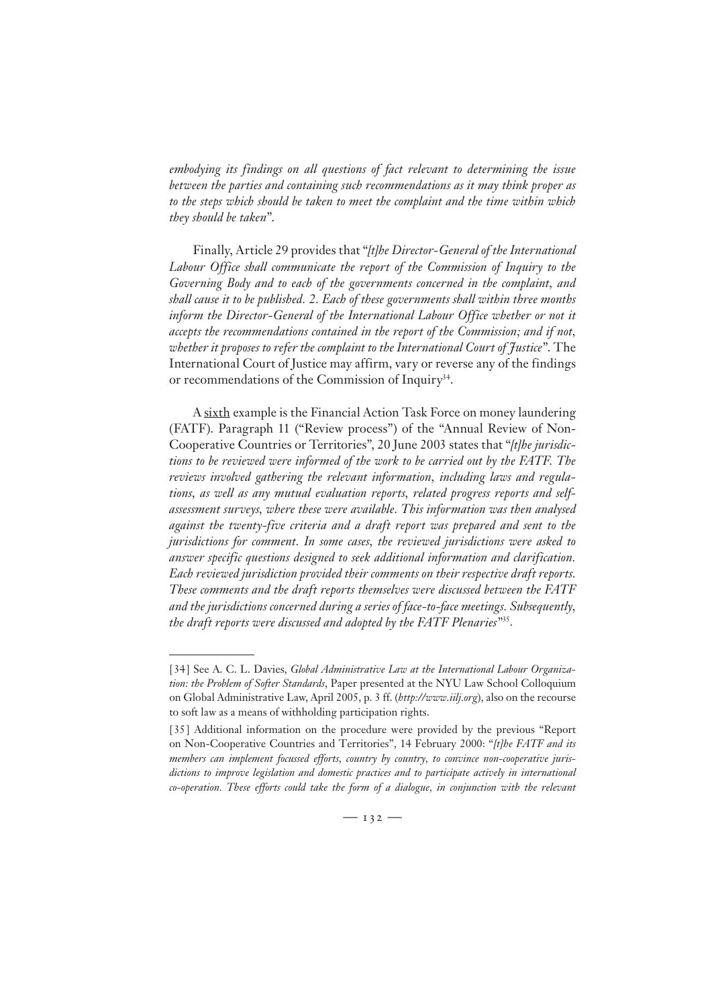*embodying its findings on all questions of fact relevant to determining the issue between the parties and containing such recommendations as it may think proper as to the steps which should be taken to meet the complaint and the time within which they should be taken*".

Finally, Article 29 provides that "*[t]he Director-General of the International Labour Office shall communicate the report of the Commission of Inquiry to the Governing Body and to each of the governments concerned in the complaint, and shall cause it to be published. 2. Each of these governments shall within three months*  inform the Director-General of the International Labour Office whether or not it *accepts the recommendations contained in the report of the Commission; and if not, whether it proposes to refer the complaint to the International Court of Justice*". The International Court of Justice may affirm, vary or reverse any of the findings or recommendations of the Commission of Inquiry<sup>34</sup>.

A sixth example is the Financial Action Task Force on money laundering (FATF). Paragraph 11 ("Review process") of the "Annual Review of Non-Cooperative Countries or Territories", 20 June 2003 states that "*[t]he jurisdictions to be reviewed were informed of the work to be carried out by the FATF. The reviews involved gathering the relevant information, including laws and regulations, as well as any mutual evaluation reports, related progress reports and selfassessment surveys, where these were available. This information was then analysed against the twenty-five criteria and a draft report was prepared and sent to the jurisdictions for comment. In some cases, the reviewed jurisdictions were asked to answer specific questions designed to seek additional information and clarification. Each reviewed jurisdiction provided their comments on their respective draft reports. These comments and the draft reports themselves were discussed between the FATF and the jurisdictions concerned during a series of face-to-face meetings. Subsequently, the draft reports were discussed and adopted by the FATF Plenaries"*<sup>35</sup>*.*

<sup>[34]</sup> See A. C. L. Davies, *Global Administrative Law at the International Labour Organization: the Problem of Softer Standards*, Paper presented at the NYU Law School Colloquium on Global Administrative Law, April 2005, p. 3 ff. (*http://www.iilj.org*), also on the recourse to soft law as a means of withholding participation rights.

<sup>[35]</sup> Additional information on the procedure were provided by the previous "Report on Non-Cooperative Countries and Territories", 14 February 2000: "*[t]he FATF and its members can implement focussed efforts, country by country, to convince non-cooperative jurisdictions to improve legislation and domestic practices and to participate actively in international co-operation. These efforts could take the form of a dialogue, in conjunction with the relevant*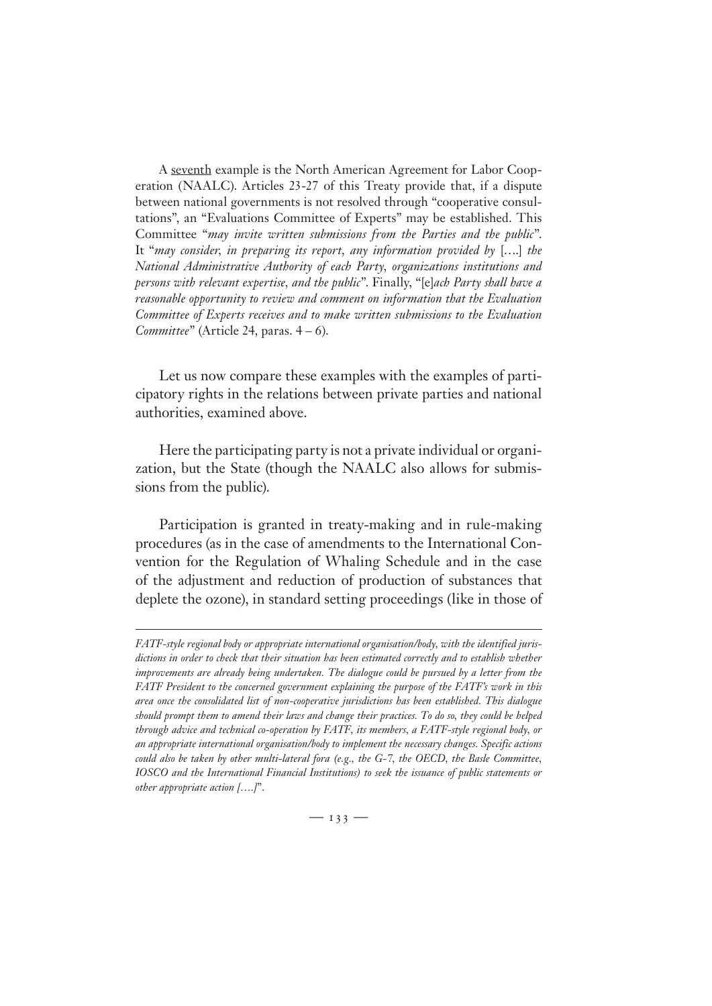A seventh example is the North American Agreement for Labor Cooperation (NAALC). Articles 23-27 of this Treaty provide that, if a dispute between national governments is not resolved through "cooperative consultations", an "Evaluations Committee of Experts" may be established. This Committee "*may invite written submissions from the Parties and the public*". It "*may consider, in preparing its report, any information provided by* [….] *the National Administrative Authority of each Party, organizations institutions and persons with relevant expertise, and the public*". Finally, "[e]*ach Party shall have a reasonable opportunity to review and comment on information that the Evaluation Committee of Experts receives and to make written submissions to the Evaluation Committee*" (Article 24, paras. 4 – 6).

Let us now compare these examples with the examples of participatory rights in the relations between private parties and national authorities, examined above.

Here the participating party is not a private individual or organization, but the State (though the NAALC also allows for submissions from the public).

Participation is granted in treaty-making and in rule-making procedures (as in the case of amendments to the International Convention for the Regulation of Whaling Schedule and in the case of the adjustment and reduction of production of substances that deplete the ozone), in standard setting proceedings (like in those of

*FATF-style regional body or appropriate international organisation/body, with the identified jurisdictions in order to check that their situation has been estimated correctly and to establish whether improvements are already being undertaken. The dialogue could be pursued by a letter from the FATF President to the concerned government explaining the purpose of the FATF's work in this area once the consolidated list of non-cooperative jurisdictions has been established. This dialogue should prompt them to amend their laws and change their practices. To do so, they could be helped through advice and technical co-operation by FATF, its members, a FATF-style regional body, or an appropriate international organisation/body to implement the necessary changes. Specific actions could also be taken by other multi-lateral fora (e.g., the G-7, the OECD, the Basle Committee, IOSCO and the International Financial Institutions) to seek the issuance of public statements or other appropriate action [….]*".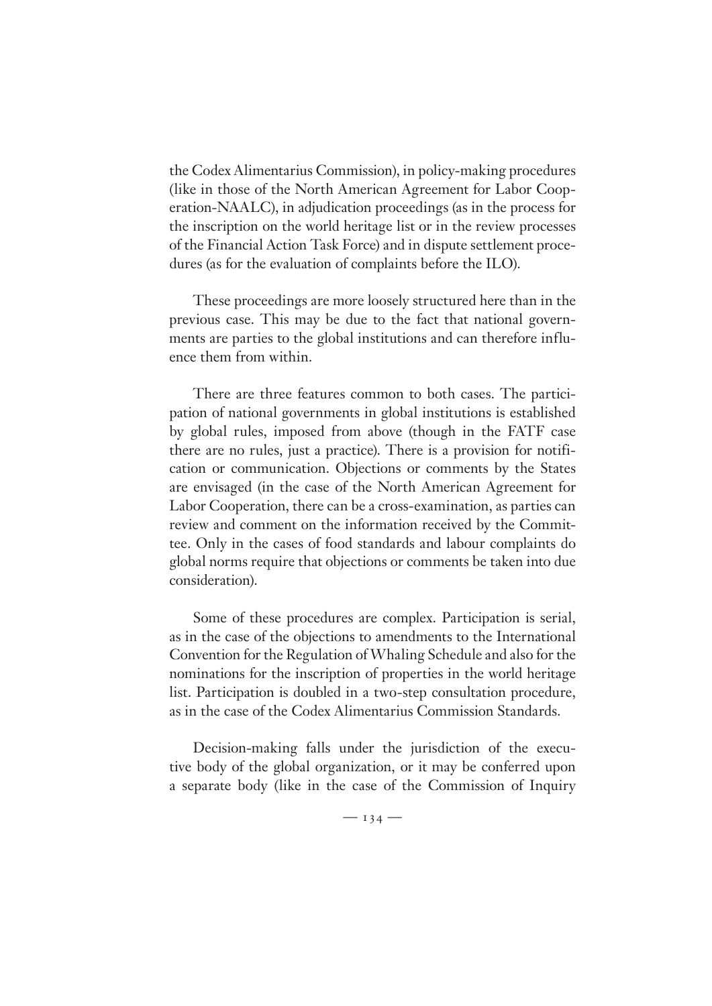the Codex Alimentarius Commission), in policy-making procedures (like in those of the North American Agreement for Labor Cooperation-NAALC), in adjudication proceedings (as in the process for the inscription on the world heritage list or in the review processes of the Financial Action Task Force) and in dispute settlement procedures (as for the evaluation of complaints before the ILO).

These proceedings are more loosely structured here than in the previous case. This may be due to the fact that national governments are parties to the global institutions and can therefore influence them from within.

There are three features common to both cases. The participation of national governments in global institutions is established by global rules, imposed from above (though in the FATF case there are no rules, just a practice). There is a provision for notification or communication. Objections or comments by the States are envisaged (in the case of the North American Agreement for Labor Cooperation, there can be a cross-examination, as parties can review and comment on the information received by the Committee. Only in the cases of food standards and labour complaints do global norms require that objections or comments be taken into due consideration).

Some of these procedures are complex. Participation is serial, as in the case of the objections to amendments to the International Convention for the Regulation of Whaling Schedule and also for the nominations for the inscription of properties in the world heritage list. Participation is doubled in a two-step consultation procedure, as in the case of the Codex Alimentarius Commission Standards.

Decision-making falls under the jurisdiction of the executive body of the global organization, or it may be conferred upon a separate body (like in the case of the Commission of Inquiry

 $-134-$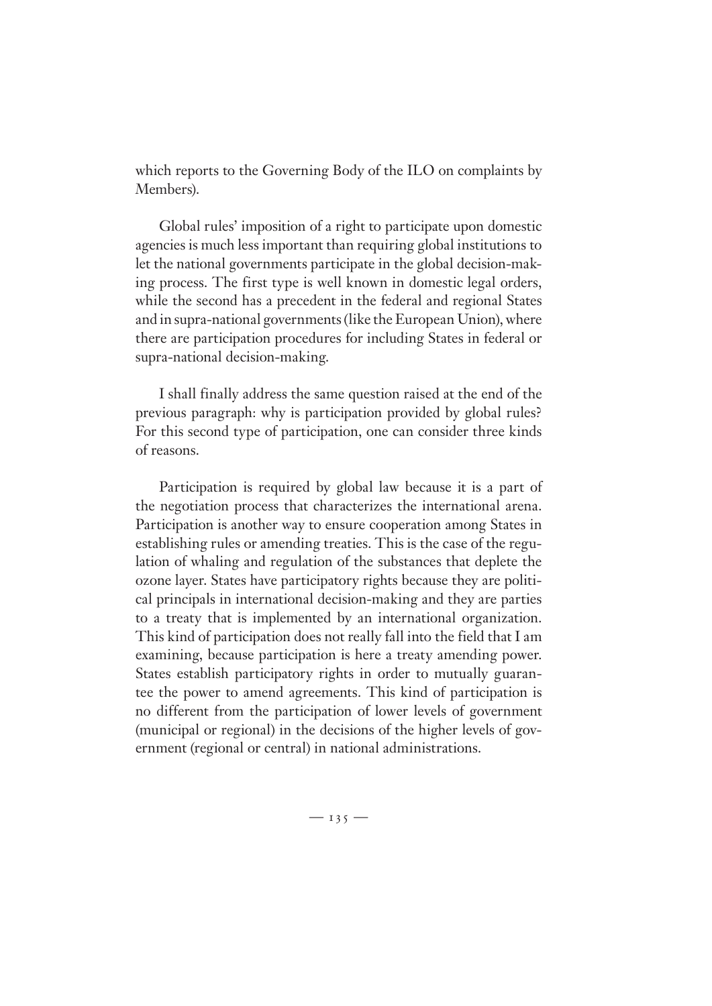which reports to the Governing Body of the ILO on complaints by Members).

Global rules' imposition of a right to participate upon domestic agencies is much less important than requiring global institutions to let the national governments participate in the global decision-making process. The first type is well known in domestic legal orders, while the second has a precedent in the federal and regional States and in supra-national governments (like the European Union), where there are participation procedures for including States in federal or supra-national decision-making.

I shall finally address the same question raised at the end of the previous paragraph: why is participation provided by global rules? For this second type of participation, one can consider three kinds of reasons.

Participation is required by global law because it is a part of the negotiation process that characterizes the international arena. Participation is another way to ensure cooperation among States in establishing rules or amending treaties. This is the case of the regulation of whaling and regulation of the substances that deplete the ozone layer. States have participatory rights because they are political principals in international decision-making and they are parties to a treaty that is implemented by an international organization. This kind of participation does not really fall into the field that I am examining, because participation is here a treaty amending power. States establish participatory rights in order to mutually guarantee the power to amend agreements. This kind of participation is no different from the participation of lower levels of government (municipal or regional) in the decisions of the higher levels of government (regional or central) in national administrations.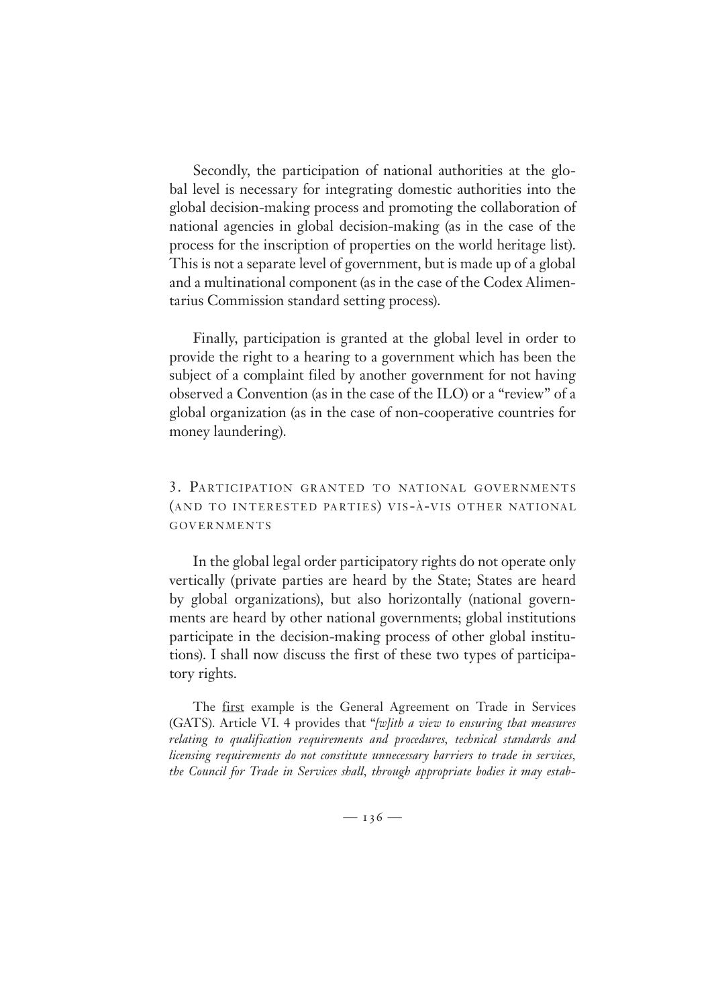Secondly, the participation of national authorities at the global level is necessary for integrating domestic authorities into the global decision-making process and promoting the collaboration of national agencies in global decision-making (as in the case of the process for the inscription of properties on the world heritage list). This is not a separate level of government, but is made up of a global and a multinational component (as in the case of the Codex Alimentarius Commission standard setting process).

Finally, participation is granted at the global level in order to provide the right to a hearing to a government which has been the subject of a complaint filed by another government for not having observed a Convention (as in the case of the ILO) or a "review" of a global organization (as in the case of non-cooperative countries for money laundering).

## 3. PARTICIPATION GRANTED TO NATIONAL GOVERNMENTS (AND TO INTERESTED PARTIES) VIS-À-VIS OTHER NATIONAL GOVERNMENTS

In the global legal order participatory rights do not operate only vertically (private parties are heard by the State; States are heard by global organizations), but also horizontally (national governments are heard by other national governments; global institutions participate in the decision-making process of other global institutions). I shall now discuss the first of these two types of participatory rights.

The first example is the General Agreement on Trade in Services (GATS). Article VI. 4 provides that "*[w]ith a view to ensuring that measures relating to qualification requirements and procedures, technical standards and licensing requirements do not constitute unnecessary barriers to trade in services, the Council for Trade in Services shall, through appropriate bodies it may estab-*

 $-136-$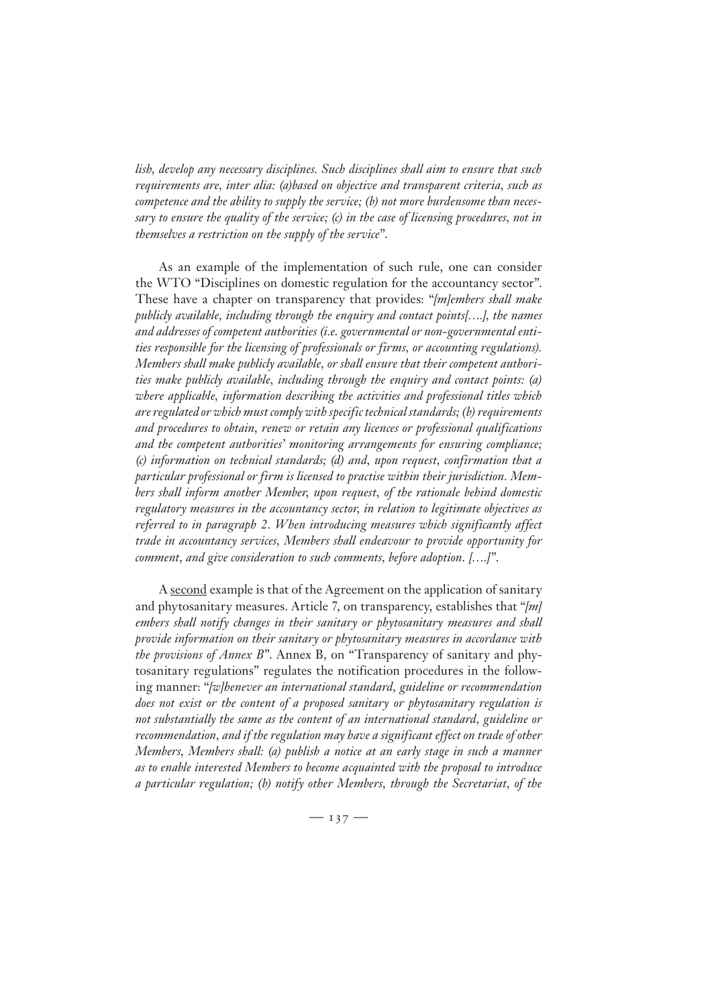*lish, develop any necessary disciplines. Such disciplines shall aim to ensure that such requirements are, inter alia: (a)based on objective and transparent criteria, such as competence and the ability to supply the service; (b) not more burdensome than necessary to ensure the quality of the service; (c) in the case of licensing procedures, not in themselves a restriction on the supply of the service*".

As an example of the implementation of such rule, one can consider the WTO "Disciplines on domestic regulation for the accountancy sector". These have a chapter on transparency that provides: "*[m]embers shall make publicly available, including through the enquiry and contact points[….], the names and addresses of competent authorities (i.e. governmental or non-governmental entities responsible for the licensing of professionals or firms, or accounting regulations). Members shall make publicly available, or shall ensure that their competent authorities make publicly available, including through the enquiry and contact points: (a) where applicable, information describing the activities and professional titles which are regulated or which must comply with specific technical standards; (b) requirements and procedures to obtain, renew or retain any licences or professional qualifications and the competent authorities' monitoring arrangements for ensuring compliance; (c) information on technical standards; (d) and, upon request, confirmation that a particular professional or firm is licensed to practise within their jurisdiction. Members shall inform another Member, upon request, of the rationale behind domestic regulatory measures in the accountancy sector, in relation to legitimate objectives as referred to in paragraph 2. When introducing measures which significantly affect trade in accountancy services, Members shall endeavour to provide opportunity for comment, and give consideration to such comments, before adoption. [….]*".

A second example is that of the Agreement on the application of sanitary and phytosanitary measures. Article 7, on transparency, establishes that "*[m] embers shall notify changes in their sanitary or phytosanitary measures and shall provide information on their sanitary or phytosanitary measures in accordance with the provisions of Annex B*". Annex B, on "Transparency of sanitary and phytosanitary regulations" regulates the notification procedures in the following manner: "*[w]henever an international standard, guideline or recommendation does not exist or the content of a proposed sanitary or phytosanitary regulation is not substantially the same as the content of an international standard, guideline or re commendation, and if the regulation may have a significant effect on trade of other Members, Members shall: (a) publish a notice at an early stage in such a manner as to enable interested Members to become acquainted with the proposal to introduce a particular regulation; (b) notify other Members, through the Secretariat, of the* 

 $-137-$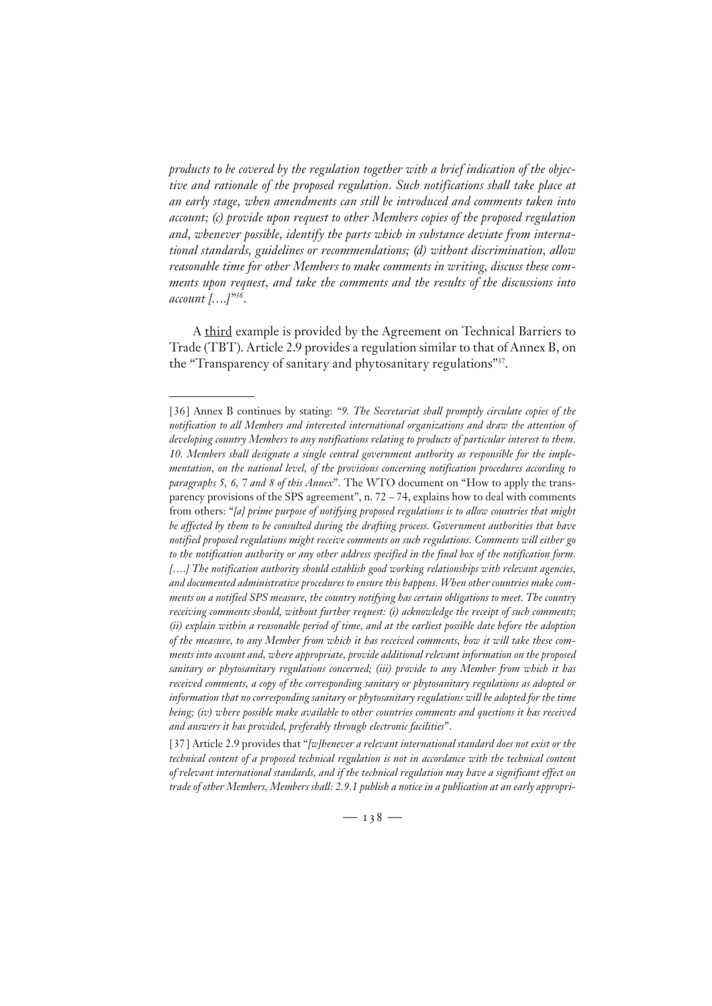*products to be covered by the regulation together with a brief indication of the objective and rationale of the proposed regulation. Such notifications shall take place at an early stage, when amendments can still be introduced and comments taken into account; (c) provide upon request to other Members copies of the proposed regulation and, whenever possible, identify the parts which in substance deviate from international standards, guidelines or recommendations; (d) without discrimination, allow reasonable time for other Members to make comments in writing, discuss these comments upon request, and take the comments and the results of the discussions into account [….]"36*.

A third example is provided by the Agreement on Technical Barriers to Trade (TBT). Article 2.9 provides a regulation similar to that of Annex B, on the "Transparency of sanitary and phytosanitary regulations"37.

[ 37 ] Article 2.9 provides that "*[w]henever a relevant international standard does not exist or the technical content of a proposed technical regulation is not in accordance with the technical content of relevant international standards, and if the technical regulation may have a significant effect on trade of other Members, Members shall: 2.9.1 publish a notice in a publication at an early appropri-*

<sup>[36]</sup> Annex B continues by stating: "9. The Secretariat shall promptly circulate copies of the *notification to all Members and interested international organizations and draw the attention of developing country Members to any notifications relating to products of particular interest to them. 10. Members shall designate a single central government authority as responsible for the implementation, on the national level, of the provisions concerning notification procedures according to paragraphs 5, 6, 7 and 8 of this Annex*". The WTO document on "How to apply the transparency provisions of the SPS agreement", n. 72 – 74, explains how to deal with comments from others: "*[a] prime purpose of notifying proposed regulations is to allow countries that might be affected by them to be consulted during the drafting process. Government authorities that have notified proposed regulations might receive comments on such regulations. Comments will either go to the notification authority or any other address specified in the final box of the notification form. [….] The notification authority should establish good working relationships with relevant agencies, and documented administrative procedures to ensure this happens. When other countries make comments on a notified SPS measure, the country notifying has certain obligations to meet. The country receiving comments should, without further request: (i) acknowledge the receipt of such comments; (ii) explain within a reasonable period of time, and at the earliest possible date before the adoption of the measure, to any Member from which it has received comments, how it will take these comments into account and, where appropriate, provide additional relevant information on the proposed sanitary or phytosanitary regulations concerned; (iii) provide to any Member from which it has received comments, a copy of the corresponding sanitary or phytosanitary regulations as adopted or information that no corresponding sanitary or phytosanitary regulations will be adopted for the time being; (iv) where possible make available to other countries comments and questions it has received and answers it has provided, preferably through electronic facilities*".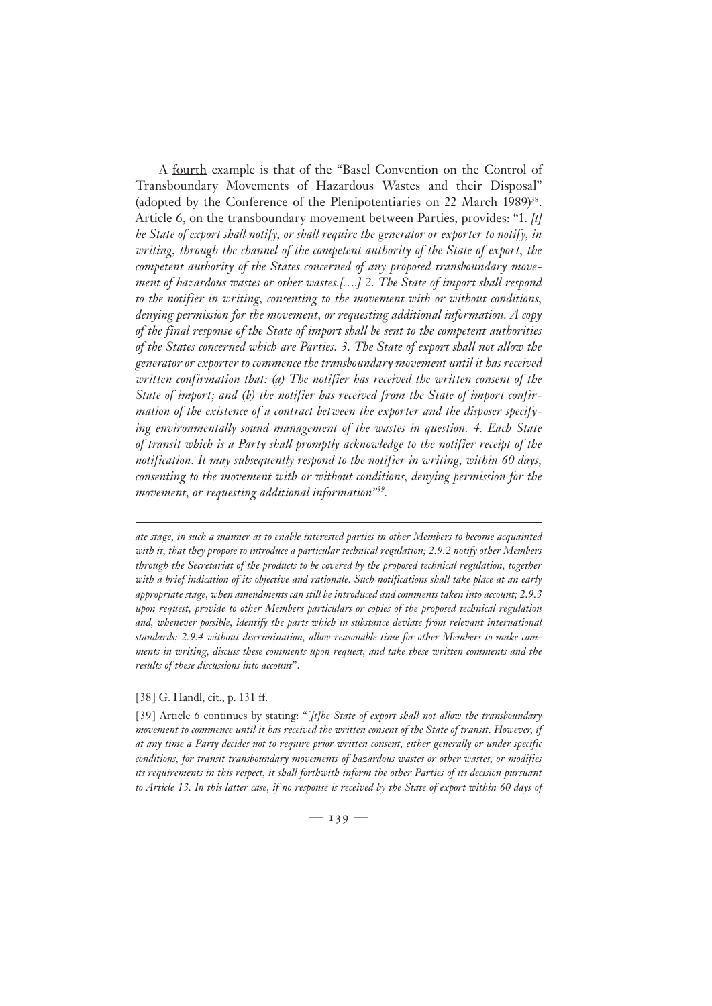A fourth example is that of the "Basel Convention on the Control of Transboundary Movements of Hazardous Wastes and their Disposal" (adopted by the Conference of the Plenipotentiaries on 22 March 1989)<sup>38</sup>. Article 6, on the transboundary movement between Parties, provides: "1. *[t] he State of export shall notify, or shall require the generator or exporter to notify, in writing, through the channel of the competent authority of the State of export, the competent authority of the States concerned of any proposed transboundary movement of hazardous wastes or other wastes.[….] 2. The State of import shall respond to the notifier in writing, consenting to the movement with or without conditions, denying permission for the movement, or requesting additional information. A copy of the final response of the State of import shall be sent to the competent authorities of the States concerned which are Parties. 3. The State of export shall not allow the generator or exporter to commence the transboundary movement until it has received written confirmation that: (a) The notifier has received the written consent of the State of import; and (b) the notifier has received from the State of import confirmation of the existence of a contract between the exporter and the disposer specifying environmentally sound management of the wastes in question. 4. Each State of transit which is a Party shall promptly acknowledge to the notifier receipt of the notification. It may subsequently respond to the notifier in writing, within 60 days, consenting to the movement with or without conditions, denying permission for the movement, or requesting additional information"39.*

*ate stage, in such a manner as to enable interested parties in other Members to become acquainted with it, that they propose to introduce a particular technical regulation; 2.9.2 notify other Members through the Secretariat of the products to be covered by the proposed technical regulation, together with a brief indication of its objective and rationale. Such notifications shall take place at an early appropriate stage, when amendments can still be introduced and comments taken into account; 2.9.3 upon request, provide to other Members particulars or copies of the proposed technical regulation and, whenever possible, identify the parts which in substance deviate from relevant international standards; 2.9.4 without discrimination, allow reasonable time for other Members to make comments in writing, discuss these comments upon request, and take these written comments and the results of these discussions into account*".

#### [38] G. Handl, cit., p. 131 ff.

[ 39 ] Article 6 continues by stating: "[*[t]he State of export shall not allow the transboundary movement to commence until it has received the written consent of the State of transit. However, if at any time a Party decides not to require prior written consent, either generally or under specific conditions, for transit transboundary movements of hazardous wastes or other wastes, or modifies its requirements in this respect, it shall forthwith inform the other Parties of its decision pursuant to Article 13. In this latter case, if no response is received by the State of export within 60 days of* 

 $-139-$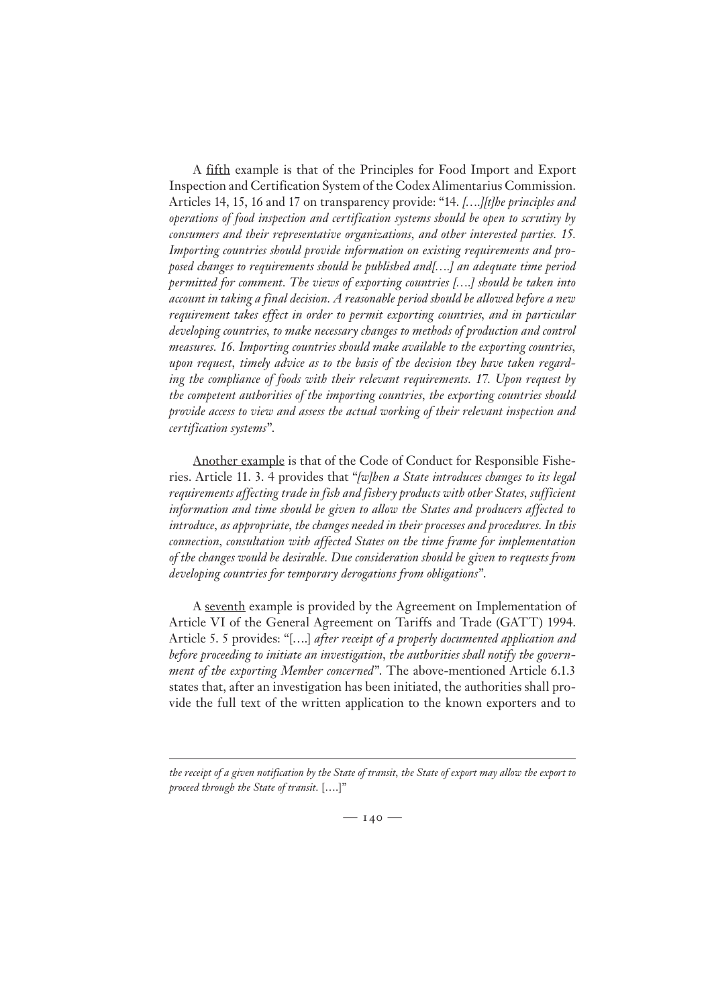A fifth example is that of the Principles for Food Import and Export Inspection and Certification System of the Codex Alimentarius Commission. Articles 14, 15, 16 and 17 on transparency provide: "14. *[….][t]he principles and operations of food inspection and certification systems should be open to scrutiny by consumers and their representative organizations, and other interested parties. 15. Importing countries should provide information on existing requirements and proposed changes to requirements should be published and[….] an adequate time period permitted for comment. The views of exporting countries [….] should be taken into account in taking a final decision. A reasonable period should be allowed before a new requirement takes effect in order to permit exporting countries, and in particular developing countries, to make necessary changes to methods of production and control measures. 16. Importing countries should make available to the exporting countries, upon request, timely advice as to the basis of the decision they have taken regarding the compliance of foods with their relevant requirements. 17. Upon request by the competent authorities of the importing countries, the exporting countries should provide access to view and assess the actual working of their relevant inspection and certification systems*".

Another example is that of the Code of Conduct for Responsible Fisheries. Article 11. 3. 4 provides that "*[w]hen a State introduces changes to its legal requirements affecting trade in fish and fishery products with other States, sufficient information and time should be given to allow the States and producers affected to introduce, as appropriate, the changes needed in their processes and procedures. In this connection, consultation with affected States on the time frame for implementation of the changes would be desirable. Due consideration should be given to requests from developing countries for temporary derogations from obligations*".

A seventh example is provided by the Agreement on Implementation of Article VI of the General Agreement on Tariffs and Trade (GATT) 1994. Article 5. 5 provides: "[….] *after receipt of a properly documented application and before proceeding to initiate an investigation, the authorities shall notify the government of the exporting Member concerned*". The above-mentioned Article 6.1.3 states that, after an investigation has been initiated, the authorities shall provide the full text of the written application to the known exporters and to

*the receipt of a given notification by the State of transit, the State of export may allow the export to proceed through the State of transit.* [….]"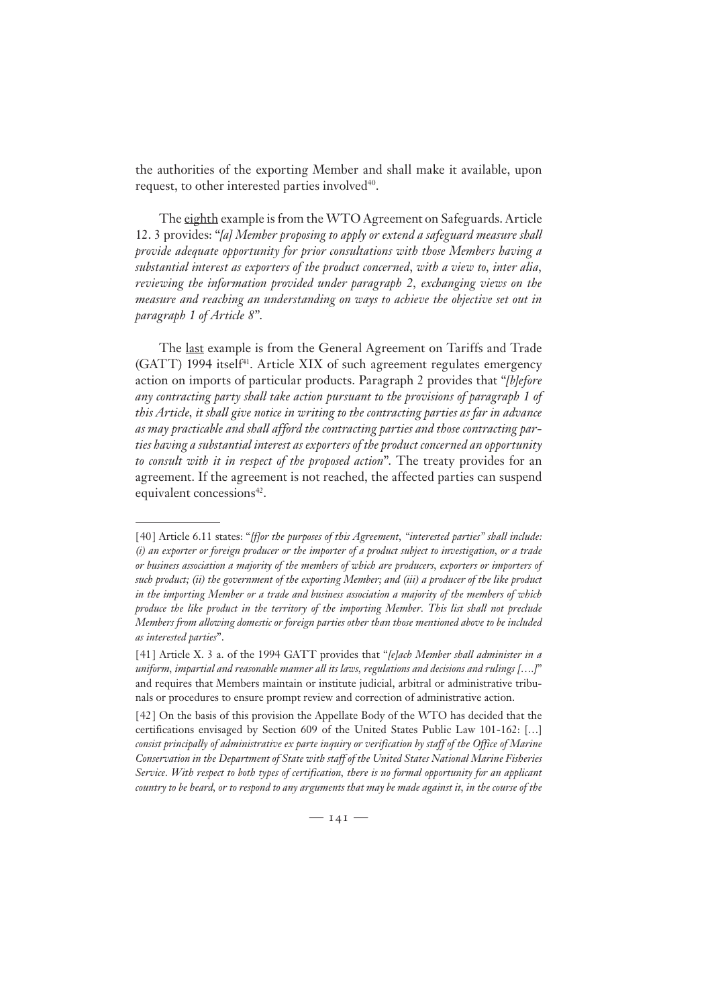the authorities of the exporting Member and shall make it available, upon request, to other interested parties involved<sup>40</sup>.

The eighth example is from the WTO Agreement on Safeguards. Article 12. 3 provides: "*[a] Member proposing to apply or extend a safeguard measure shall provide adequate opportunity for prior consultations with those Members having a substantial interest as exporters of the product concerned, with a view to, inter alia, reviewing the information provided under paragraph 2, exchanging views on the measure and reaching an understanding on ways to achieve the objective set out in paragraph 1 of Article 8*".

The last example is from the General Agreement on Tariffs and Trade (GATT) 1994 itself<sup>41</sup>. Article XIX of such agreement regulates emergency action on imports of particular products. Paragraph 2 provides that "*[b]efore any contracting party shall take action pursuant to the provisions of paragraph 1 of this Article, it shall give notice in writing to the contracting parties as far in advance as may practicable and shall afford the contracting parties and those contracting parties having a substantial interest as exporters of the product concerned an opportunity to consult with it in respect of the proposed action*". The treaty provides for an agreement. If the agreement is not reached, the affected parties can suspend equivalent concessions<sup>42</sup>.

[ 42 ] On the basis of this provision the Appellate Body of the WTO has decided that the certifications envisaged by Section 609 of the United States Public Law 101-162: […] *consist principally of administrative ex parte inquiry or verification by staff of the Office of Marine Conservation in the Department of State with staff of the United States National Marine Fisheries Service. With respect to both types of certification, there is no formal opportunity for an applicant country to be heard, or to respond to any arguments that may be made against it, in the course of the* 

<sup>[40]</sup> Article 6.11 states: "*[f]or the purposes of this Agreement, "interested parties" shall include: (i) an exporter or foreign producer or the importer of a product subject to investigation, or a trade or business association a majority of the members of which are producers, exporters or importers of such product; (ii) the government of the exporting Member; and (iii) a producer of the like product in the importing Member or a trade and business association a majority of the members of which produce the like product in the territory of the importing Member. This list shall not preclude Members from allowing domestic or foreign parties other than those mentioned above to be included as interested parties*".

<sup>[ 41 ]</sup> Article X. 3 a. of the 1994 GATT provides that "*[e]ach Member shall administer in a uniform, impartial and reasonable manner all its laws, regulations and decisions and rulings [….]*" and requires that Members maintain or institute judicial, arbitral or administrative tribunals or procedures to ensure prompt review and correction of administrative action.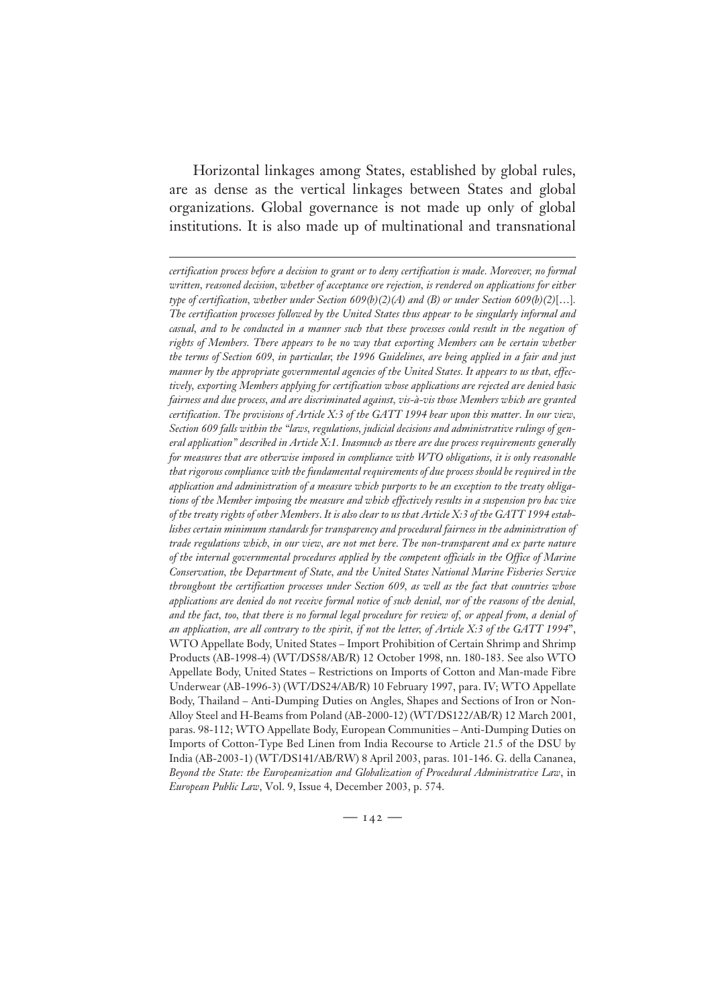Horizontal linkages among States, established by global rules, are as dense as the vertical linkages between States and global organizations. Global governance is not made up only of global institutions. It is also made up of multinational and transnational

*certification process before a decision to grant or to deny certification is made. Moreover, no formal written, reasoned decision, whether of acceptance ore rejection, is rendered on applications for either type of certification, whether under Section 609(b)(2)(A) and (B) or under Section 609(b)(2)*[…]*. The certification processes followed by the United States thus appear to be singularly informal and casual, and to be conducted in a manner such that these processes could result in the negation of rights of Members. There appears to be no way that exporting Members can be certain whether the terms of Section 609, in particular, the 1996 Guidelines, are being applied in a fair and just manner by the appropriate governmental agencies of the United States. It appears to us that, effectively, exporting Members applying for certification whose applications are rejected are denied basic fairness and due process, and are discriminated against, vis-à-vis those Members which are granted certification. The provisions of Article X:3 of the GATT 1994 bear upon this matter. In our view, Section 609 falls within the "laws, regulations, judicial decisions and administrative rulings of general application" described in Article X:1. Inasmuch as there are due process requirements generally for measures that are otherwise imposed in compliance with WTO obligations, it is only reasonable that rigorous compliance with the fundamental requirements of due process should be required in the application and administration of a measure which purports to be an exception to the treaty obligations of the Member imposing the measure and which effectively results in a suspension pro hac vice of the treaty rights of other Members*. *It is also clear to us that Article X:3 of the GATT 1994 establishes certain minimum standards for transparency and procedural fairness in the administration of trade regulations which, in our view, are not met here. The non-transparent and ex parte nature of the internal governmental procedures applied by the competent officials in the Office of Marine Conservation, the Department of State, and the United States National Marine Fisheries Service throughout the certification processes under Section 609, as well as the fact that countries whose applications are denied do not receive formal notice of such denial, nor of the reasons of the denial, and the fact, too, that there is no formal legal procedure for review of, or appeal from, a denial of an application, are all contrary to the spirit, if not the letter, of Article X:3 of the GATT 1994*", WTO Appellate Body, United States – Import Prohibition of Certain Shrimp and Shrimp Products (AB-1998-4) (WT/DS58/AB/R) 12 October 1998, nn. 180-183. See also WTO Appellate Body, United States – Restrictions on Imports of Cotton and Man-made Fibre Underwear (AB-1996-3) (WT/DS24/AB/R) 10 February 1997, para. IV; WTO Appellate Body, Thailand – Anti-Dumping Duties on Angles, Shapes and Sections of Iron or Non-Alloy Steel and H-Beams from Poland (AB-2000-12) (WT/DS122/AB/R) 12 March 2001, paras. 98-112; WTO Appellate Body, European Communities – Anti-Dumping Duties on Imports of Cotton-Type Bed Linen from India Recourse to Article 21.5 of the DSU by India (AB-2003-1) (WT/DS141/AB/RW) 8 April 2003, paras. 101-146. G. della Cananea, *Beyond the State: the Europeanization and Globalization of Procedural Administrative Law*, in *European Public Law*, Vol. 9, Issue 4, December 2003, p. 574.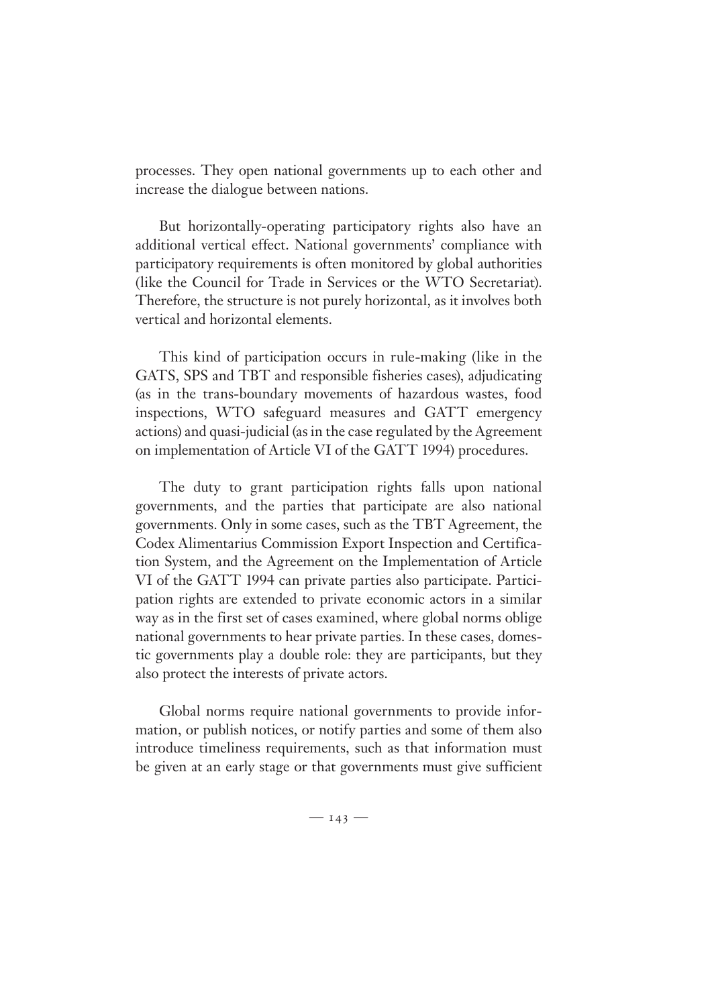processes. They open national governments up to each other and increase the dialogue between nations.

But horizontally-operating participatory rights also have an additional vertical effect. National governments' compliance with participatory requirements is often monitored by global authorities (like the Council for Trade in Services or the WTO Secretariat). Therefore, the structure is not purely horizontal, as it involves both vertical and horizontal elements.

This kind of participation occurs in rule-making (like in the GATS, SPS and TBT and responsible fisheries cases), adjudicating (as in the trans-boundary movements of hazardous wastes, food inspections, WTO safeguard measures and GATT emergency actions) and quasi-judicial (as in the case regulated by the Agreement on implementation of Article VI of the GATT 1994) procedures.

The duty to grant participation rights falls upon national go vernments, and the parties that participate are also national go vernments. Only in some cases, such as the TBT Agreement, the Codex Alimentarius Commission Export Inspection and Certification System, and the Agreement on the Implementation of Article VI of the GATT 1994 can private parties also participate. Participation rights are extended to private economic actors in a similar way as in the first set of cases examined, where global norms oblige national governments to hear private parties. In these cases, domestic governments play a double role: they are participants, but they also protect the interests of private actors.

Global norms require national governments to provide information, or publish notices, or notify parties and some of them also introduce timeliness requirements, such as that information must be given at an early stage or that governments must give sufficient

 $- 143 -$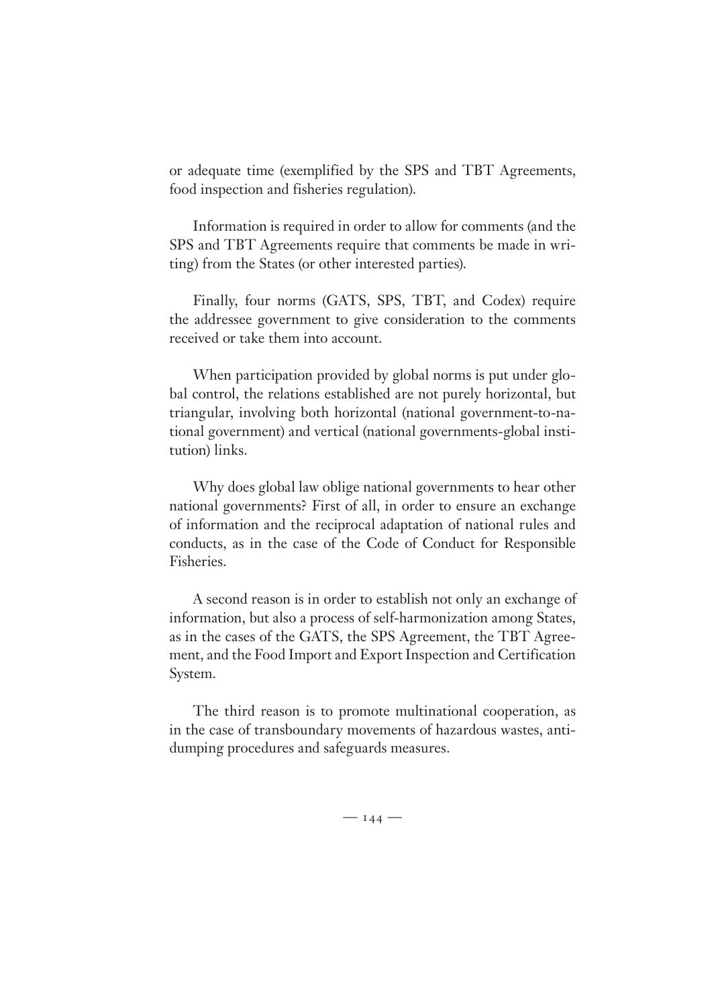or adequate time (exemplified by the SPS and TBT Agreements, food inspection and fisheries regulation).

Information is required in order to allow for comments (and the SPS and TBT Agreements require that comments be made in writing) from the States (or other interested parties).

Finally, four norms (GATS, SPS, TBT, and Codex) require the addressee government to give consideration to the comments received or take them into account.

When participation provided by global norms is put under global control, the relations established are not purely horizontal, but triangular, involving both horizontal (national government-to-national government) and vertical (national governments-global institution) links.

Why does global law oblige national governments to hear other national governments? First of all, in order to ensure an exchange of information and the reciprocal adaptation of national rules and conducts, as in the case of the Code of Conduct for Responsible Fisheries.

A second reason is in order to establish not only an exchange of information, but also a process of self-harmonization among States, as in the cases of the GATS, the SPS Agreement, the TBT Agreement, and the Food Import and Export Inspection and Certification System.

The third reason is to promote multinational cooperation, as in the case of transboundary movements of hazardous wastes, antidumping procedures and safeguards measures.

 $- 144 -$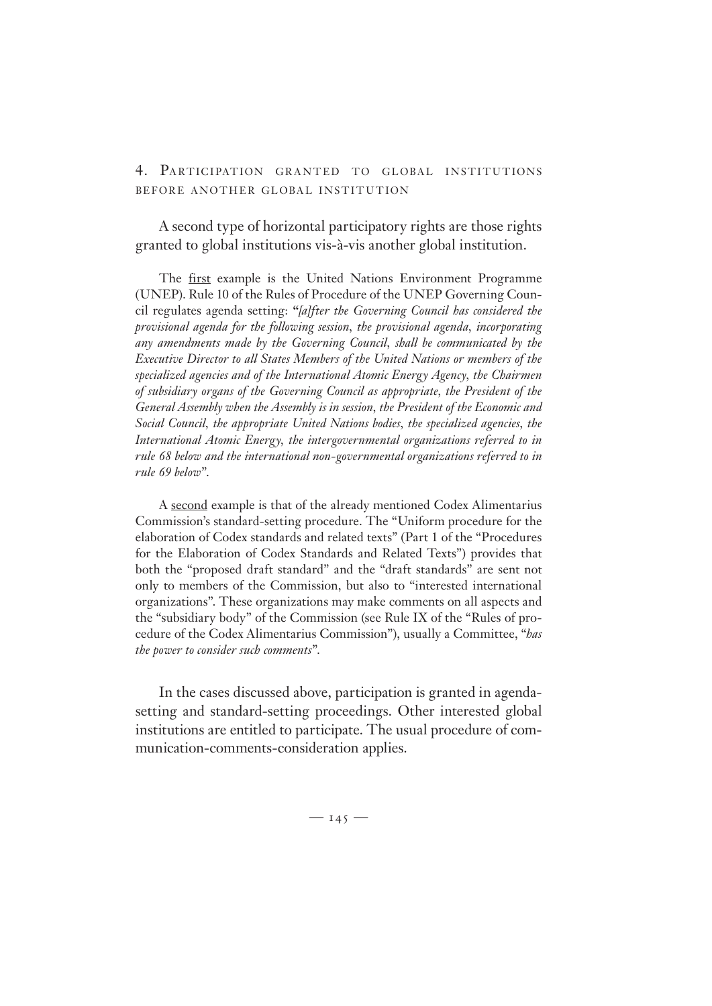# 4. PARTICIPATION GRANTED TO GLOBAL INSTITUTIONS BEFORE ANOTHER GLOBAL INSTITUTION

A second type of horizontal participatory rights are those rights granted to global institutions vis-à-vis another global institution.

The first example is the United Nations Environment Programme (UNEP). Rule 10 of the Rules of Procedure of the UNEP Governing Council regulates agenda setting: **"***[a]fter the Governing Council has considered the provisional agenda for the following session, the provisional agenda, incorporating any amendments made by the Governing Council, shall be communicated by the Executive Director to all States Members of the United Nations or members of the specialized agencies and of the International Atomic Energy Agency, the Chairmen of subsidiary organs of the Governing Council as appropriate, the President of the General Assembly when the Assembly is in session, the President of the Economic and Social Council, the appropriate United Nations bodies, the specialized agencies, the International Atomic Energy, the intergovernmental organizations referred to in rule 68 below and the international non-governmental organizations referred to in rule 69 below*".

A second example is that of the already mentioned Codex Alimentarius Commission's standard-setting procedure. The "Uniform procedure for the elaboration of Codex standards and related texts" (Part 1 of the "Procedures for the Elaboration of Codex Standards and Related Texts") provides that both the "proposed draft standard" and the "draft standards" are sent not only to members of the Commission, but also to "interested international organizations". These organizations may make comments on all aspects and the "subsidiary body" of the Commission (see Rule IX of the "Rules of procedure of the Codex Alimentarius Commission"), usually a Committee, "*has the power to consider such comments*".

In the cases discussed above, participation is granted in agendasetting and standard-setting proceedings. Other interested global institutions are entitled to participate. The usual procedure of communication-comments-consideration applies.

 $-145-$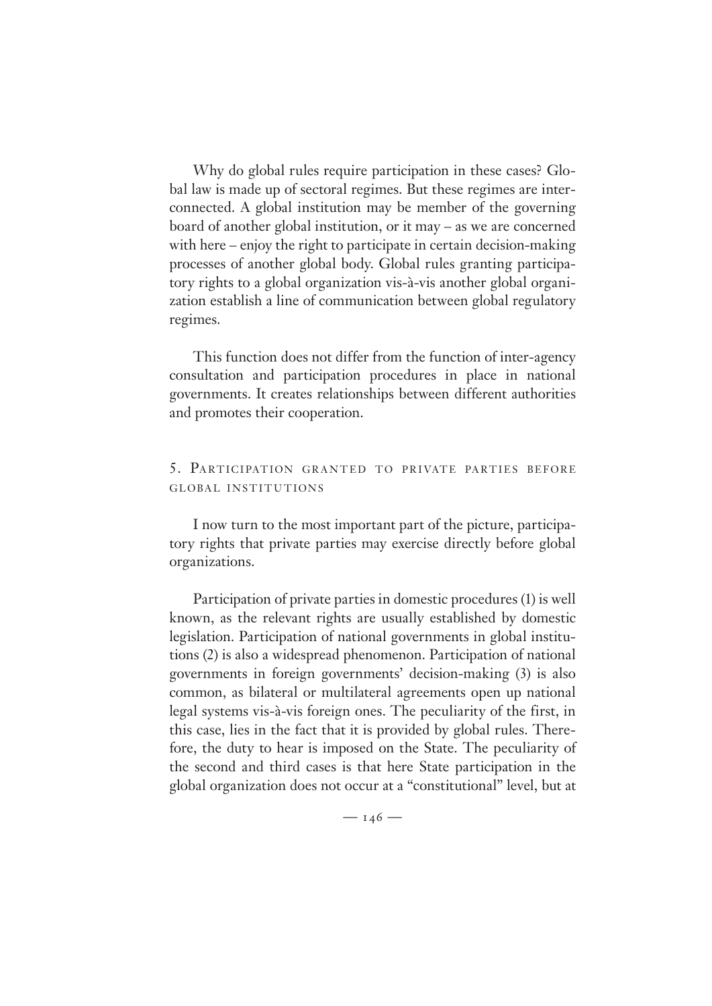Why do global rules require participation in these cases? Global law is made up of sectoral regimes. But these regimes are interconnected. A global institution may be member of the governing board of another global institution, or it may – as we are concerned with here – enjoy the right to participate in certain decision-making processes of another global body. Global rules granting participatory rights to a global organization vis-à-vis another global organization establish a line of communication between global regulatory regimes.

This function does not differ from the function of inter-agency consultation and participation procedures in place in national go vernments. It creates relationships between different authorities and promotes their cooperation.

### 5. PARTICIPATION GRANTED TO PRIVATE PARTIES BEFORE GLOBAL INSTITUTIONS

I now turn to the most important part of the picture, participatory rights that private parties may exercise directly before global organizations.

Participation of private parties in domestic procedures (1) is well known, as the relevant rights are usually established by domestic legislation. Participation of national governments in global institutions (2) is also a widespread phenomenon. Participation of national governments in foreign governments' decision-making (3) is also common, as bilateral or multilateral agreements open up national legal systems vis-à-vis foreign ones. The peculiarity of the first, in this case, lies in the fact that it is provided by global rules. Therefore, the duty to hear is imposed on the State. The peculiarity of the second and third cases is that here State participation in the global organization does not occur at a "constitutional" level, but at

 $- 146 -$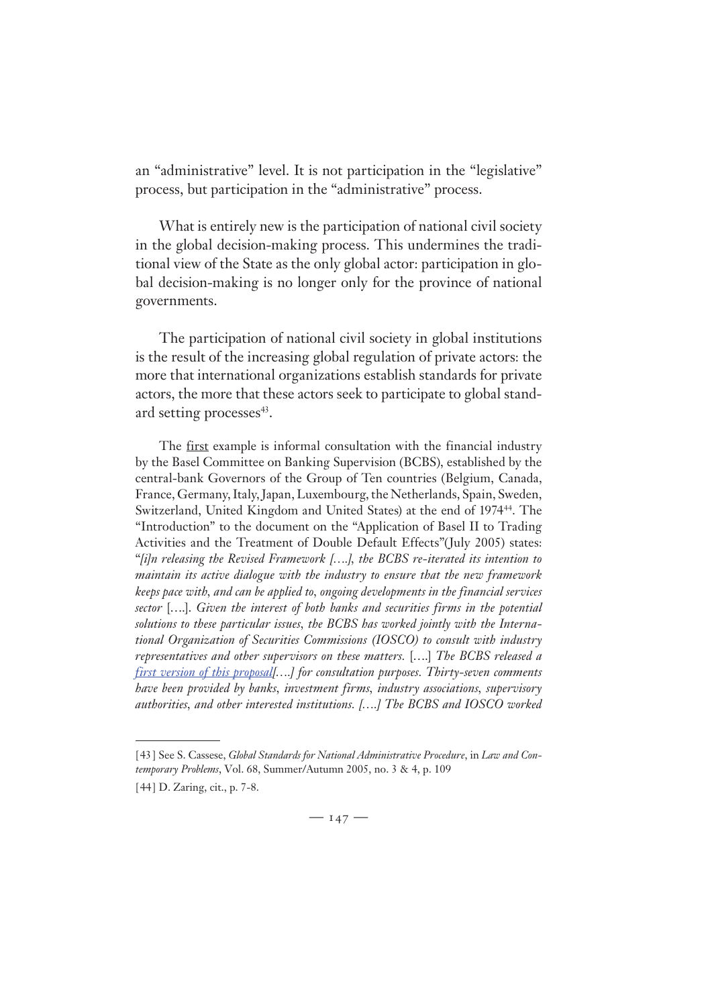an "administrative" level. It is not participation in the "legislative" process, but participation in the "administrative" process.

What is entirely new is the participation of national civil society in the global decision-making process. This undermines the traditional view of the State as the only global actor: participation in global decision-making is no longer only for the province of national governments.

The participation of national civil society in global institutions is the result of the increasing global regulation of private actors: the more that international organizations establish standards for private actors, the more that these actors seek to participate to global standard setting processes<sup>43</sup>.

The first example is informal consultation with the financial industry by the Basel Committee on Banking Supervision (BCBS), established by the central-bank Governors of the Group of Ten countries (Belgium, Canada, France, Germany, Italy, Japan, Luxembourg, the Netherlands, Spain, Sweden, Switzerland, United Kingdom and United States) at the end of 1974<sup>44</sup>. The "Introduction" to the document on the "Application of Basel II to Trading Activities and the Treatment of Double Default Effects"(July 2005) states: "*[i]n releasing the Revised Framework [….], the BCBS re-iterated its intention to maintain its active dialogue with the industry to ensure that the new framework keeps pace with, and can be applied to, ongoing developments in the financial services sector* [….]. *Given the interest of both banks and securities firms in the potential solutions to these particular issues, the BCBS has worked jointly with the International Organization of Securities Commissions (IOSCO) to consult with industry representatives and other supervisors on these matters.* [….] *The BCBS released a first version of this proposal[….] for consultation purposes. Thirty-seven comments have been provided by banks, investment firms, industry associations, supervisory authorities, and other interested institutions. [….] The BCBS and IOSCO worked* 

<sup>[ 43 ]</sup> See S. Cassese, *Global Standards for National Administrative Procedure*, in *Law and Contemporary Problems*, Vol. 68, Summer/Autumn 2005, no. 3 & 4, p. 109

<sup>[44]</sup> D. Zaring, cit., p. 7-8.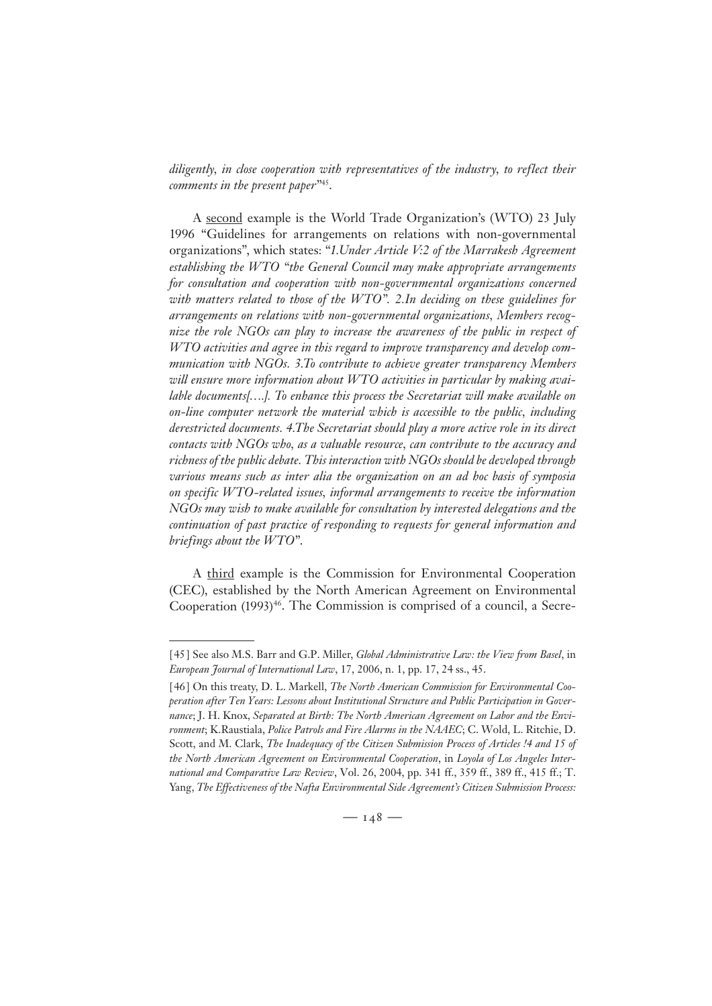*diligently, in close cooperation with representatives of the industry, to reflect their comments in the present paper*"45.

A second example is the World Trade Organization's (WTO) 23 July 1996 "Guidelines for arrangements on relations with non-governmental organizations", which states: "*1.Under Article V:2 of the Marrakesh Agreement establishing the WTO "the General Council may make appropriate arrangements for consultation and cooperation with non-governmental organizations concerned with matters related to those of the WTO". 2.In deciding on these guidelines for arrangements on relations with non-governmental organizations, Members recognize the role NGOs can play to increase the awareness of the public in respect of WTO activities and agree in this regard to improve transparency and develop communication with NGOs. 3.To contribute to achieve greater transparency Members will ensure more information about WTO activities in particular by making available documents[….]. To enhance this process the Secretariat will make available on on-line computer network the material which is accessible to the public, including derestricted documents. 4.The Secretariat should play a more active role in its direct contacts with NGOs who, as a valuable resource, can contribute to the accuracy and richness of the public debate. This interaction with NGOs should be developed through various means such as inter alia the organization on an ad hoc basis of symposia on specific WTO-related issues, informal arrangements to receive the information NGOs may wish to make available for consultation by interested delegations and the continuation of past practice of responding to requests for general information and briefings about the WTO*".

A third example is the Commission for Environmental Cooperation (CEC), established by the North American Agreement on Environmental Cooperation (1993)<sup>46</sup>. The Commission is comprised of a council, a Secre-

<sup>[ 45 ]</sup> See also M.S. Barr and G.P. Miller, *Global Administrative Law: the View from Basel*, in *European Journal of International Law*, 17, 2006, n. 1, pp. 17, 24 ss., 45.

<sup>[ 46 ]</sup> On this treaty, D. L. Markell, *The North American Commission for Environmental Coo*peration after Ten Years: Lessons about Institutional Structure and Public Participation in Gover*nance*; J. H. Knox, *Separated at Birth: The North American Agreement on Labor and the Environment*; K.Raustiala, *Police Patrols and Fire Alarms in the NAAEC*; C. Wold, L. Ritchie, D. Scott, and M. Clark, *The Inadequacy of the Citizen Submission Process of Articles !4 and 15 of the North American Agreement on Environmental Cooperation*, in *Loyola of Los Angeles International and Comparative Law Review*, Vol. 26, 2004, pp. 341 ff., 359 ff., 389 ff., 415 ff.; T. Yang, *The Effectiveness of the Nafta Environmental Side Agreement's Citizen Submission Process:*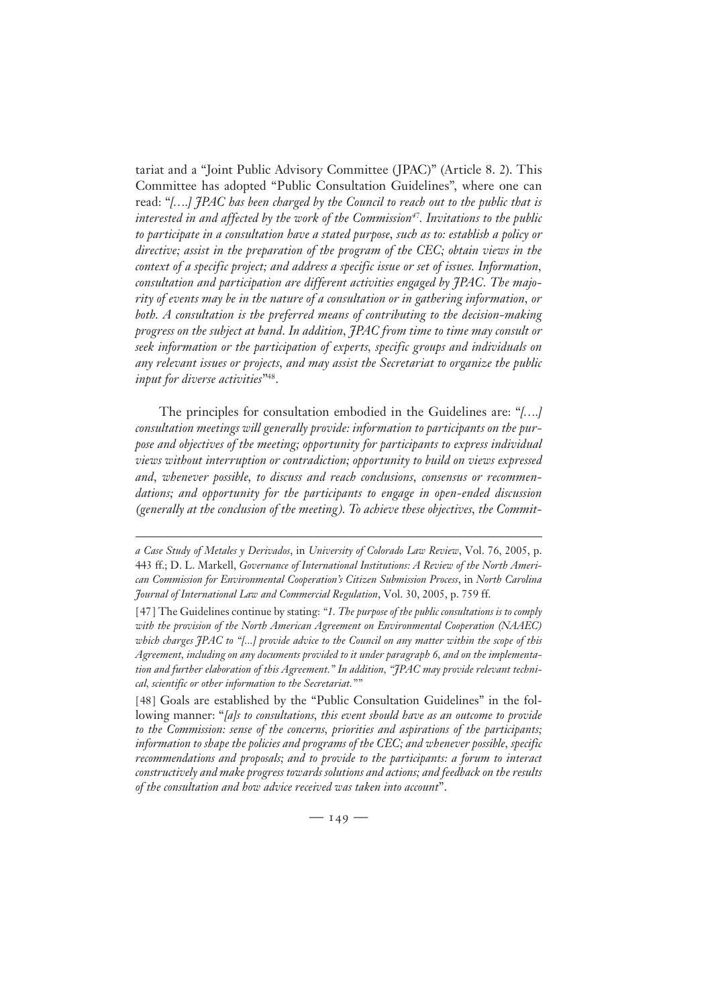tariat and a "Joint Public Advisory Committee (JPAC)" (Article 8. 2). This Committee has adopted "Public Consultation Guidelines", where one can read: "*[….] JPAC has been charged by the Council to reach out to the public that is interested in and affected by the work of the Commission<sup>47</sup>. Invitations to the public to participate in a consultation have a stated purpose, such as to: establish a policy or directive; assist in the preparation of the program of the CEC; obtain views in the context of a specific project; and address a specific issue or set of issues. Information, consultation and participation are different activities engaged by JPAC. The majority of events may be in the nature of a consultation or in gathering information, or both. A consultation is the preferred means of contributing to the decision-making progress on the subject at hand. In addition, JPAC from time to time may consult or seek information or the participation of experts, specific groups and individuals on any relevant issues or projects, and may assist the Secretariat to organize the public input for diverse activities*"48.

The principles for consultation embodied in the Guidelines are: "*[….] consultation meetings will generally provide: information to participants on the purpose and objectives of the meeting; opportunity for participants to express individual views without interruption or contradiction; opportunity to build on views expressed and, whenever possible, to discuss and reach conclusions, consensus or recommendations; and opportunity for the participants to engage in open-ended discussion*  (generally at the conclusion of the meeting). To achieve these objectives, the Commit-

*a Case Study of Metales y Derivados*, in *University of Colorado Law Review*, Vol. 76, 2005, p. 443 ff.; D. L. Markell, *Governance of International Institutions: A Review of the North American Commission for Environmental Cooperation's Citizen Submission Process*, in *North Carolina Journal of International Law and Commercial Regulation*, Vol. 30, 2005, p. 759 ff.

<sup>[ 47 ]</sup> The Guidelines continue by stating: *"1. The purpose of the public consultations is to comply with the provision of the North American Agreement on Environmental Cooperation (NAAEC) which charges JPAC to "[...] provide advice to the Council on any matter within the scope of this Agreement, including on any documents provided to it under paragraph 6, and on the implementation and further elaboration of this Agreement." In addition, "JPAC may provide relevant technical, scientific or other information to the Secretariat.""*

<sup>[48]</sup> Goals are established by the "Public Consultation Guidelines" in the following manner: "*[a]s to consultations, this event should have as an outcome to provide to the Commission: sense of the concerns, priorities and aspirations of the participants; information to shape the policies and programs of the CEC; and whenever possible, specific recommendations and proposals; and to provide to the participants: a forum to interact constructively and make progress towards solutions and actions; and feedback on the results of the consultation and how advice received was taken into account*".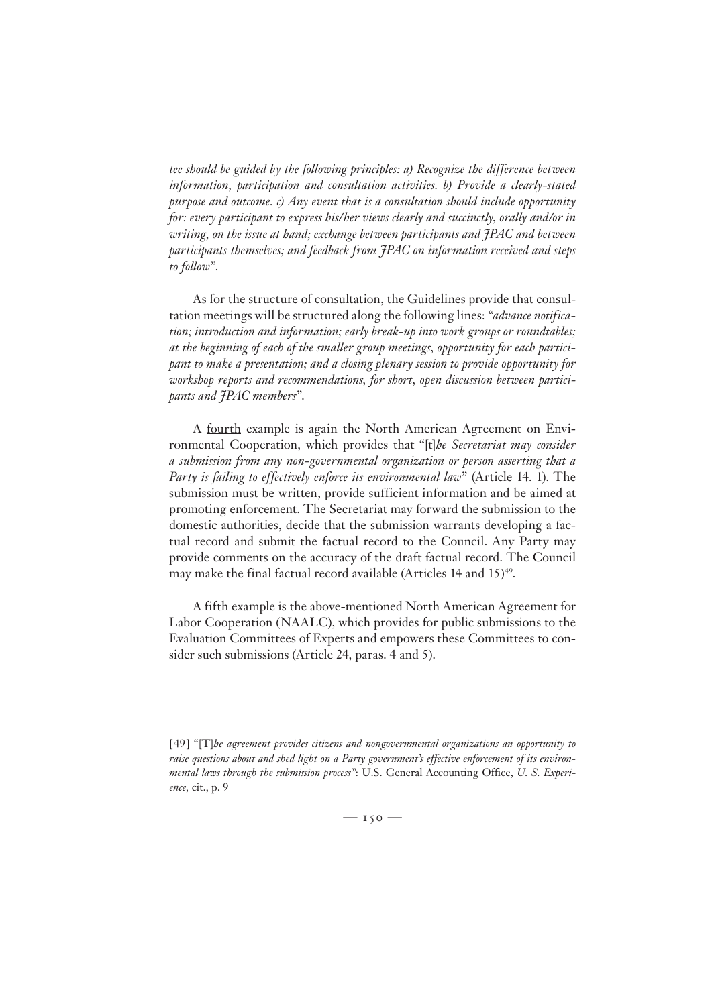*tee should be guided by the following principles: a) Recognize the difference between information, participation and consultation activities. b) Provide a clearly-stated purpose and outcome. c) Any event that is a consultation should include opportunity for: every participant to express his/her views clearly and succinctly, orally and/or in writing, on the issue at hand; exchange between participants and JPAC and between participants themselves; and feedback from JPAC on information received and steps to follow*".

As for the structure of consultation, the Guidelines provide that consultation meetings will be structured along the following lines: *"advance notification; introduction and information; early break-up into work groups or roundtables; at the beginning of each of the smaller group meetings, opportunity for each participant to make a presentation; and a closing plenary session to provide opportunity for workshop reports and recommendations, for short, open discussion between participants and JPAC members*".

A fourth example is again the North American Agreement on Environmental Cooperation, which provides that "[t]*he Secretariat may consider a submission from any non-governmental organization or person asserting that a Party is failing to effectively enforce its environmental law*" (Article 14. 1). The submission must be written, provide sufficient information and be aimed at promoting enforcement. The Secretariat may forward the submission to the domestic authorities, decide that the submission warrants developing a factual record and submit the factual record to the Council. Any Party may provide comments on the accuracy of the draft factual record. The Council may make the final factual record available (Articles 14 and  $15)^{49}$ .

A fifth example is the above-mentioned North American Agreement for Labor Cooperation (NAALC), which provides for public submissions to the Evaluation Committees of Experts and empowers these Committees to consider such submissions (Article 24, paras. 4 and 5).

<sup>[ 49 ] &</sup>quot;[T]*he agreement provides citizens and nongovernmental organizations an opportunity to raise questions about and shed light on a Party government's effective enforcement of its environmental laws through the submission process"*: U.S. General Accounting Office, *U. S. Experience,* cit., p. 9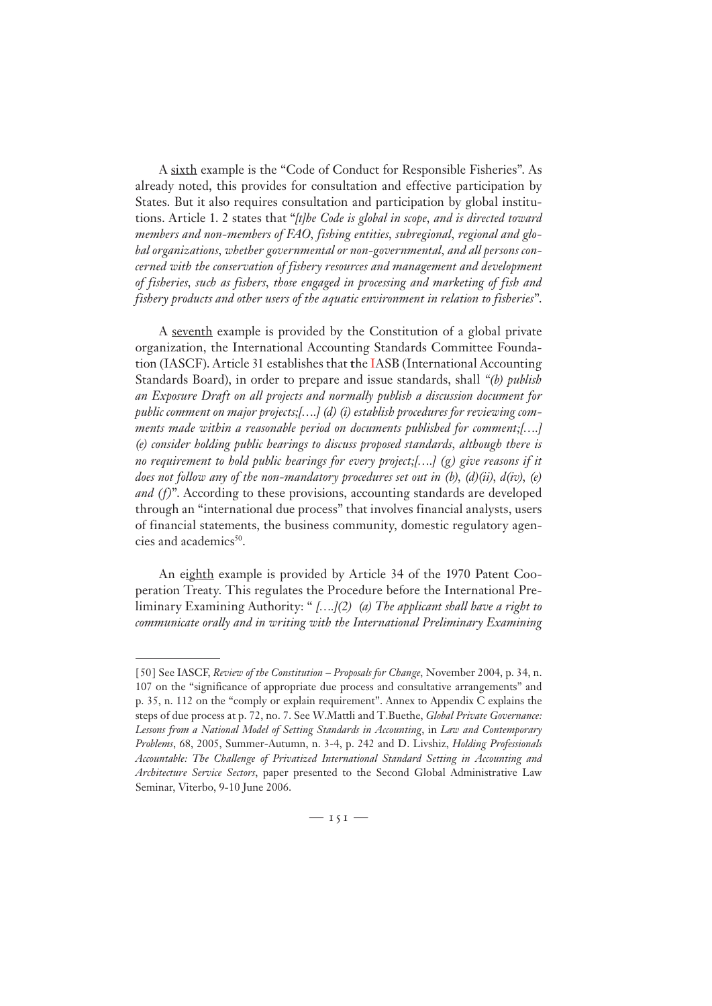A sixth example is the "Code of Conduct for Responsible Fisheries". As already noted, this provides for consultation and effective participation by States. But it also requires consultation and participation by global institutions. Article 1. 2 states that "*[t]he Code is global in scope, and is directed toward members and non-members of FAO, fishing entities, subregional, regional and global organizations, whether governmental or non-governmental, and all persons concerned with the conservation of fishery resources and management and development of fisheries, such as fishers, those engaged in processing and marketing of fish and fishery products and other users of the aquatic environment in relation to fisheries*".

A seventh example is provided by the Constitution of a global private organization, the International Accounting Standards Committee Foundation (IASCF). Article 31 establishes that **t**he IASB (International Accounting Standards Board), in order to prepare and issue standards, shall *"(b) publish an Exposure Draft on all projects and normally publish a discussion document for public comment on major projects;[….] (d) (i) establish procedures for reviewing comments made within a reasonable period on documents published for comment;[….] (e) consider holding public hearings to discuss proposed standards, although there is no requirement to hold public hearings for every project;[...] (g) give reasons if it does not follow any of the non-mandatory procedures set out in (b), (d)(ii), d(iv), (e) and (f)*". According to these provisions, accounting standards are developed through an "international due process" that involves financial analysts, users of financial statements, the business community, domestic regulatory agen $cies$  and academics<sup>50</sup>.

An eighth example is provided by Article 34 of the 1970 Patent Cooperation Treaty. This regulates the Procedure before the International Preliminary Examining Authority: " *[….](2) (a) The applicant shall have a right to communicate orally and in writing with the International Preliminary Examining* 

<sup>[ 50 ]</sup> See IASCF, *Review of the Constitution – Proposals for Change,* November 2004, p. 34, n. 107 on the "significance of appropriate due process and consultative arrangements" and p. 35, n. 112 on the "comply or explain requirement". Annex to Appendix C explains the steps of due process at p. 72, no. 7. See W.Mattli and T.Buethe, *Global Private Governance: Lessons from a National Model of Setting Standards in Accounting*, in *Law and Contemporary*  Problems, 68, 2005, Summer-Autumn, n. 3-4, p. 242 and D. Livshiz, *Holding Professionals Accountable: The Challenge of Privatized International Standard Setting in Accounting and Architecture Service Sectors*, paper presented to the Second Global Administrative Law Seminar, Viterbo, 9-10 June 2006.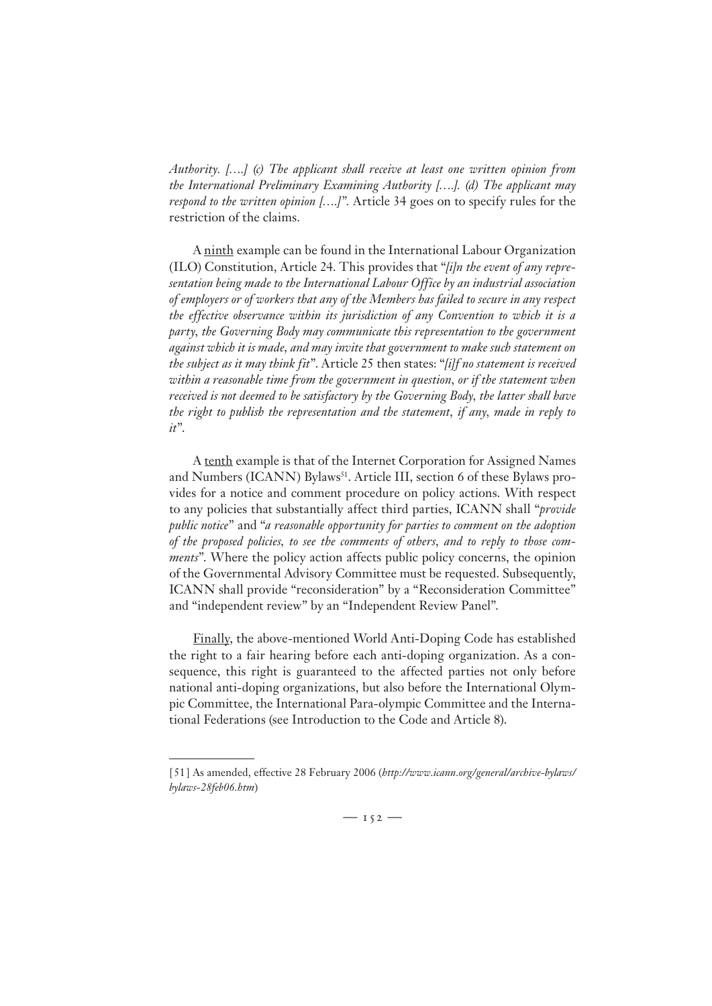*Authority. [….] (c) The applicant shall receive at least one written opinion from the International Preliminary Examining Authority [….]. (d) The applicant may respond to the written opinion [….]".* Article 34 goes on to specify rules for the restriction of the claims.

A ninth example can be found in the International Labour Organization (ILO) Constitution, Article 24. This provides that "*[i]n the event of any representation being made to the International Labour Office by an industrial association of employers or of workers that any of the Members has failed to secure in any respect the effective observance within its jurisdiction of any Convention to which it is a party, the Governing Body may communicate this representation to the government against which it is made, and may invite that government to make such statement on the subject as it may think fit*". Article 25 then states: "*[i]f no statement is received within a reasonable time from the government in question, or if the statement when received is not deemed to be satisfactory by the Governing Body, the latter shall have the right to publish the representation and the statement, if any, made in reply to it*".

A tenth example is that of the Internet Corporation for Assigned Names and Numbers (ICANN) Bylaws<sup>51</sup>. Article III, section 6 of these Bylaws provides for a notice and comment procedure on policy actions. With respect to any policies that substantially affect third parties, ICANN shall "*provide public notice*" and "*a reasonable opportunity for parties to comment on the adoption of the proposed policies, to see the comments of others, and to reply to those comments*". Where the policy action affects public policy concerns, the opinion of the Governmental Advisory Committee must be requested. Subsequently, ICANN shall provide "reconsideration" by a "Reconsideration Committee" and "independent review" by an "Independent Review Panel".

Finally, the above-mentioned World Anti-Doping Code has established the right to a fair hearing before each anti-doping organization. As a consequence, this right is guaranteed to the affected parties not only before national anti-doping organizations, but also before the International Olympic Committee, the International Para-olympic Committee and the International Federations (see Introduction to the Code and Article 8).

<sup>[ 51 ]</sup> As amended, effective 28 February 2006 (*http://www.icann.org/general/archive-bylaws/ bylaws-28feb06.htm*)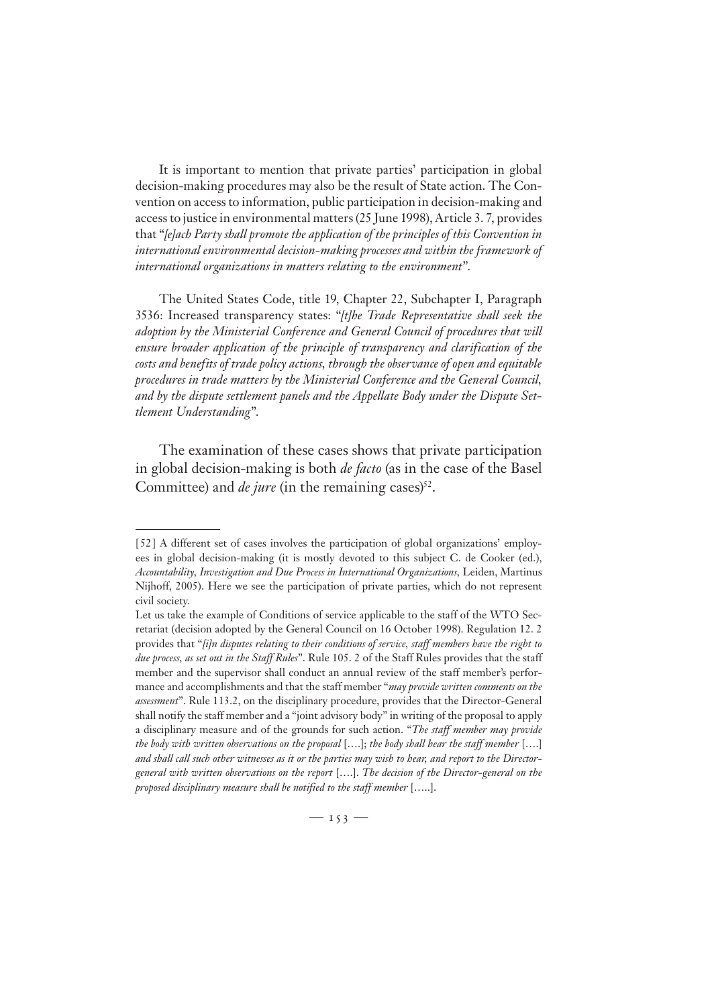It is important to mention that private parties' participation in global decision-making procedures may also be the result of State action. The Convention on access to information, public participation in decision-making and access to justice in environmental matters (25 June 1998), Article 3. 7, provides that "*[e]ach Party shall promote the application of the principles of this Convention in international environmental decision-making processes and within the framework of international organizations in matters relating to the environment*".

The United States Code, title 19, Chapter 22, Subchapter I, Paragraph 3536: Increased transparency states: "*[t]he Trade Representative shall seek the*  adoption by the Ministerial Conference and General Council of procedures that will *ensure broader application of the principle of transparency and clarification of the costs and benefits of trade policy actions, through the observance of open and equitable procedures in trade matters by the Ministerial Conference and the General Council, and by the dispute settlement panels and the Appellate Body under the Dispute Settlement Understanding*".

The examination of these cases shows that private participation in global decision-making is both *de facto* (as in the case of the Basel Committee) and *de jure* (in the remaining cases)<sup>52</sup>.

<sup>[ 52 ]</sup> A different set of cases involves the participation of global organizations' employees in global decision-making (it is mostly devoted to this subject C. de Cooker (ed.), *Accountability, Investigation and Due Process in International Organizations,* Leiden, Martinus Nijhoff, 2005). Here we see the participation of private parties, which do not represent civil society.

Let us take the example of Conditions of service applicable to the staff of the WTO Secretariat (decision adopted by the General Council on 16 October 1998). Regulation 12. 2 provides that "*[i]n disputes relating to their conditions of service, staff members have the right to due process, as set out in the Staff Rules*". Rule 105. 2 of the Staff Rules provides that the staff member and the supervisor shall conduct an annual review of the staff member's performance and accomplishments and that the staff member "*may provide written comments on the assessment*". Rule 113.2, on the disciplinary procedure, provides that the Director-General shall notify the staff member and a "joint advisory body" in writing of the proposal to apply a disciplinary measure and of the grounds for such action. "*The staff member may provide the body with written observations on the proposal* [….]; *the body shall hear the staff member* [….] *and shall call such other witnesses as it or the parties may wish to hear, and report to the Directorgeneral with written observations on the report* [….]. *The decision of the Director-general on the proposed disciplinary measure shall be notified to the staff member* […..].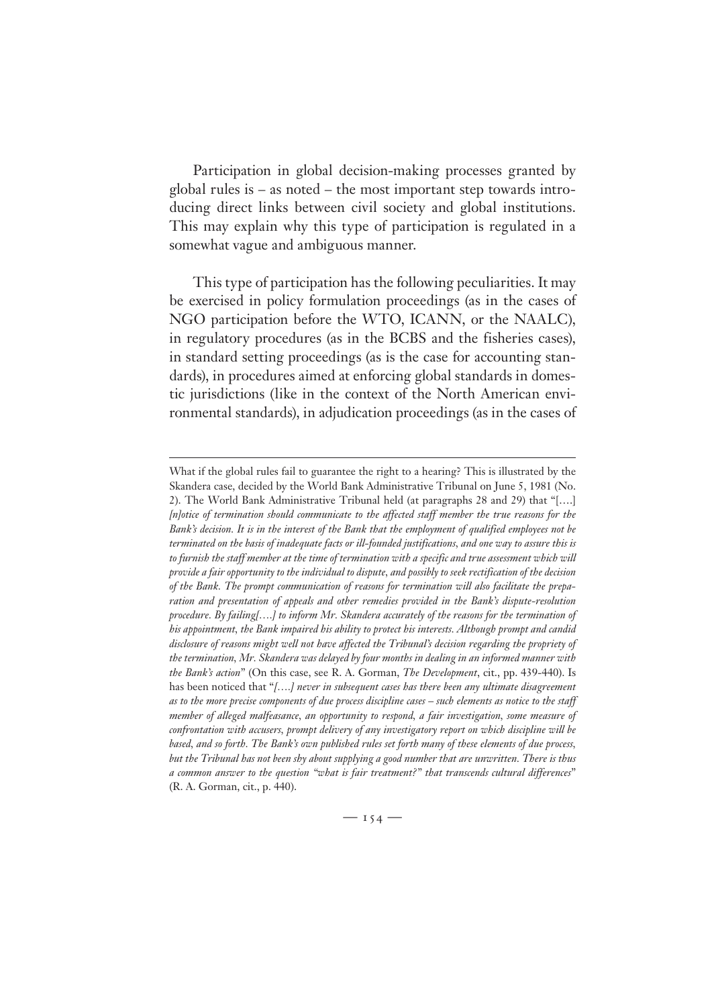Participation in global decision-making processes granted by global rules is – as noted – the most important step towards introducing direct links between civil society and global institutions. This may explain why this type of participation is regulated in a somewhat vague and ambiguous manner.

This type of participation has the following peculiarities. It may be exercised in policy formulation proceedings (as in the cases of NGO participation before the WTO, ICANN, or the NAALC), in regulatory procedures (as in the BCBS and the fisheries cases), in standard setting proceedings (as is the case for accounting stan dards), in procedures aimed at enforcing global standards in domestic jurisdictions (like in the context of the North American environmental standards), in adjudication proceedings (as in the cases of

What if the global rules fail to guarantee the right to a hearing? This is illustrated by the Skandera case, decided by the World Bank Administrative Tribunal on June 5, 1981 (No. 2). The World Bank Administrative Tribunal held (at paragraphs 28 and 29) that "[….] *[n]otice of termination should communicate to the affected staff member the true reasons for the Bank's decision. It is in the interest of the Bank that the employment of qualified employees not be terminated on the basis of inadequate facts or ill-founded justifications, and one way to assure this is to furnish the staff member at the time of termination with a specific and true assessment which will provide a fair opportunity to the individual to dispute, and possibly to seek rectification of the decision of the Bank. The prompt communication of reasons for termination will also facilitate the preparation and presentation of appeals and other remedies provided in the Bank's dispute-resolution procedure. By failing[….] to inform Mr. Skandera accurately of the reasons for the termination of his appointment, the Bank impaired his ability to protect his interests. Although prompt and candid disclosure of reasons might well not have affected the Tribunal's decision regarding the propriety of the termination, Mr. Skandera was delayed by four months in dealing in an informed manner with the Bank's action*" (On this case, see R. A. Gorman, *The Development*, cit., pp. 439-440). Is has been noticed that "*[….] never in subsequent cases has there been any ultimate disagreement as to the more precise components of due process discipline cases – such elements as notice to the staff member of alleged malfeasance, an opportunity to respond, a fair investigation, some measure of confrontation with accusers, prompt delivery of any investigatory report on which discipline will be based, and so forth. The Bank's own published rules set forth many of these elements of due process, but the Tribunal has not been shy about supplying a good number that are unwritten. There is thus a common answer to the question "what is fair treatment?" that transcends cultural differences*" (R. A. Gorman, cit., p. 440).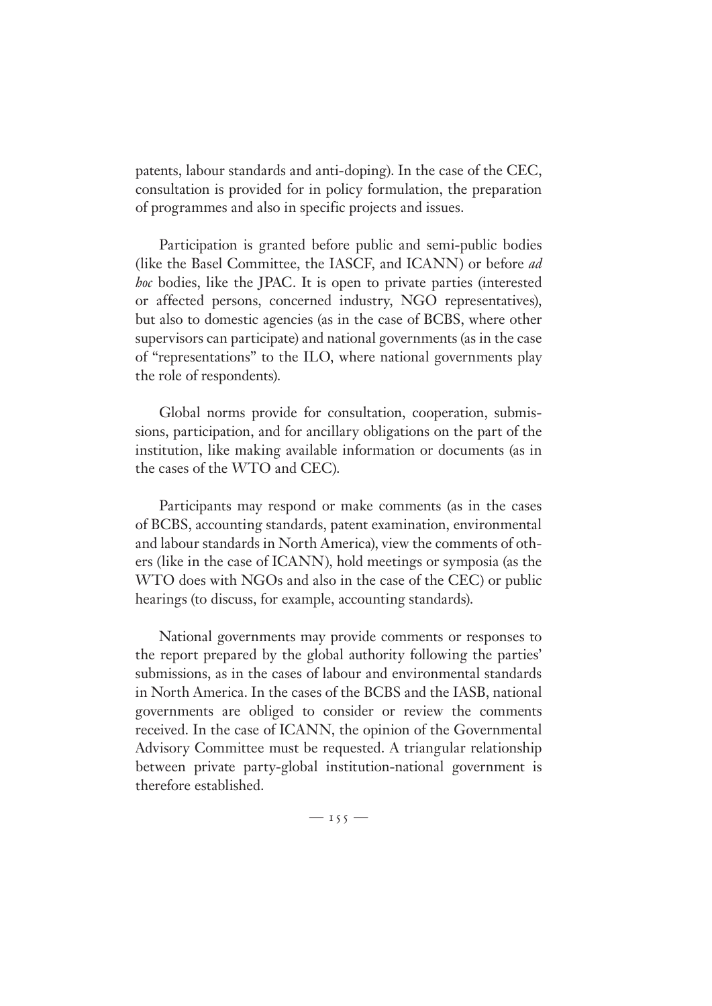patents, labour standards and anti-doping). In the case of the CEC, consultation is provided for in policy formulation, the preparation of programmes and also in specific projects and issues.

Participation is granted before public and semi-public bodies (like the Basel Committee, the IASCF, and ICANN) or before *ad hoc* bodies, like the JPAC. It is open to private parties (interested or affected persons, concerned industry, NGO representatives), but also to domestic agencies (as in the case of BCBS, where other supervisors can participate) and national governments (as in the case of "representations" to the ILO, where national governments play the role of respondents).

Global norms provide for consultation, cooperation, submissions, participation, and for ancillary obligations on the part of the institution, like making available information or documents (as in the cases of the WTO and CEC).

Participants may respond or make comments (as in the cases of BCBS, accounting standards, patent examination, environmental and labour standards in North America), view the comments of others (like in the case of ICANN), hold meetings or symposia (as the WTO does with NGOs and also in the case of the CEC) or public hearings (to discuss, for example, accounting standards).

National governments may provide comments or responses to the report prepared by the global authority following the parties' submissions, as in the cases of labour and environmental standards in North America. In the cases of the BCBS and the IASB, national governments are obliged to consider or review the comments received. In the case of ICANN, the opinion of the Governmental Advisory Committee must be requested. A triangular relationship between private party-global institution-national government is therefore established.

 $-155-$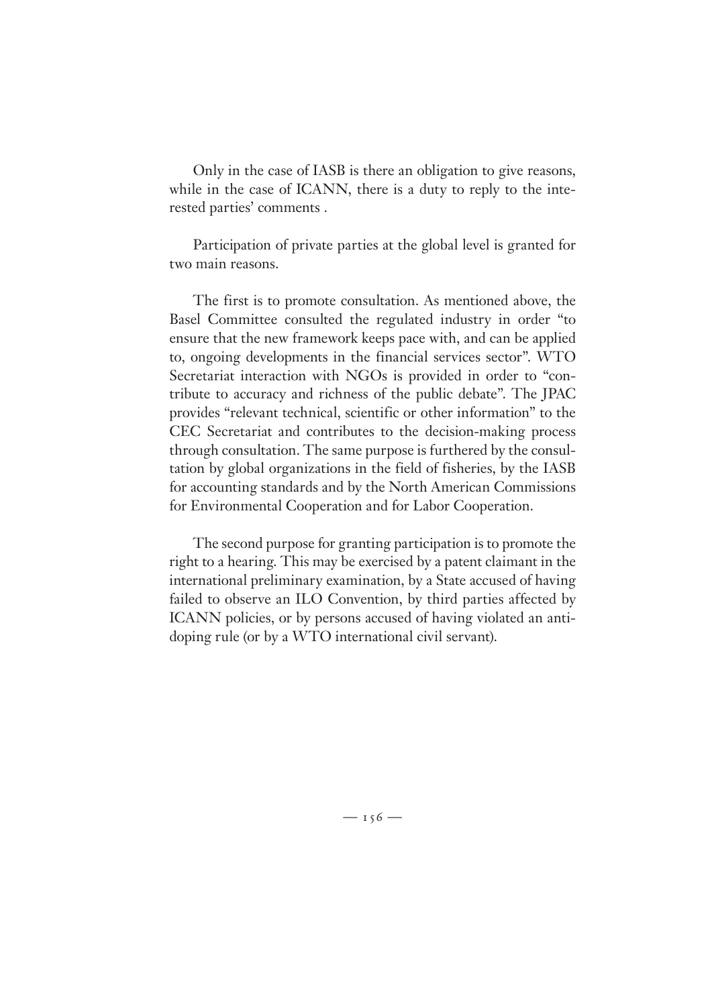Only in the case of IASB is there an obligation to give reasons, while in the case of ICANN, there is a duty to reply to the interested parties' comments .

Participation of private parties at the global level is granted for two main reasons.

The first is to promote consultation. As mentioned above, the Basel Committee consulted the regulated industry in order "to ensure that the new framework keeps pace with, and can be applied to, ongoing developments in the financial services sector". WTO Secretariat interaction with NGOs is provided in order to "contribute to accuracy and richness of the public debate". The JPAC provides "relevant technical, scientific or other information" to the CEC Secretariat and contributes to the decision-making process through consultation. The same purpose is furthered by the consultation by global organizations in the field of fisheries, by the IASB for accounting standards and by the North American Commissions for Environmental Cooperation and for Labor Cooperation.

The second purpose for granting participation is to promote the right to a hearing. This may be exercised by a patent claimant in the international preliminary examination, by a State accused of having failed to observe an ILO Convention, by third parties affected by ICANN policies, or by persons accused of having violated an antidoping rule (or by a WTO international civil servant).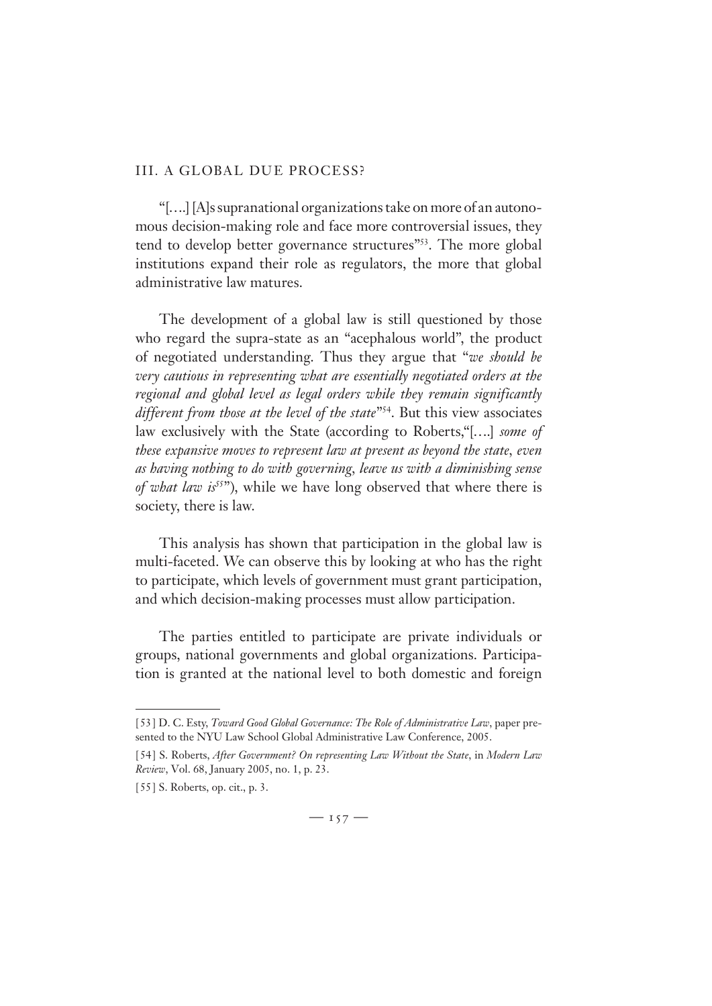#### III. A GLOBAL DUE PROCESS?

"[….] [A]s supranational organizations take on more of an autonomous decision-making role and face more controversial issues, they tend to develop better governance structures"53. The more global institutions expand their role as regulators, the more that global administrative law matures.

The development of a global law is still questioned by those who regard the supra-state as an "acephalous world", the product of negotiated understanding. Thus they argue that "*we should be very cautious in representing what are essentially negotiated orders at the regional and global level as legal orders while they remain significantly different from those at the level of the state*"54. But this view associates law exclusively with the State (according to Roberts,"[….] *some of these expansive moves to represent law at present as beyond the state, even as having nothing to do with governing, leave us with a diminishing sense of what law is55*"), while we have long observed that where there is society, there is law.

This analysis has shown that participation in the global law is multi-faceted. We can observe this by looking at who has the right to participate, which levels of government must grant participation, and which decision-making processes must allow participation.

The parties entitled to participate are private individuals or groups, national governments and global organizations. Participation is granted at the national level to both domestic and foreign

<sup>[ 53 ]</sup> D. C. Esty, *Toward Good Global Governance: The Role of Administrative Law*, paper presented to the NYU Law School Global Administrative Law Conference, 2005.

<sup>[ 54 ]</sup> S. Roberts, *After Government? On representing Law Without the State*, in *Modern Law Review*, Vol. 68, January 2005, no. 1, p. 23.

<sup>[ 55 ]</sup> S. Roberts, op. cit., p. 3.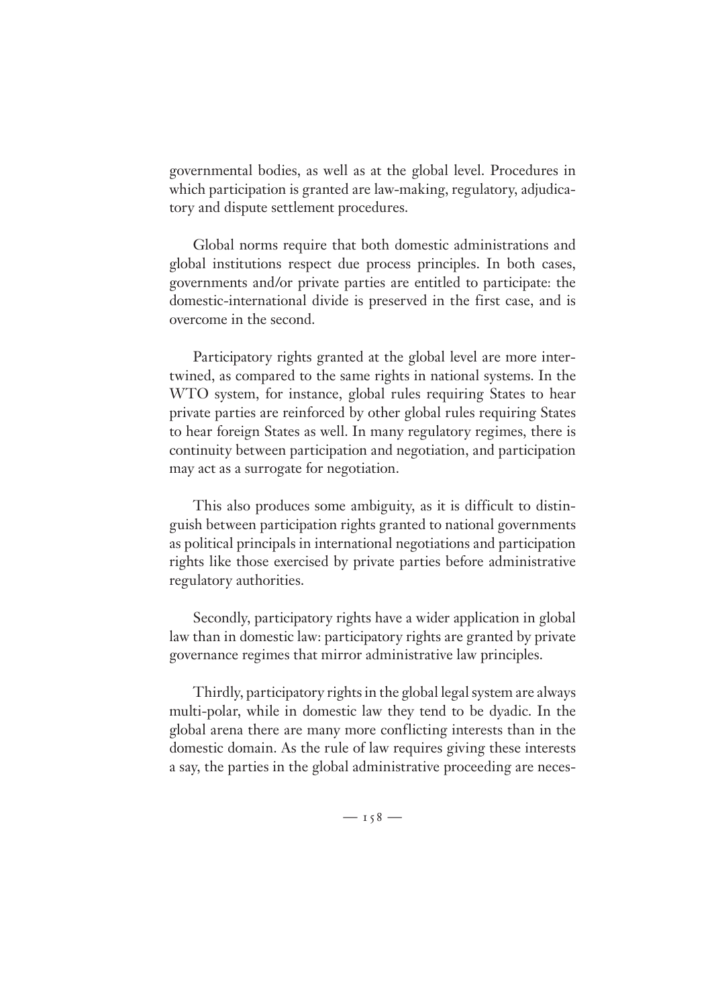governmental bodies, as well as at the global level. Procedures in which participation is granted are law-making, regulatory, adjudicatory and dispute settlement procedures.

Global norms require that both domestic administrations and global institutions respect due process principles. In both cases, governments and/or private parties are entitled to participate: the domestic-international divide is preserved in the first case, and is overcome in the second.

Participatory rights granted at the global level are more intertwined, as compared to the same rights in national systems. In the WTO system, for instance, global rules requiring States to hear private parties are reinforced by other global rules requiring States to hear foreign States as well. In many regulatory regimes, there is continuity between participation and negotiation, and participation may act as a surrogate for negotiation.

This also produces some ambiguity, as it is difficult to distinguish between participation rights granted to national governments as political principals in international negotiations and participation rights like those exercised by private parties before administrative regulatory authorities.

Secondly, participatory rights have a wider application in global law than in domestic law: participatory rights are granted by private governance regimes that mirror administrative law principles.

Thirdly, participatory rights in the global legal system are always multi-polar, while in domestic law they tend to be dyadic. In the global arena there are many more conflicting interests than in the domestic domain. As the rule of law requires giving these interests a say, the parties in the global administrative proceeding are neces-

 $-158-$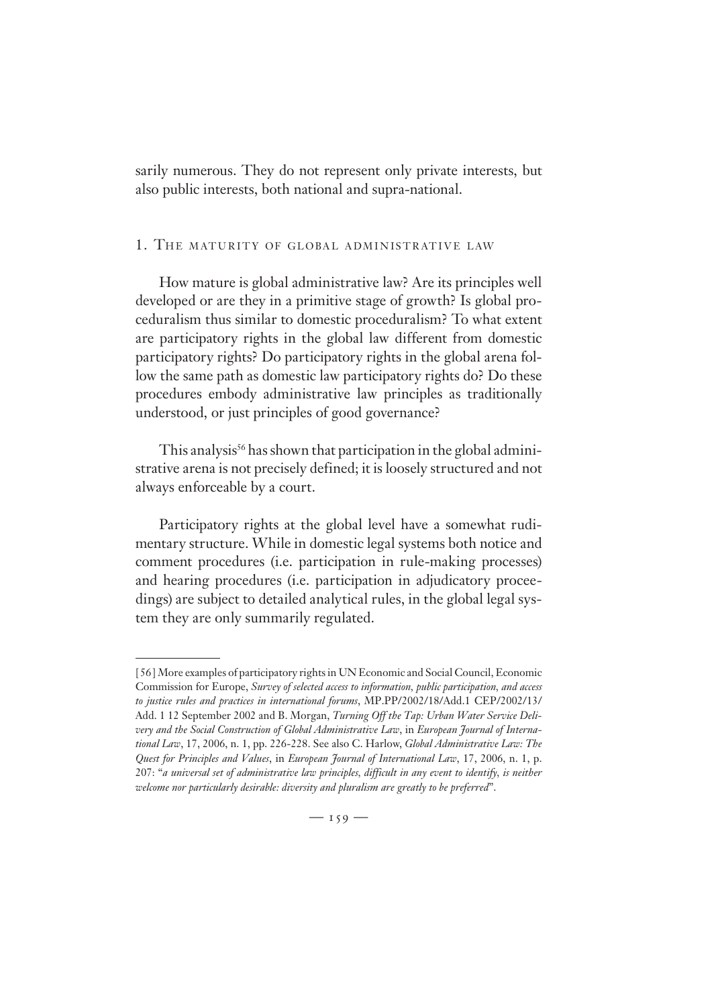sarily numerous. They do not represent only private interests, but also public interests, both national and supra-national.

### 1. THE MATURITY OF GLOBAL ADMINISTRATIVE LAW

How mature is global administrative law? Are its principles well developed or are they in a primitive stage of growth? Is global proceduralism thus similar to domestic proceduralism? To what extent are participatory rights in the global law different from domestic participatory rights? Do participatory rights in the global arena follow the same path as domestic law participatory rights do? Do these procedures embody administrative law principles as traditionally understood, or just principles of good governance?

This analysis<sup>56</sup> has shown that participation in the global administrative arena is not precisely defined; it is loosely structured and not always enforceable by a court.

Participatory rights at the global level have a somewhat rudimentary structure. While in domestic legal systems both notice and comment procedures (i.e. participation in rule-making processes) and hearing procedures (i.e. participation in adjudicatory proceedings) are subject to detailed analytical rules, in the global legal system they are only summarily regulated.

<sup>[ 56 ]</sup> More examples of participatory rights in UN Economic and Social Council, Economic Commission for Europe, *Survey of selected access to information, public participation, and access to justice rules and practices in international forums*, MP.PP/2002/18/Add.1 CEP/2002/13/ Add. 1 12 September 2002 and B. Morgan, *Turning Off the Tap: Urban Water Service Delivery and the Social Construction of Global Administrative Law*, in *European Journal of International Law*, 17, 2006, n. 1, pp. 226-228. See also C. Harlow, *Global Administrative Law: The Quest for Principles and Values*, in *European Journal of International Law*, 17, 2006, n. 1, p. 207: "*a universal set of administrative law principles, difficult in any event to identify, is neither welcome nor particularly desirable: diversity and pluralism are greatly to be preferred*".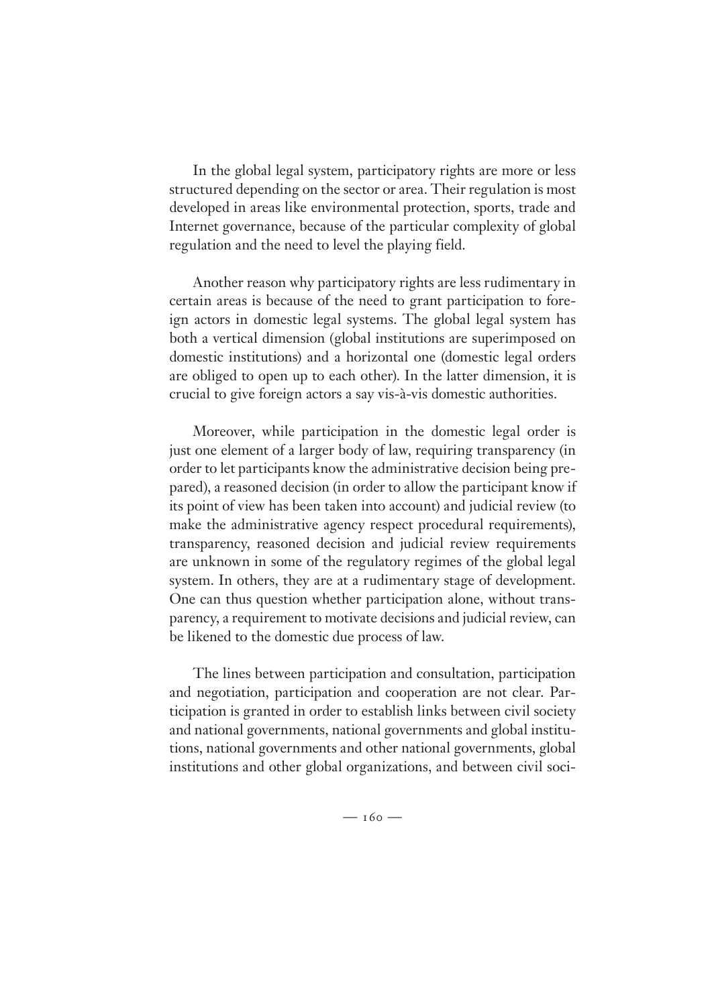In the global legal system, participatory rights are more or less structured depending on the sector or area. Their regulation is most developed in areas like environmental protection, sports, trade and Internet governance, because of the particular complexity of global regulation and the need to level the playing field.

Another reason why participatory rights are less rudimentary in certain areas is because of the need to grant participation to foreign actors in domestic legal systems. The global legal system has both a vertical dimension (global institutions are superimposed on domestic institutions) and a horizontal one (domestic legal orders are obliged to open up to each other). In the latter dimension, it is crucial to give foreign actors a say vis-à-vis domestic authorities.

Moreover, while participation in the domestic legal order is just one element of a larger body of law, requiring transparency (in order to let participants know the administrative decision being prepared), a reasoned decision (in order to allow the participant know if its point of view has been taken into account) and judicial review (to make the administrative agency respect procedural requirements), transparency, reasoned decision and judicial review requirements are unknown in some of the regulatory regimes of the global legal system. In others, they are at a rudimentary stage of development. One can thus question whether participation alone, without transparency, a requirement to motivate decisions and judicial review, can be likened to the domestic due process of law.

The lines between participation and consultation, participation and negotiation, participation and cooperation are not clear. Participation is granted in order to establish links between civil society and national governments, national governments and global institutions, national governments and other national governments, global institutions and other global organizations, and between civil soci-

 $-160-$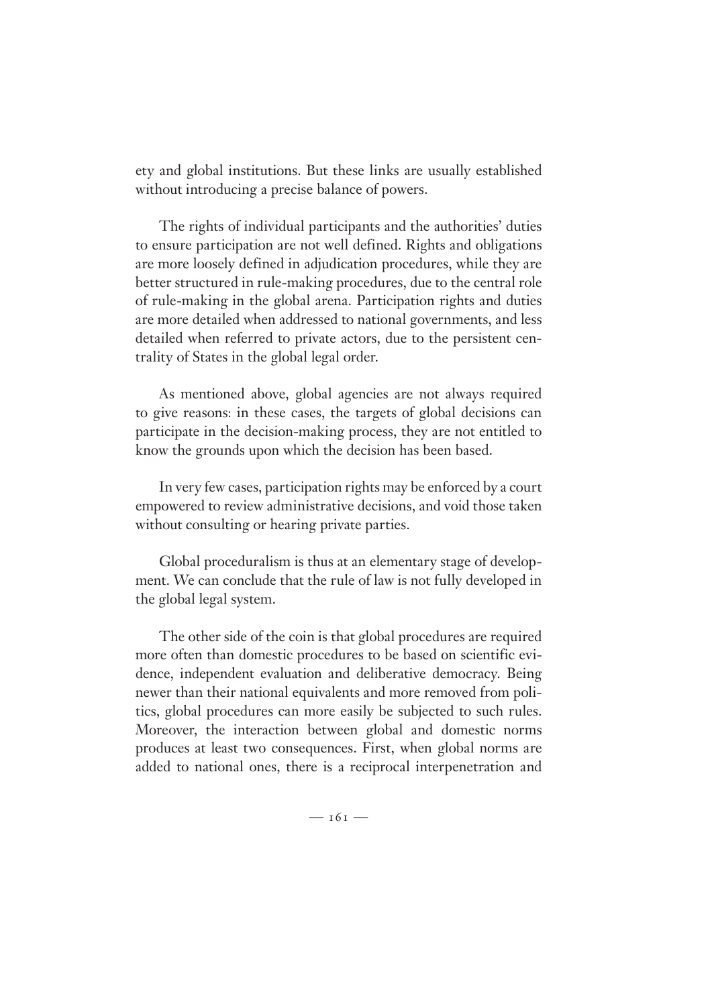ety and global institutions. But these links are usually established without introducing a precise balance of powers.

The rights of individual participants and the authorities' duties to ensure participation are not well defined. Rights and obligations are more loosely defined in adjudication procedures, while they are better structured in rule-making procedures, due to the central role of rule-making in the global arena. Participation rights and duties are more detailed when addressed to national governments, and less detailed when referred to private actors, due to the persistent centrality of States in the global legal order.

As mentioned above, global agencies are not always required to give reasons: in these cases, the targets of global decisions can participate in the decision-making process, they are not entitled to know the grounds upon which the decision has been based.

In very few cases, participation rights may be enforced by a court empowered to review administrative decisions, and void those taken without consulting or hearing private parties.

Global proceduralism is thus at an elementary stage of development. We can conclude that the rule of law is not fully developed in the global legal system.

The other side of the coin is that global procedures are required more often than domestic procedures to be based on scientific evidence, independent evaluation and deliberative democracy. Being newer than their national equivalents and more removed from politics, global procedures can more easily be subjected to such rules. Moreover, the interaction between global and domestic norms produces at least two consequences. First, when global norms are added to national ones, there is a reciprocal interpenetration and

 $-161-$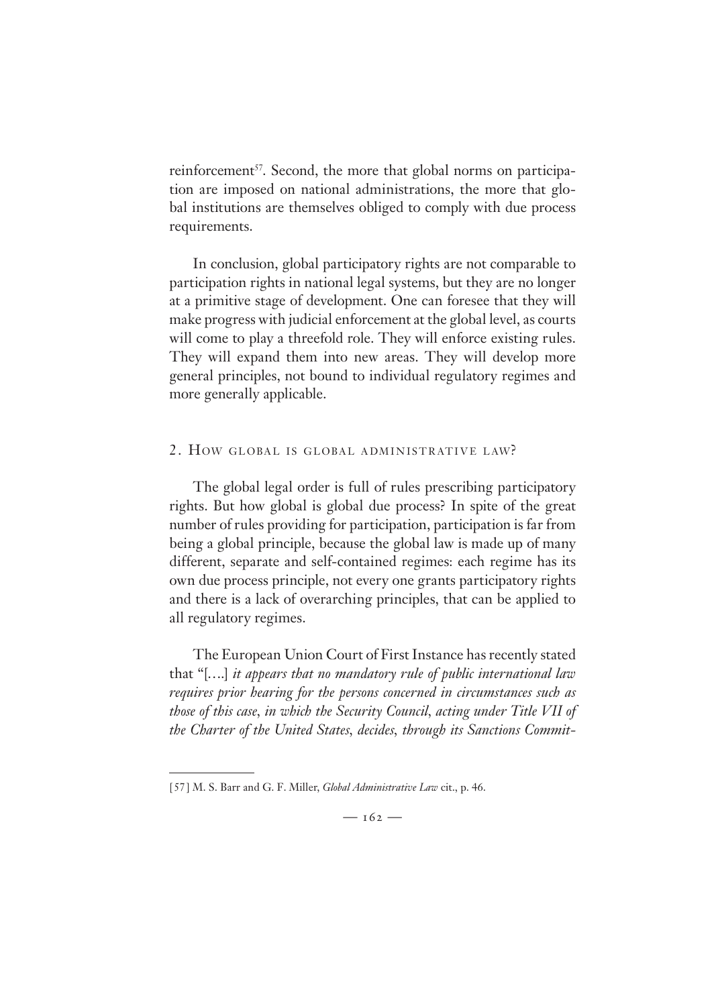reinforcement<sup>57</sup>. Second, the more that global norms on participation are imposed on national administrations, the more that global institutions are themselves obliged to comply with due process requirements.

In conclusion, global participatory rights are not comparable to participation rights in national legal systems, but they are no longer at a primitive stage of development. One can foresee that they will make progress with judicial enforcement at the global level, as courts will come to play a threefold role. They will enforce existing rules. They will expand them into new areas. They will develop more general principles, not bound to individual regulatory regimes and more generally applicable.

### 2. HOW GLOBAL IS GLOBAL ADMINISTRATIVE LAW?

The global legal order is full of rules prescribing participatory rights. But how global is global due process? In spite of the great number of rules providing for participation, participation is far from being a global principle, because the global law is made up of many different, separate and self-contained regimes: each regime has its own due process principle, not every one grants participatory rights and there is a lack of overarching principles, that can be applied to all regulatory regimes.

The European Union Court of First Instance has recently stated that "[….] *it appears that no mandatory rule of public international law requires prior hearing for the persons concerned in circumstances such as those of this case, in which the Security Council, acting under Title VII of the Charter of the United States, decides, through its Sanctions Commit-*

<sup>[ 57 ]</sup> M. S. Barr and G. F. Miller, *Global Administrative Law* cit., p. 46.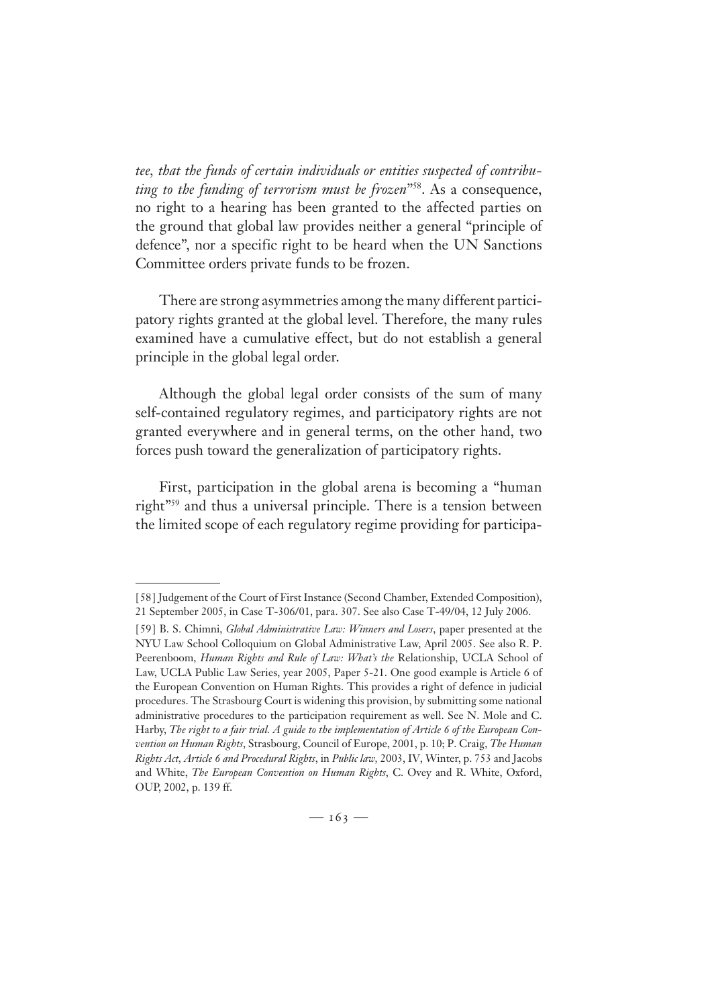*tee, that the funds of certain individuals or entities suspected of contributing to the funding of terrorism must be frozen*"58. As a consequence, no right to a hearing has been granted to the affected parties on the ground that global law provides neither a general "principle of defence", nor a specific right to be heard when the UN Sanctions Committee orders private funds to be frozen.

There are strong asymmetries among the many different participatory rights granted at the global level. Therefore, the many rules examined have a cumulative effect, but do not establish a general principle in the global legal order.

Although the global legal order consists of the sum of many self-contained regulatory regimes, and participatory rights are not granted everywhere and in general terms, on the other hand, two forces push toward the generalization of participatory rights.

First, participation in the global arena is becoming a "human right"59 and thus a universal principle. There is a tension between the limited scope of each regulatory regime providing for participa-

<sup>[ 58 ]</sup> Judgement of the Court of First Instance (Second Chamber, Extended Composition), 21 September 2005, in Case T-306/01, para. 307. See also Case T-49/04, 12 July 2006.

<sup>[ 59 ]</sup> B. S. Chimni, *Global Administrative Law: Winners and Losers*, paper presented at the NYU Law School Colloquium on Global Administrative Law, April 2005. See also R. P. Peerenboom, *Human Rights and Rule of Law: What's the* Relationship, UCLA School of Law, UCLA Public Law Series, year 2005, Paper 5-21. One good example is Article 6 of the European Convention on Human Rights. This provides a right of defence in judicial procedures. The Strasbourg Court is widening this provision, by submitting some national administrative procedures to the participation requirement as well. See N. Mole and C. Harby, *The right to a fair trial. A guide to the implementation of Article 6 of the European Convention on Human Rights*, Strasbourg, Council of Europe, 2001, p. 10; P. Craig, *The Human Rights Act, Article 6 and Procedural Rights*, in *Public law,* 2003, IV, Winter, p. 753 and Jacobs and White, *The European Convention on Human Rights*, C. Ovey and R. White, Oxford, OUP, 2002, p. 139 ff.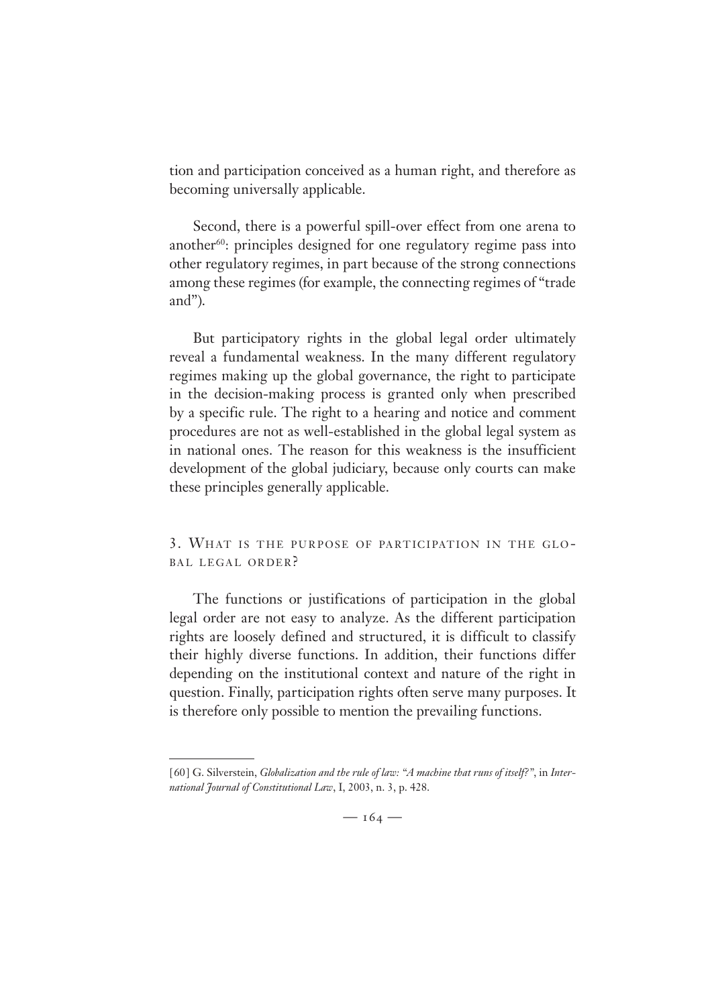tion and participation conceived as a human right, and therefore as becoming universally applicable.

Second, there is a powerful spill-over effect from one arena to another<sup>60</sup>: principles designed for one regulatory regime pass into other regulatory regimes, in part because of the strong connections among these regimes (for example, the connecting regimes of "trade and").

But participatory rights in the global legal order ultimately reveal a fundamental weakness. In the many different regulatory regimes making up the global governance, the right to participate in the decision-making process is granted only when prescribed by a specific rule. The right to a hearing and notice and comment procedures are not as well-established in the global legal system as in national ones. The reason for this weakness is the insufficient development of the global judiciary, because only courts can make these principles generally applicable.

# 3. WHAT IS THE PURPOSE OF PARTICIPATION IN THE GLO-BAL LEGAL ORDER?

The functions or justifications of participation in the global legal order are not easy to analyze. As the different participation rights are loosely defined and structured, it is difficult to classify their highly diverse functions. In addition, their functions differ depending on the institutional context and nature of the right in question. Finally, participation rights often serve many purposes. It is therefore only possible to mention the prevailing functions.

<sup>[ 60 ]</sup> G. Silverstein, *Globalization and the rule of law: "A machine that runs of itself?"*, in *International Journal of Constitutional Law*, I, 2003, n. 3, p. 428.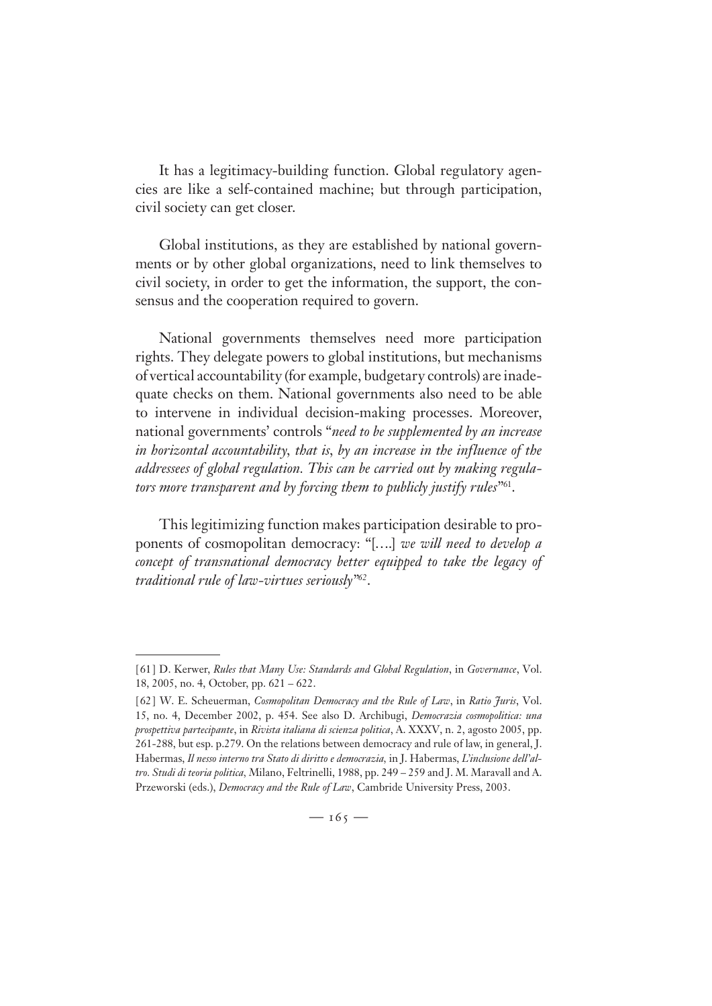It has a legitimacy-building function. Global regulatory agencies are like a self-contained machine; but through participation, civil society can get closer.

Global institutions, as they are established by national governments or by other global organizations, need to link themselves to civil society, in order to get the information, the support, the consensus and the cooperation required to govern.

National governments themselves need more participation rights. They delegate powers to global institutions, but mechanisms of vertical accountability (for example, budgetary controls) are inadequate checks on them. National governments also need to be able to intervene in individual decision-making processes. Moreover, national governments' controls "*need to be supplemented by an increase in horizontal accountability, that is, by an increase in the influence of the addressees of global regulation. This can be carried out by making regulators more transparent and by forcing them to publicly justify rules*"61.

This legitimizing function makes participation desirable to proponents of cosmopolitan democracy: "[….] *we will need to develop a concept of transnational democracy better equipped to take the legacy of traditional rule of law-virtues seriously"62*.

<sup>[ 61 ]</sup> D. Kerwer, *Rules that Many Use: Standards and Global Regulation*, in *Governance*, Vol. 18, 2005, no. 4, October, pp. 621 – 622.

<sup>[ 62 ]</sup> W. E. Scheuerman, *Cosmopolitan Democracy and the Rule of Law*, in *Ratio Juris*, Vol. 15, no. 4, December 2002, p. 454. See also D. Archibugi, *Democrazia cosmopolitica: una prospettiva partecipante*, in *Rivista italiana di scienza politica*, A. XXXV, n. 2, agosto 2005, pp. 261-288, but esp. p.279. On the relations between democracy and rule of law, in general, J. Habermas, *Il nesso interno tra Stato di diritto e democrazia,* in J. Habermas, *L'inclusione dell'altro. Studi di teoria politica,* Milano, Feltrinelli, 1988, pp. 249 – 259 and J. M. Maravall and A. Przeworski (eds.), *Democracy and the Rule of Law*, Cambride University Press, 2003.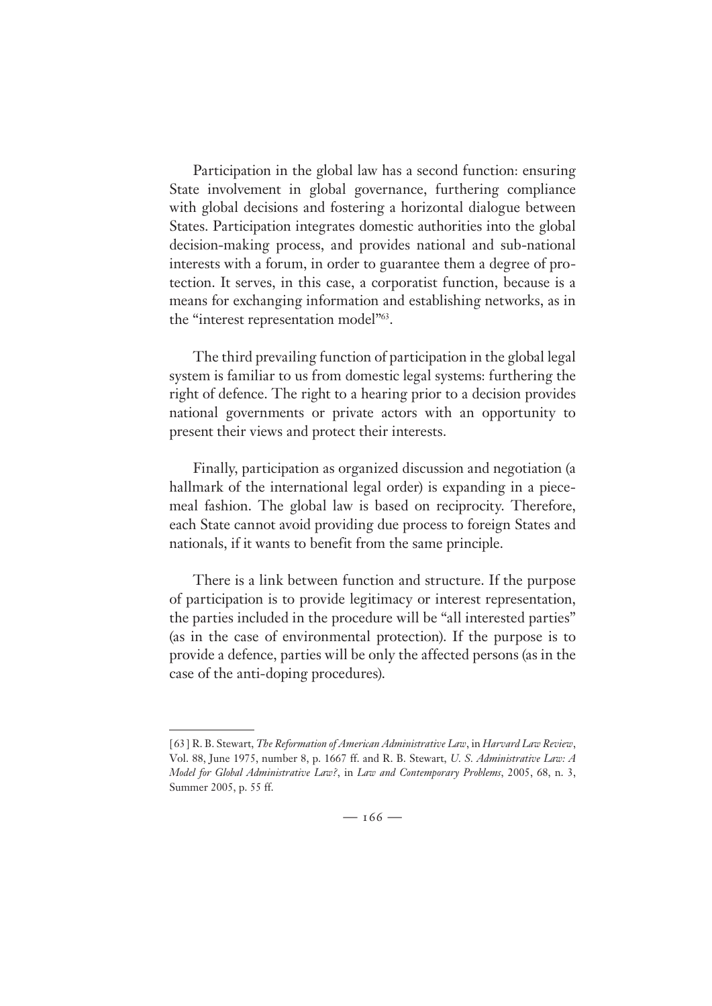Participation in the global law has a second function: ensuring State involvement in global governance, furthering compliance with global decisions and fostering a horizontal dialogue between States. Participation integrates domestic authorities into the global decision-making process, and provides national and sub-national interests with a forum, in order to guarantee them a degree of protection. It serves, in this case, a corporatist function, because is a means for exchanging information and establishing networks, as in the "interest representation model"<sup>63</sup>.

The third prevailing function of participation in the global legal system is familiar to us from domestic legal systems: furthering the right of defence. The right to a hearing prior to a decision provides national governments or private actors with an opportunity to present their views and protect their interests.

Finally, participation as organized discussion and negotiation (a hallmark of the international legal order) is expanding in a piecemeal fashion. The global law is based on reciprocity. Therefore, each State cannot avoid providing due process to foreign States and nationals, if it wants to benefit from the same principle.

There is a link between function and structure. If the purpose of participation is to provide legitimacy or interest representation, the parties included in the procedure will be "all interested parties" (as in the case of environmental protection). If the purpose is to provide a defence, parties will be only the affected persons (as in the case of the anti-doping procedures).

<sup>[ 63 ]</sup> R. B. Stewart, *The Reformation of American Administrative Law*, in *Harvard Law Review*, Vol. 88, June 1975, number 8, p. 1667 ff. and R. B. Stewart, *U. S. Administrative Law: A Model for Global Administrative Law?*, in *Law and Contemporary Problems*, 2005, 68, n. 3, Summer 2005, p. 55 ff.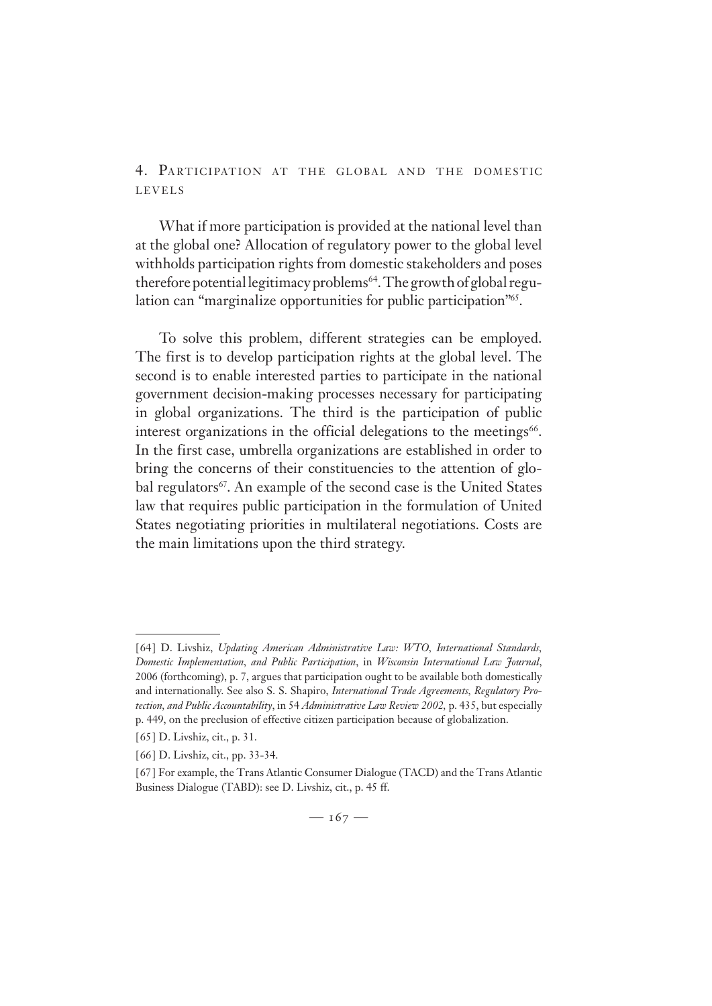# 4. PARTICIPATION AT THE GLOBAL AND THE DOMESTIC LEVELS

What if more participation is provided at the national level than at the global one? Allocation of regulatory power to the global level withholds participation rights from domestic stakeholders and poses therefore potential legitimacy problems<sup>64</sup>. The growth of global regulation can "marginalize opportunities for public participation"<sup>65</sup>.

To solve this problem, different strategies can be employed. The first is to develop participation rights at the global level. The second is to enable interested parties to participate in the national government decision-making processes necessary for participating in global organizations. The third is the participation of public interest organizations in the official delegations to the meetings<sup>66</sup>. In the first case, umbrella organizations are established in order to bring the concerns of their constituencies to the attention of global regulators<sup>67</sup>. An example of the second case is the United States law that requires public participation in the formulation of United States negotiating priorities in multilateral negotiations. Costs are the main limitations upon the third strategy.

<sup>[ 64 ]</sup> D. Livshiz, *Updating American Administrative Law: WTO, International Standards, Domestic Implementation, and Public Participation*, in *Wisconsin International Law Journal*, 2006 (forthcoming), p. 7, argues that participation ought to be available both domestically and internationally. See also S. S. Shapiro, *International Trade Agreements, Regulatory Protection, and Public Accountability*, in 54 *Administrative Law Review 2002,* p. 435, but especially p. 449, on the preclusion of effective citizen participation because of globalization.

<sup>[ 65 ]</sup> D. Livshiz, cit., p. 31.

<sup>[ 66 ]</sup> D. Livshiz, cit., pp. 33-34.

<sup>[ 67 ]</sup> For example, the Trans Atlantic Consumer Dialogue (TACD) and the Trans Atlantic Business Dialogue (TABD): see D. Livshiz, cit., p. 45 ff.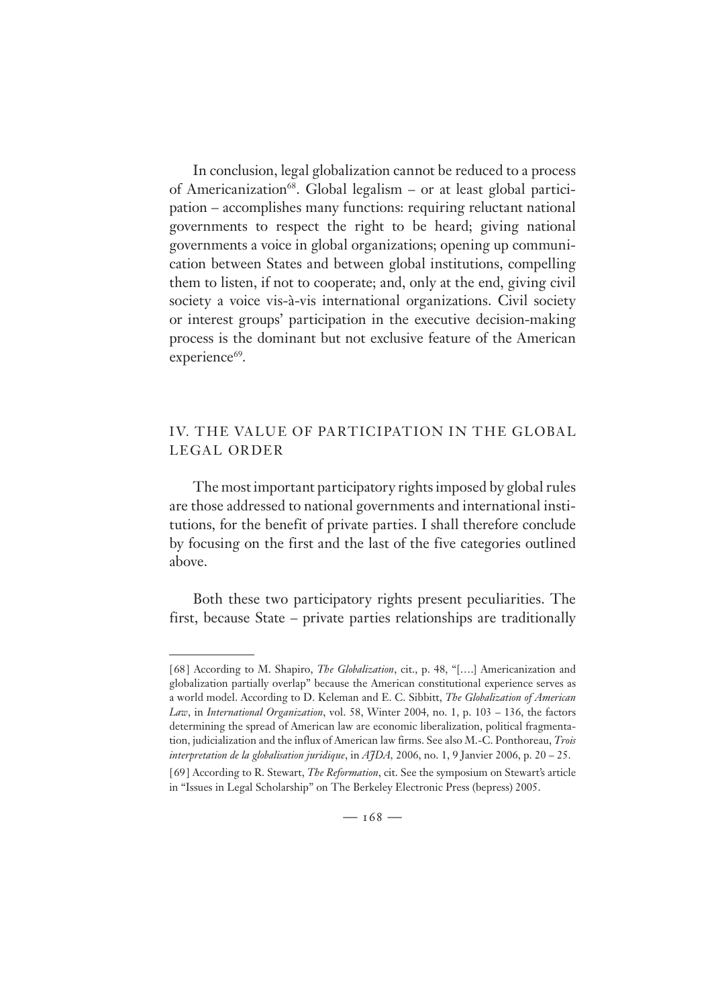In conclusion, legal globalization cannot be reduced to a process of Americanization<sup>68</sup>. Global legalism – or at least global participation – accomplishes many functions: requiring reluctant national governments to respect the right to be heard; giving national go vernments a voice in global organizations; opening up communication between States and between global institutions, compelling them to listen, if not to cooperate; and, only at the end, giving civil society a voice vis-à-vis international organizations. Civil society or interest groups' participation in the executive decision-making process is the dominant but not exclusive feature of the American experience<sup>69</sup>.

# IV. THE VALUE OF PARTICIPATION IN THE GLOBAL LEGAL ORDER

The most important participatory rights imposed by global rules are those addressed to national governments and international institutions, for the benefit of private parties. I shall therefore conclude by focusing on the first and the last of the five categories outlined above.

Both these two participatory rights present peculiarities. The first, because State – private parties relationships are traditionally

<sup>[ 68 ]</sup> According to M. Shapiro, *The Globalization*, cit., p. 48, "[….] Americanization and globalization partially overlap" because the American constitutional experience serves as a world model. According to D. Keleman and E. C. Sibbitt, *The Globalization of American Law*, in *International Organization*, vol. 58, Winter 2004, no. 1, p. 103 – 136, the factors determining the spread of American law are economic liberalization, political fragmentation, judicialization and the influx of American law firms. See also M.-C. Ponthoreau, *Trois interpretation de la globalisation juridique*, in *AJDA,* 2006, no. 1, 9 Janvier 2006, p. 20 – 25.

<sup>[ 69 ]</sup> According to R. Stewart, *The Reformation*, cit. See the symposium on Stewart's article in "Issues in Legal Scholarship" on The Berkeley Electronic Press (bepress) 2005.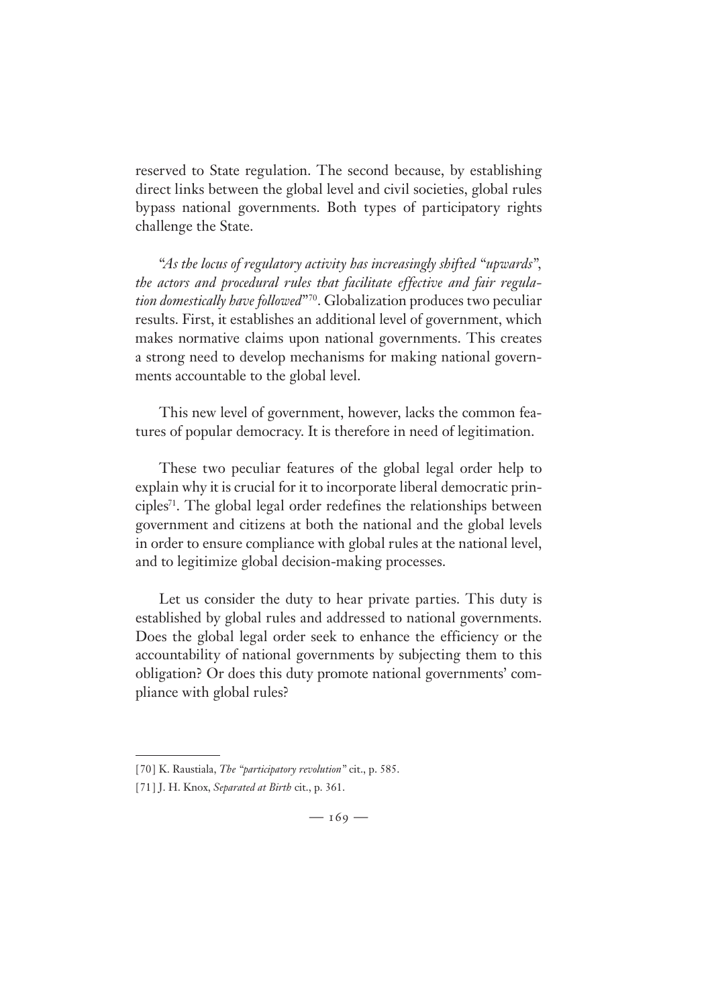reserved to State regulation. The second because, by establishing direct links between the global level and civil societies, global rules bypass national governments. Both types of participatory rights challenge the State.

"*As the locus of regulatory activity has increasingly shifted "upwards", the actors and procedural rules that facilitate effective and fair regulation domestically have followed*"70. Globalization produces two peculiar results. First, it establishes an additional level of government, which makes normative claims upon national governments. This creates a strong need to develop mechanisms for making national governments accountable to the global level.

This new level of government, however, lacks the common features of popular democracy. It is therefore in need of legitimation.

These two peculiar features of the global legal order help to explain why it is crucial for it to incorporate liberal democratic principles<sup>71</sup>. The global legal order redefines the relationships between government and citizens at both the national and the global levels in order to ensure compliance with global rules at the national level, and to legitimize global decision-making processes.

Let us consider the duty to hear private parties. This duty is established by global rules and addressed to national governments. Does the global legal order seek to enhance the efficiency or the accountability of national governments by subjecting them to this obligation? Or does this duty promote national governments' compliance with global rules?

<sup>[ 70 ]</sup> K. Raustiala, *The "participatory revolution"* cit., p. 585.

<sup>[ 71 ]</sup> J. H. Knox, *Separated at Birth* cit., p. 361.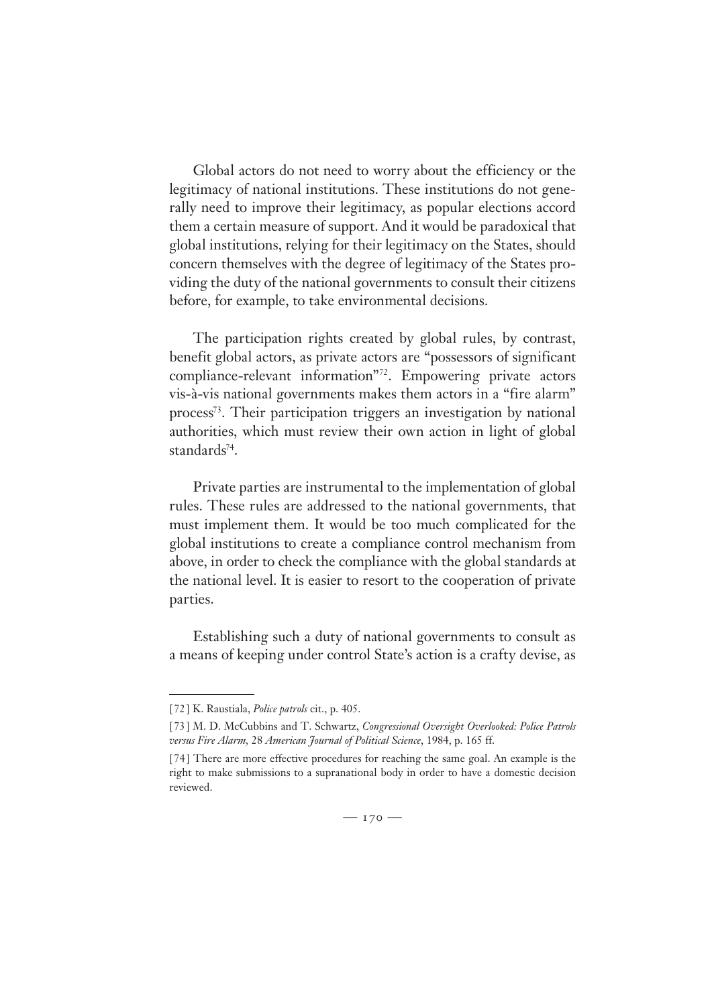Global actors do not need to worry about the efficiency or the legitimacy of national institutions. These institutions do not generally need to improve their legitimacy, as popular elections accord them a certain measure of support. And it would be paradoxical that global institutions, relying for their legitimacy on the States, should concern themselves with the degree of legitimacy of the States providing the duty of the national governments to consult their citizens before, for example, to take environmental decisions.

The participation rights created by global rules, by contrast, benefit global actors, as private actors are "possessors of significant compliance-relevant information"72. Empowering private actors vis-à-vis national governments makes them actors in a "fire alarm" process<sup>73</sup>. Their participation triggers an investigation by national authorities, which must review their own action in light of global standards<sup>74</sup>.

Private parties are instrumental to the implementation of global rules. These rules are addressed to the national governments, that must implement them. It would be too much complicated for the global institutions to create a compliance control mechanism from above, in order to check the compliance with the global standards at the national level. It is easier to resort to the cooperation of private parties.

Establishing such a duty of national governments to consult as a means of keeping under control State's action is a crafty devise, as

<sup>[ 72 ]</sup> K. Raustiala, *Police patrols* cit., p. 405.

<sup>[ 73 ]</sup> M. D. McCubbins and T. Schwartz, *Congressional Oversight Overlooked: Police Patrols versus Fire Alarm,* 28 *American Journal of Political Science*, 1984, p. 165 ff.

<sup>[74]</sup> There are more effective procedures for reaching the same goal. An example is the right to make submissions to a supranational body in order to have a domestic decision reviewed.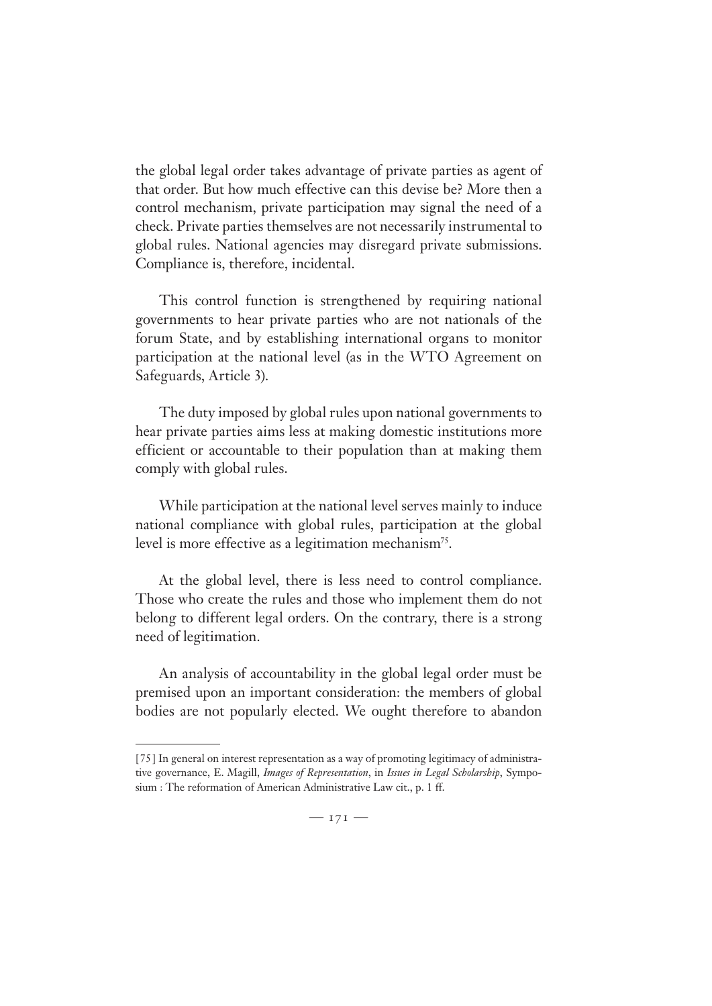the global legal order takes advantage of private parties as agent of that order. But how much effective can this devise be? More then a control mechanism, private participation may signal the need of a check. Private parties themselves are not necessarily instrumental to global rules. National agencies may disregard private submissions. Compliance is, therefore, incidental.

This control function is strengthened by requiring national governments to hear private parties who are not nationals of the forum State, and by establishing international organs to monitor participation at the national level (as in the WTO Agreement on Safeguards, Article 3).

The duty imposed by global rules upon national governments to hear private parties aims less at making domestic institutions more efficient or accountable to their population than at making them comply with global rules.

While participation at the national level serves mainly to induce national compliance with global rules, participation at the global level is more effective as a legitimation mechanism<sup>75</sup>.

At the global level, there is less need to control compliance. Those who create the rules and those who implement them do not belong to different legal orders. On the contrary, there is a strong need of legitimation.

An analysis of accountability in the global legal order must be premised upon an important consideration: the members of global bodies are not popularly elected. We ought therefore to abandon

<sup>[75]</sup> In general on interest representation as a way of promoting legitimacy of administrative governance, E. Magill, *Images of Representation*, in *Issues in Legal Scholarship*, Symposium : The reformation of American Administrative Law cit., p. 1 ff.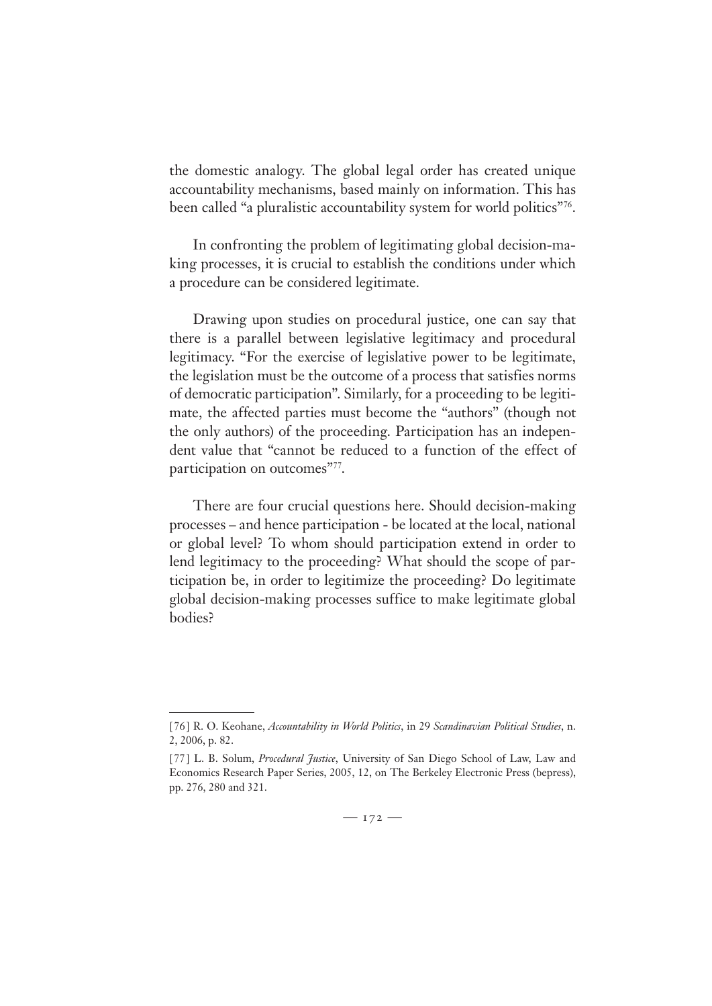the domestic analogy. The global legal order has created unique accountability mechanisms, based mainly on information. This has been called "a pluralistic accountability system for world politics"76.

In confronting the problem of legitimating global decision-making processes, it is crucial to establish the conditions under which a procedure can be considered legitimate.

Drawing upon studies on procedural justice, one can say that there is a parallel between legislative legitimacy and procedural legitimacy. "For the exercise of legislative power to be legitimate, the legislation must be the outcome of a process that satisfies norms of democratic participation". Similarly, for a proceeding to be legitimate, the affected parties must become the "authors" (though not the only authors) of the proceeding. Participation has an independent value that "cannot be reduced to a function of the effect of participation on outcomes"77.

There are four crucial questions here. Should decision-making processes – and hence participation - be located at the local, national or global level? To whom should participation extend in order to lend legitimacy to the proceeding? What should the scope of participation be, in order to legitimize the proceeding? Do legitimate global decision-making processes suffice to make legitimate global bodies?

<sup>[ 76 ]</sup> R. O. Keohane, *Accountability in World Politics*, in 29 *Scandinavian Political Studies*, n. 2, 2006, p. 82.

<sup>[ 77 ]</sup> L. B. Solum, *Procedural Justice*, University of San Diego School of Law, Law and Economics Research Paper Series, 2005, 12, on The Berkeley Electronic Press (bepress), pp. 276, 280 and 321.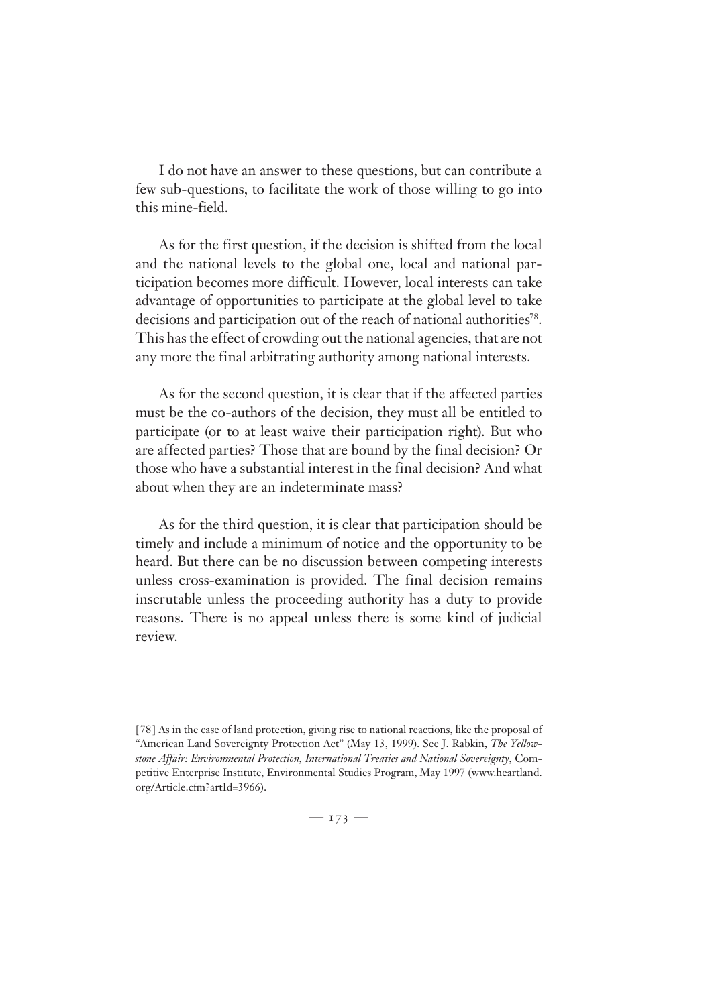I do not have an answer to these questions, but can contribute a few sub-questions, to facilitate the work of those willing to go into this mine-field.

As for the first question, if the decision is shifted from the local and the national levels to the global one, local and national participation becomes more difficult. However, local interests can take advantage of opportunities to participate at the global level to take decisions and participation out of the reach of national authorities<sup>78</sup>. This has the effect of crowding out the national agencies, that are not any more the final arbitrating authority among national interests.

As for the second question, it is clear that if the affected parties must be the co-authors of the decision, they must all be entitled to participate (or to at least waive their participation right). But who are affected parties? Those that are bound by the final decision? Or those who have a substantial interest in the final decision? And what about when they are an indeterminate mass?

As for the third question, it is clear that participation should be timely and include a minimum of notice and the opportunity to be heard. But there can be no discussion between competing interests unless cross-examination is provided. The final decision remains inscrutable unless the proceeding authority has a duty to provide reasons. There is no appeal unless there is some kind of judicial review.

<sup>[78]</sup> As in the case of land protection, giving rise to national reactions, like the proposal of "American Land Sovereignty Protection Act" (May 13, 1999). See J. Rabkin, *The Yellowstone Affair: Environmental Protection, International Treaties and National Sovereignty*, Competitive Enterprise Institute, Environmental Studies Program, May 1997 (www.heartland. org/Article.cfm?artId=3966).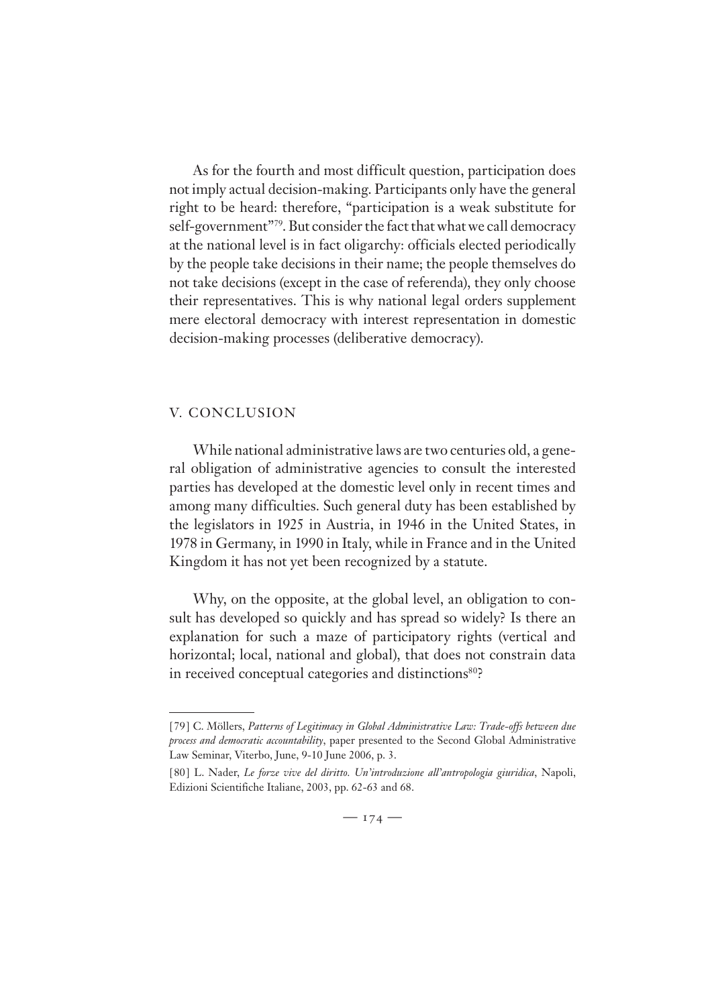As for the fourth and most difficult question, participation does not imply actual decision-making. Participants only have the general right to be heard: therefore, "participation is a weak substitute for self-government"79. But consider the fact that what we call democracy at the national level is in fact oligarchy: officials elected periodically by the people take decisions in their name; the people themselves do not take decisions (except in the case of referenda), they only choose their representatives. This is why national legal orders supplement mere electoral democracy with interest representation in domestic decision-making processes (deliberative democracy).

#### V. CONCLUSION

While national administrative laws are two centuries old, a general obligation of administrative agencies to consult the interested parties has developed at the domestic level only in recent times and among many difficulties. Such general duty has been established by the legislators in 1925 in Austria, in 1946 in the United States, in 1978 in Germany, in 1990 in Italy, while in France and in the United Kingdom it has not yet been recognized by a statute.

Why, on the opposite, at the global level, an obligation to consult has developed so quickly and has spread so widely? Is there an explanation for such a maze of participatory rights (vertical and horizontal; local, national and global), that does not constrain data in received conceptual categories and distinctions<sup>80</sup>?

<sup>[ 79 ]</sup> C. Möllers, *Patterns of Legitimacy in Global Administrative Law: Trade-offs between due process and democratic accountability*, paper presented to the Second Global Administrative Law Seminar, Viterbo, June, 9-10 June 2006, p. 3.

<sup>[ 80 ]</sup> L. Nader, *Le forze vive del diritto. Un'introduzione all'antropologia giuridica*, Napoli, Edizioni Scientifiche Italiane, 2003, pp. 62-63 and 68.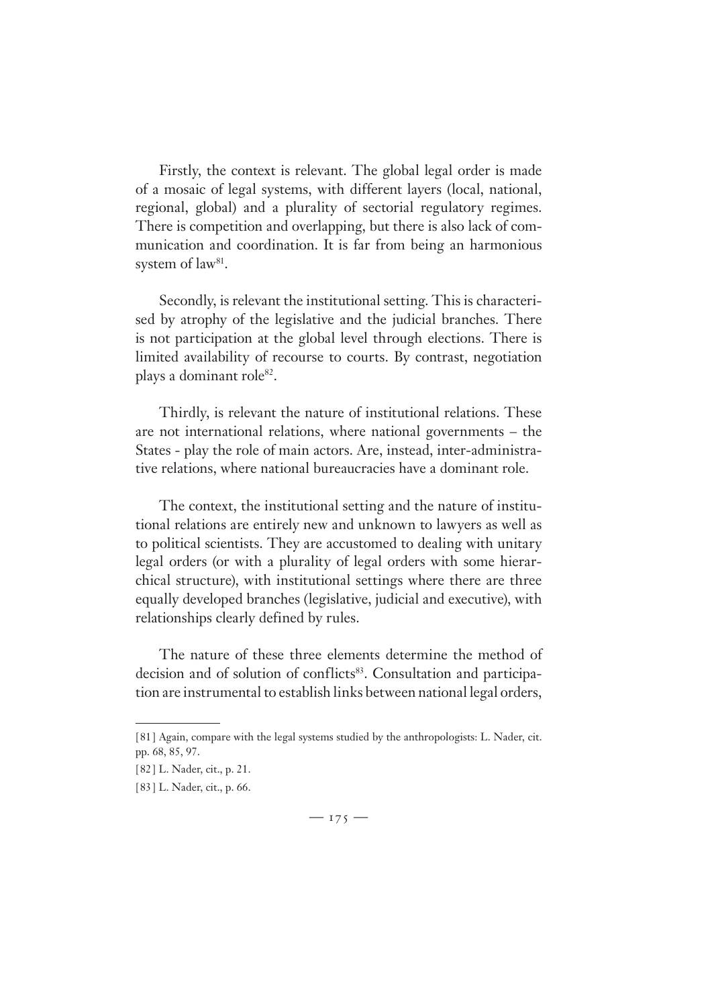Firstly, the context is relevant. The global legal order is made of a mosaic of legal systems, with different layers (local, national, regional, global) and a plurality of sectorial regulatory regimes. There is competition and overlapping, but there is also lack of communication and coordination. It is far from being an harmonious system of law<sup>81</sup>.

Secondly, is relevant the institutional setting. This is characterised by atrophy of the legislative and the judicial branches. There is not participation at the global level through elections. There is limited availability of recourse to courts. By contrast, negotiation plays a dominant role<sup>82</sup>.

Thirdly, is relevant the nature of institutional relations. These are not international relations, where national governments – the States - play the role of main actors. Are, instead, inter-administrative relations, where national bureaucracies have a dominant role.

The context, the institutional setting and the nature of institutional relations are entirely new and unknown to lawyers as well as to political scientists. They are accustomed to dealing with unitary legal orders (or with a plurality of legal orders with some hierarchical structure), with institutional settings where there are three equally developed branches (legislative, judicial and executive), with relationships clearly defined by rules.

The nature of these three elements determine the method of decision and of solution of conflicts<sup>83</sup>. Consultation and participation are instrumental to establish links between national legal orders,

 $-175-$ 

<sup>[81]</sup> Again, compare with the legal systems studied by the anthropologists: L. Nader, cit. pp. 68, 85, 97.

<sup>[ 82 ]</sup> L. Nader, cit., p. 21.

<sup>[83]</sup> L. Nader, cit., p. 66.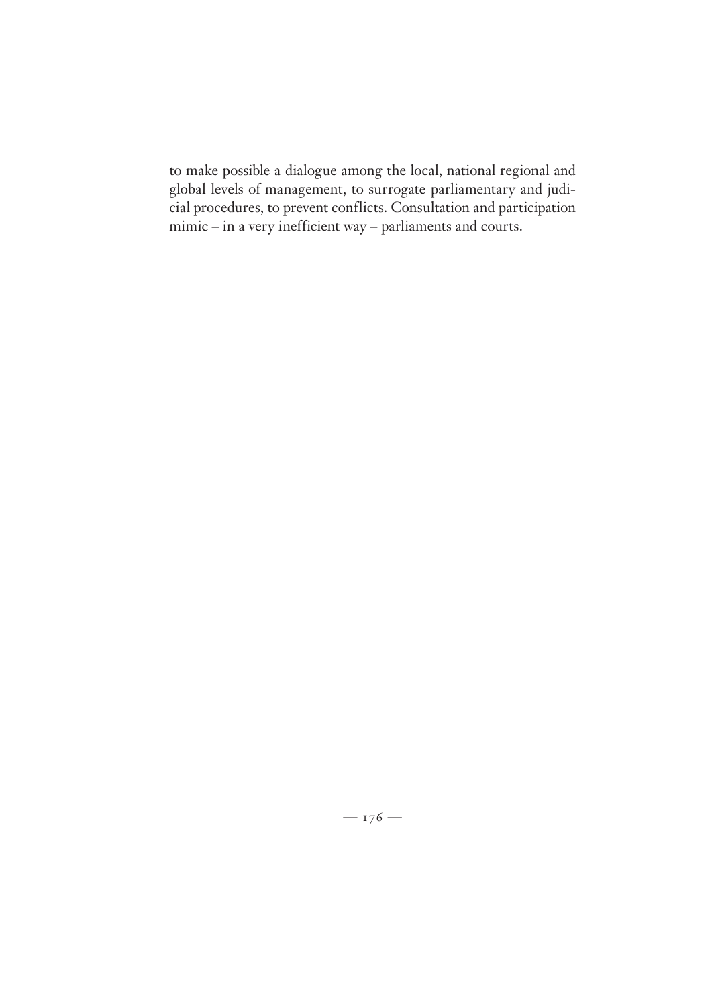to make possible a dialogue among the local, national regional and global levels of management, to surrogate parliamentary and judicial procedures, to prevent conflicts. Consultation and participation mimic – in a very inefficient way – parliaments and courts.